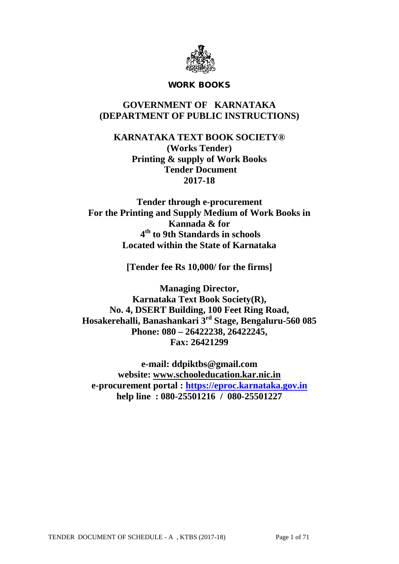

### WORK BOOKS

# **GOVERNMENT OF KARNATAKA (DEPARTMENT OF PUBLIC INSTRUCTIONS)**

**KARNATAKA TEXT BOOK SOCIETY® (Works Tender) Printing & supply of Work Books Tender Document 2017-18**

**Tender through e-procurement For the Printing and Supply Medium of Work Books in Kannada & for 4th to 9th Standards in schools Located within the State of Karnataka**

**[Tender fee Rs 10,000/ for the firms]**

**Managing Director, Karnataka Text Book Society(R), No. 4, DSERT Building, 100 Feet Ring Road, Hosakerehalli, Banashankari 3rd Stage, Bengaluru-560 085 Phone: 080 – 26422238, 26422245, Fax: 26421299**

**e-mail: ddpiktbs@gmail.com website: [www.schooleducation.kar.nic.in](http://www.schooleducation.kar.nic.in/) e-procurement portal : [https://eproc.karnataka.gov.in](https://eproc.karnataka.gov.in/) help line : 080-25501216 / 080-25501227**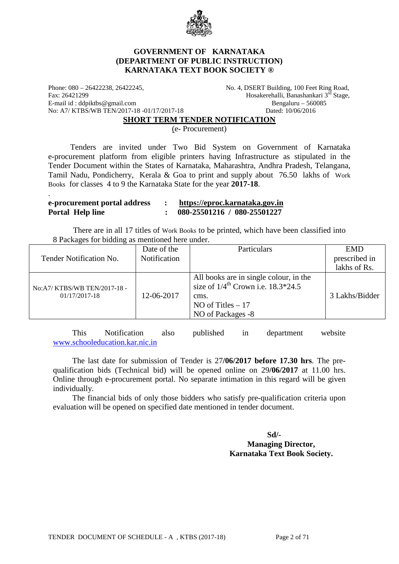

### **GOVERNMENT OF KARNATAKA (DEPARTMENT OF PUBLIC INSTRUCTION) KARNATAKA TEXT BOOK SOCIETY ®**

Phone: 080 – 26422238, 26422245, No. 4, DSERT Building, 100 Feet Ring Road, Fax: 26421299 Hosakerehalli, Banashankari 3rd Stage, E-mail id : ddpiktbs@gmail.com beneficially beneficially beneficially beneficially beneficially beneficially beneficially beneficially beneficially beneficially beneficially beneficially beneficially beneficially beneficia No: A7/ KTBS/WB TEN/2017-18 -01/17/2017-18 Dated: 10/06/2016

.

#### **SHORT TERM TENDER NOTIFICATION**

(e- Procurement)

 Tenders are invited under Two Bid System on Government of Karnataka e-procurement platform from eligible printers having Infrastructure as stipulated in the Tender Document within the States of Karnataka, Maharashtra, Andhra Pradesh, Telangana, Tamil Nadu, Pondicherry, Kerala & Goa to print and supply about 76.50 lakhs of Work Books for classes 4 to 9 the Karnataka State for the year **2017-18**.

#### **e-procurement portal address : [https://eproc.karnataka.gov.in](https://eproc.karnataka.gov.in/) Portal Help line : 080-25501216 / 080-25501227**

 There are in all 17 titles of Work Books to be printed, which have been classified into 8 Packages for bidding as mentioned here under.

|                                                   | Date of the  | Particulars                                                                                                                                 | <b>EMD</b>     |
|---------------------------------------------------|--------------|---------------------------------------------------------------------------------------------------------------------------------------------|----------------|
| Tender Notification No.                           | Notification |                                                                                                                                             | prescribed in  |
|                                                   |              |                                                                                                                                             | lakhs of Rs.   |
| No:A7/ KTBS/WB TEN/2017-18 -<br>$01/17/2017 - 18$ | 12-06-2017   | All books are in single colour, in the<br>size of $1/4^{\text{th}}$ Crown i.e. 18.3*24.5<br>cms.<br>NO of Titles $-17$<br>NO of Packages -8 | 3 Lakhs/Bidder |

This Notification also published in department website [www.schooleducation.kar.nic.in](http://www.schooleducation.kar.nic.in/)

The last date for submission of Tender is 27**/06/2017 before 17.30 hrs**. The prequalification bids (Technical bid) will be opened online on 29**/06/2017** at 11.00 hrs. Online through e-procurement portal. No separate intimation in this regard will be given individually.

The financial bids of only those bidders who satisfy pre-qualification criteria upon evaluation will be opened on specified date mentioned in tender document.

#### **Sd/- Managing Director, Karnataka Text Book Society.**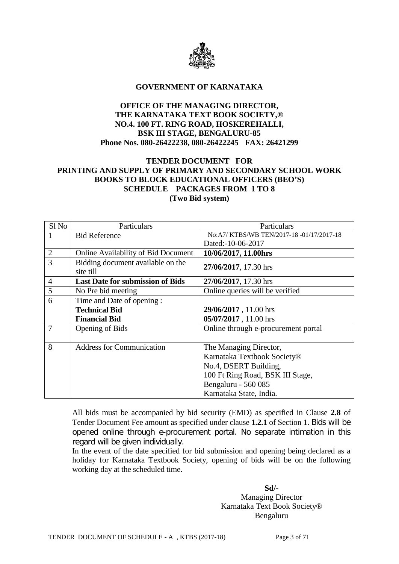

#### **GOVERNMENT OF KARNATAKA**

### **OFFICE OF THE MANAGING DIRECTOR, THE KARNATAKA TEXT BOOK SOCIETY,® NO.4. 100 FT. RING ROAD, HOSKEREHALLI, BSK III STAGE, BENGALURU-85 Phone Nos. 080-26422238, 080-26422245 FAX: 26421299**

### **TENDER DOCUMENT FOR PRINTING AND SUPPLY OF PRIMARY AND SECONDARY SCHOOL WORK BOOKS TO BLOCK EDUCATIONAL OFFICERS (BEO'S) SCHEDULE PACKAGES FROM 1 TO 8 (Two Bid system)**

| Sl <sub>No</sub> | Particulars                                    | Particulars                             |
|------------------|------------------------------------------------|-----------------------------------------|
| 1                | <b>Bid Reference</b>                           | No:A7/KTBS/WB TEN/2017-18-01/17/2017-18 |
|                  |                                                | Dated:-10-06-2017                       |
| $\overline{2}$   | <b>Online Availability of Bid Document</b>     | 10/06/2017, 11.00hrs                    |
| $\overline{3}$   | Bidding document available on the<br>site till | 27/06/2017, 17.30 hrs                   |
| $\overline{4}$   | <b>Last Date for submission of Bids</b>        | 27/06/2017, 17.30 hrs                   |
| 5                | No Pre bid meeting                             | Online queries will be verified         |
| 6                | Time and Date of opening:                      |                                         |
|                  | <b>Technical Bid</b>                           | 29/06/2017, 11.00 hrs                   |
|                  | <b>Financial Bid</b>                           | 05/07/2017, 11.00 hrs                   |
| 7                | Opening of Bids                                | Online through e-procurement portal     |
|                  |                                                |                                         |
| 8                | <b>Address for Communication</b>               | The Managing Director,                  |
|                  |                                                | Karnataka Textbook Society®             |
|                  |                                                | No.4, DSERT Building,                   |
|                  |                                                | 100 Ft Ring Road, BSK III Stage,        |
|                  |                                                | Bengaluru - 560 085                     |
|                  |                                                | Karnataka State, India.                 |

All bids must be accompanied by bid security (EMD) as specified in Clause **2.8** of Tender Document Fee amount as specified under clause **1.2.1** of Section 1. Bids will be opened online through e-procurement portal. No separate intimation in this regard will be given individually.

In the event of the date specified for bid submission and opening being declared as a holiday for Karnataka Textbook Society, opening of bids will be on the following working day at the scheduled time.

### **Sd/-** Managing Director Karnataka Text Book Society® Bengaluru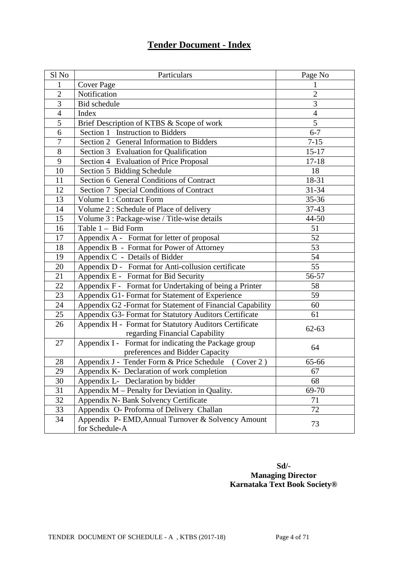# **Tender Document - Index**

| Sl No           | Particulars                                               | Page No        |
|-----------------|-----------------------------------------------------------|----------------|
| 1               | <b>Cover Page</b>                                         | 1              |
| $\overline{2}$  | Notification                                              | $\overline{2}$ |
| 3               | Bid schedule                                              | 3              |
| $\overline{4}$  | Index                                                     | $\overline{4}$ |
| $\overline{5}$  | Brief Description of KTBS & Scope of work                 | $\overline{5}$ |
| 6               | Section 1 Instruction to Bidders                          | $6 - 7$        |
| $\overline{7}$  | Section 2 General Information to Bidders                  | $7 - 15$       |
| 8               | Section 3 Evaluation for Qualification                    | $15 - 17$      |
| 9               | Section 4 Evaluation of Price Proposal                    | $17 - 18$      |
| 10              | Section 5 Bidding Schedule                                | 18             |
| 11              | Section 6 General Conditions of Contract                  | 18-31          |
| 12              | Section 7 Special Conditions of Contract                  | 31-34          |
| 13              | Volume 1 : Contract Form                                  | $35 - 36$      |
| 14              | Volume 2: Schedule of Place of delivery                   | 37-43          |
| 15              | Volume 3 : Package-wise / Title-wise details              | 44-50          |
| 16              | Table 1 - Bid Form                                        | 51             |
| 17              | Appendix A - Format for letter of proposal                | 52             |
| 18              | Appendix B - Format for Power of Attorney                 | 53             |
| 19              | Appendix C - Details of Bidder                            | 54             |
| 20              | Appendix D - Format for Anti-collusion certificate        | 55             |
| 21              | Appendix E - Format for Bid Security                      | 56-57          |
| $\overline{22}$ | Appendix F - Format for Undertaking of being a Printer    | 58             |
| 23              | Appendix G1- Format for Statement of Experience           | 59             |
| 24              | Appendix G2 -Format for Statement of Financial Capability | 60             |
| 25              | Appendix G3- Format for Statutory Auditors Certificate    | 61             |
| 26              | Appendix H - Format for Statutory Auditors Certificate    | $62 - 63$      |
|                 | regarding Financial Capability                            |                |
| 27              | Appendix I - Format for indicating the Package group      | 64             |
|                 | preferences and Bidder Capacity                           |                |
| 28              | Appendix J - Tender Form & Price Schedule (Cover 2)       | 65-66          |
| 29              | Appendix K- Declaration of work completion                | 67             |
| 30              | Appendix L- Declaration by bidder                         | 68             |
| 31              | Appendix M – Penalty for Deviation in Quality.            | 69-70          |
| 32              | Appendix N- Bank Solvency Certificate                     | 71             |
| 33              | Appendix O- Proforma of Delivery Challan                  | 72             |
| 34              | Appendix P- EMD, Annual Turnover & Solvency Amount        | 73             |
|                 | for Schedule-A                                            |                |

# **Sd/- Managing Director Karnataka Text Book Society®**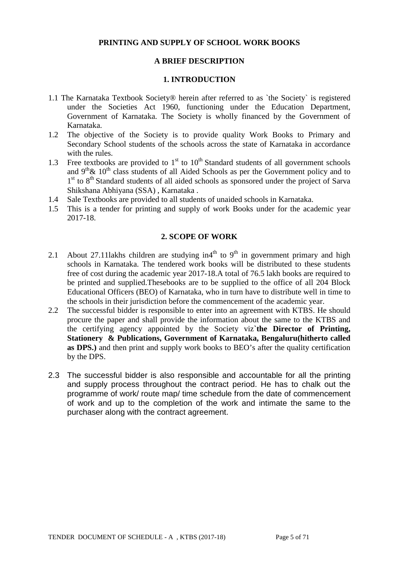### **PRINTING AND SUPPLY OF SCHOOL WORK BOOKS**

### **A BRIEF DESCRIPTION**

### **1. INTRODUCTION**

- 1.1 The Karnataka Textbook Society® herein after referred to as `the Society` is registered under the Societies Act 1960, functioning under the Education Department, Government of Karnataka. The Society is wholly financed by the Government of Karnataka.
- 1.2 The objective of the Society is to provide quality Work Books to Primary and Secondary School students of the schools across the state of Karnataka in accordance with the rules.
- 1.3 Free textbooks are provided to  $1<sup>st</sup>$  to  $10<sup>th</sup>$  Standard students of all government schools and  $9<sup>th</sup> \& 10<sup>th</sup>$  class students of all Aided Schools as per the Government policy and to 1st to 8<sup>th</sup> Standard students of all aided schools as sponsored under the project of Sarva Shikshana Abhiyana (SSA) , Karnataka .
- 1.4 Sale Textbooks are provided to all students of unaided schools in Karnataka.
- 1.5 This is a tender for printing and supply of work Books under for the academic year 2017-18.

### **2. SCOPE OF WORK**

- 2.1 About 27.11 lakhs children are studying in  $4<sup>th</sup>$  to  $9<sup>th</sup>$  in government primary and high schools in Karnataka. The tendered work books will be distributed to these students free of cost during the academic year 2017-18.A total of 76.5 lakh books are required to be printed and supplied.Thesebooks are to be supplied to the office of all 204 Block Educational Officers (BEO) of Karnataka, who in turn have to distribute well in time to the schools in their jurisdiction before the commencement of the academic year.
- 2.2 The successful bidder is responsible to enter into an agreement with KTBS. He should procure the paper and shall provide the information about the same to the KTBS and the certifying agency appointed by the Society viz**`the Director of Printing, Stationery & Publications, Government of Karnataka, Bengaluru(hitherto called as DPS.)** and then print and supply work books to BEO's after the quality certification by the DPS.
- 2.3 The successful bidder is also responsible and accountable for all the printing and supply process throughout the contract period. He has to chalk out the programme of work/ route map/ time schedule from the date of commencement of work and up to the completion of the work and intimate the same to the purchaser along with the contract agreement.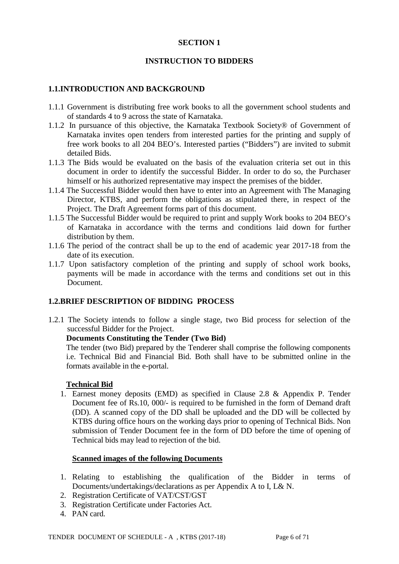### **SECTION 1**

#### **INSTRUCTION TO BIDDERS**

#### **1.1.INTRODUCTION AND BACKGROUND**

- 1.1.1 Government is distributing free work books to all the government school students and of standards 4 to 9 across the state of Karnataka.
- 1.1.2 In pursuance of this objective, the Karnataka Textbook Society® of Government of Karnataka invites open tenders from interested parties for the printing and supply of free work books to all 204 BEO's. Interested parties ("Bidders") are invited to submit detailed Bids.
- 1.1.3 The Bids would be evaluated on the basis of the evaluation criteria set out in this document in order to identify the successful Bidder. In order to do so, the Purchaser himself or his authorized representative may inspect the premises of the bidder.
- 1.1.4 The Successful Bidder would then have to enter into an Agreement with The Managing Director, KTBS, and perform the obligations as stipulated there, in respect of the Project. The Draft Agreement forms part of this document.
- 1.1.5 The Successful Bidder would be required to print and supply Work books to 204 BEO's of Karnataka in accordance with the terms and conditions laid down for further distribution by them.
- 1.1.6 The period of the contract shall be up to the end of academic year 2017-18 from the date of its execution.
- 1.1.7 Upon satisfactory completion of the printing and supply of school work books, payments will be made in accordance with the terms and conditions set out in this Document.

#### **1.2.BRIEF DESCRIPTION OF BIDDING PROCESS**

1.2.1 The Society intends to follow a single stage, two Bid process for selection of the successful Bidder for the Project.

#### **Documents Constituting the Tender (Two Bid)**

The tender (two Bid) prepared by the Tenderer shall comprise the following components i.e. Technical Bid and Financial Bid. Both shall have to be submitted online in the formats available in the e-portal.

#### **Technical Bid**

1. Earnest money deposits (EMD) as specified in Clause 2.8 & Appendix P. Tender Document fee of Rs.10, 000/- is required to be furnished in the form of Demand draft (DD). A scanned copy of the DD shall be uploaded and the DD will be collected by KTBS during office hours on the working days prior to opening of Technical Bids. Non submission of Tender Document fee in the form of DD before the time of opening of Technical bids may lead to rejection of the bid.

#### **Scanned images of the following Documents**

- 1. Relating to establishing the qualification of the Bidder in terms of Documents/undertakings/declarations as per Appendix A to I, L& N.
- 2. Registration Certificate of VAT/CST/GST
- 3. Registration Certificate under Factories Act.
- 4. PAN card.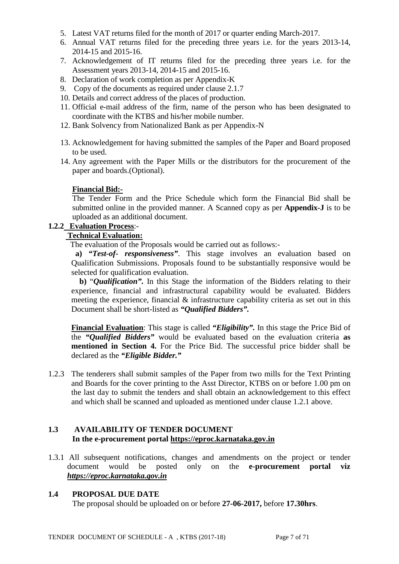- 5. Latest VAT returns filed for the month of 2017 or quarter ending March-2017.
- 6. Annual VAT returns filed for the preceding three years i.e. for the years 2013-14, 2014-15 and 2015-16.
- 7. Acknowledgement of IT returns filed for the preceding three years i.e. for the Assessment years 2013-14, 2014-15 and 2015-16.
- 8. Declaration of work completion as per Appendix-K
- 9. Copy of the documents as required under clause 2.1.7
- 10. Details and correct address of the places of production.
- 11. Official e-mail address of the firm, name of the person who has been designated to coordinate with the KTBS and his/her mobile number.
- 12. Bank Solvency from Nationalized Bank as per Appendix-N
- 13. Acknowledgement for having submitted the samples of the Paper and Board proposed to be used.
- 14. Any agreement with the Paper Mills or the distributors for the procurement of the paper and boards.(Optional).

### **Financial Bid:-**

The Tender Form and the Price Schedule which form the Financial Bid shall be submitted online in the provided manner. A Scanned copy as per **Appendix-J** is to be uploaded as an additional document.

### **1.2.2 Evaluation Process**:-

### **Technical Evaluation:**

The evaluation of the Proposals would be carried out as follows:-

**a)** *"Test-of- responsiveness"*. This stage involves an evaluation based on Qualification Submissions. Proposals found to be substantially responsive would be selected for qualification evaluation.

 **b)** "*Qualification".* In this Stage the information of the Bidders relating to their experience, financial and infrastructural capability would be evaluated. Bidders meeting the experience, financial & infrastructure capability criteria as set out in this Document shall be short-listed as *"Qualified Bidders".*

**Financial Evaluation**: This stage is called *"Eligibility".* In this stage the Price Bid of the *"Qualified Bidders"* would be evaluated based on the evaluation criteria **as mentioned in Section 4.** For the Price Bid. The successful price bidder shall be declared as the *"Eligible Bidder."*

1.2.3 The tenderers shall submit samples of the Paper from two mills for the Text Printing and Boards for the cover printing to the Asst Director, KTBS on or before 1.00 pm on the last day to submit the tenders and shall obtain an acknowledgement to this effect and which shall be scanned and uploaded as mentioned under clause 1.2.1 above.

## **1.3 AVAILABILITY OF TENDER DOCUMENT In the e-procurement portal [https://eproc.karnataka.gov.in](https://eproc.karnataka.gov.in/)**

1.3.1 All subsequent notifications, changes and amendments on the project or tender document would be posted only on the **e-procurement portal viz** *[https://eproc.karnataka.gov.in](https://eproc.karnataka.gov.in/)*

#### **1.4 PROPOSAL DUE DATE**

The proposal should be uploaded on or before **27-06-2017,** before **17.30hrs**.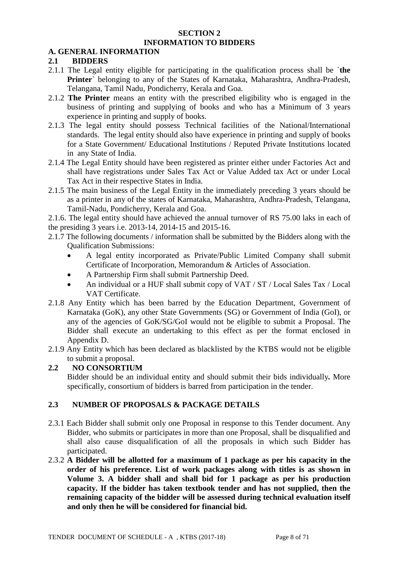#### **SECTION 2 INFORMATION TO BIDDERS**

### **A. GENERAL INFORMATION**

### **2.1 BIDDERS**

- 2.1.1 The Legal entity eligible for participating in the qualification process shall be `**the Printer**` belonging to any of the States of Karnataka, Maharashtra, Andhra-Pradesh, Telangana, Tamil Nadu, Pondicherry, Kerala and Goa.
- 2.1.2 **The Printer** means an entity with the prescribed eligibility who is engaged in the business of printing and supplying of books and who has a Minimum of 3 years experience in printing and supply of books.
- 2.1.3 The legal entity should possess Technical facilities of the National/International standards. The legal entity should also have experience in printing and supply of books for a State Government/ Educational Institutions / Reputed Private Institutions located in any State of India.
- 2.1.4 The Legal Entity should have been registered as printer either under Factories Act and shall have registrations under Sales Tax Act or Value Added tax Act or under Local Tax Act in their respective States in India.
- 2.1.5 The main business of the Legal Entity in the immediately preceding 3 years should be as a printer in any of the states of Karnataka, Maharashtra, Andhra-Pradesh, Telangana, Tamil-Nadu, Pondicherry, Kerala and Goa.

2.1.6. The legal entity should have achieved the annual turnover of RS 75.00 laks in each of the presiding 3 years i.e. 2013-14, 2014-15 and 2015-16.

- 2.1.7 The following documents / information shall be submitted by the Bidders along with the Qualification Submissions:
	- A legal entity incorporated as Private/Public Limited Company shall submit Certificate of Incorporation, Memorandum & Articles of Association.
	- A Partnership Firm shall submit Partnership Deed.
	- An individual or a HUF shall submit copy of VAT / ST / Local Sales Tax / Local VAT Certificate.
- 2.1.8 Any Entity which has been barred by the Education Department, Government of Karnataka (GoK), any other State Governments (SG) or Government of India (GoI), or any of the agencies of GoK/SG/GoI would not be eligible to submit a Proposal. The Bidder shall execute an undertaking to this effect as per the format enclosed in Appendix D.
- 2.1.9 Any Entity which has been declared as blacklisted by the KTBS would not be eligible to submit a proposal.

### **2.2 NO CONSORTIUM**

Bidder should be an individual entity and should submit their bids individually*.* More specifically, consortium of bidders is barred from participation in the tender.

# **2.3 NUMBER OF PROPOSALS & PACKAGE DETAILS**

- 2.3.1 Each Bidder shall submit only one Proposal in response to this Tender document. Any Bidder, who submits or participates in more than one Proposal, shall be disqualified and shall also cause disqualification of all the proposals in which such Bidder has participated.
- 2.3.2 **A Bidder will be allotted for a maximum of 1 package as per his capacity in the order of his preference. List of work packages along with titles is as shown in Volume 3. A bidder shall and shall bid for 1 package as per his production capacity. If the bidder has taken textbook tender and has not supplied, then the remaining capacity of the bidder will be assessed during technical evaluation itself and only then he will be considered for financial bid.**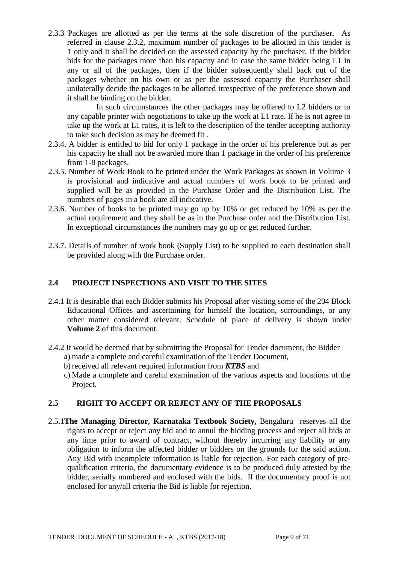2.3.3 Packages are allotted as per the terms at the sole discretion of the purchaser. As referred in clause 2.3.2, maximum number of packages to be allotted in this tender is 1 only and it shall be decided on the assessed capacity by the purchaser. If the bidder bids for the packages more than his capacity and in case the same bidder being L1 in any or all of the packages, then if the bidder subsequently shall back out of the packages whether on his own or as per the assessed capacity the Purchaser shall unilaterally decide the packages to be allotted irrespective of the preference shown and it shall be binding on the bidder.

In such circumstances the other packages may be offered to L2 bidders or to any capable printer with negotiations to take up the work at L1 rate. If he is not agree to take up the work at L1 rates, it is left to the description of the tender accepting authority to take such decision as may be deemed fit .

- 2.3.4. A bidder is entitled to bid for only 1 package in the order of his preference but as per his capacity he shall not be awarded more than 1 package in the order of his preference from 1-8 packages.
- 2.3.5. Number of Work Book to be printed under the Work Packages as shown in Volume 3 is provisional and indicative and actual numbers of work book to be printed and supplied will be as provided in the Purchase Order and the Distribution List. The numbers of pages in a book are all indicative.
- 2.3.6. Number of books to be printed may go up by 10% or get reduced by 10% as per the actual requirement and they shall be as in the Purchase order and the Distribution List. In exceptional circumstances the numbers may go up or get reduced further.
- 2.3.7. Details of number of work book (Supply List) to be supplied to each destination shall be provided along with the Purchase order.

### **2.4 PROJECT INSPECTIONS AND VISIT TO THE SITES**

- 2.4.1 It is desirable that each Bidder submits his Proposal after visiting some of the 204 Block Educational Offices and ascertaining for himself the location, surroundings, or any other matter considered relevant. Schedule of place of delivery is shown under **Volume 2** of this document.
- 2.4.2 It would be deemed that by submitting the Proposal for Tender document, the Bidder
	- a) made a complete and careful examination of the Tender Document,
	- b) received all relevant required information from *KTBS* and
	- c) Made a complete and careful examination of the various aspects and locations of the Project.

### **2.5 RIGHT TO ACCEPT OR REJECT ANY OF THE PROPOSALS**

2.5.1**The Managing Director, Karnataka Textbook Society,** Bengaluru reserves all the rights to accept or reject any bid and to annul the bidding process and reject all bids at any time prior to award of contract, without thereby incurring any liability or any obligation to inform the affected bidder or bidders on the grounds for the said action. Any Bid with incomplete information is liable for rejection. For each category of prequalification criteria, the documentary evidence is to be produced duly attested by the bidder, serially numbered and enclosed with the bids. If the documentary proof is not enclosed for any/all criteria the Bid is liable for rejection.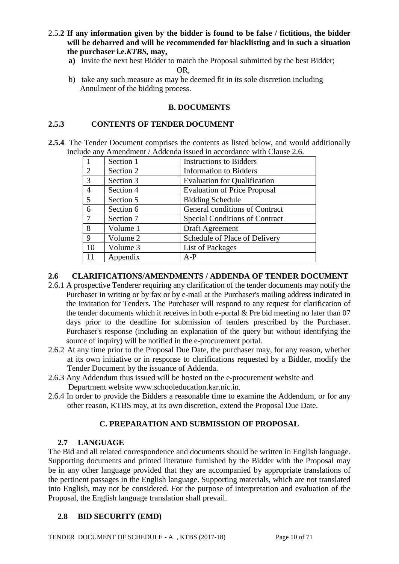- 2.5.**2 If any information given by the bidder is found to be false / fictitious, the bidder will be debarred and will be recommended for blacklisting and in such a situation the purchaser i.e.***KTBS,* **may,**
	- **a)** invite the next best Bidder to match the Proposal submitted by the best Bidder; OR,
	- b) take any such measure as may be deemed fit in its sole discretion including Annulment of the bidding process.

### **B. DOCUMENTS**

### **2.5.3 CONTENTS OF TENDER DOCUMENT**

**2.5.4** The Tender Document comprises the contents as listed below, and would additionally include any Amendment / Addenda issued in accordance with Clause 2.6.

|                | Section 1 | <b>Instructions to Bidders</b>        |
|----------------|-----------|---------------------------------------|
| 2              | Section 2 | <b>Information to Bidders</b>         |
| 3              | Section 3 | <b>Evaluation for Qualification</b>   |
| $\overline{4}$ | Section 4 | <b>Evaluation of Price Proposal</b>   |
| 5              | Section 5 | <b>Bidding Schedule</b>               |
| 6              | Section 6 | General conditions of Contract        |
| 7              | Section 7 | <b>Special Conditions of Contract</b> |
| 8              | Volume 1  | Draft Agreement                       |
| 9              | Volume 2  | Schedule of Place of Delivery         |
| 10             | Volume 3  | <b>List of Packages</b>               |
| 11             | Appendix  | $A-P$                                 |

### **2.6 CLARIFICATIONS/AMENDMENTS / ADDENDA OF TENDER DOCUMENT**

- 2.6.1 A prospective Tenderer requiring any clarification of the tender documents may notify the Purchaser in writing or by fax or by e-mail at the Purchaser's mailing address indicated in the Invitation for Tenders. The Purchaser will respond to any request for clarification of the tender documents which it receives in both e-portal & Pre bid meeting no later than 07 days prior to the deadline for submission of tenders prescribed by the Purchaser. Purchaser's response (including an explanation of the query but without identifying the source of inquiry) will be notified in the e-procurement portal.
- 2.6.2 At any time prior to the Proposal Due Date, the purchaser may, for any reason, whether at its own initiative or in response to clarifications requested by a Bidder, modify the Tender Document by the issuance of Addenda.
- 2.6.3 Any Addendum thus issued will be hosted on the e-procurement website and Department website www.schooleducation.kar.nic.in.
- 2.6.4 In order to provide the Bidders a reasonable time to examine the Addendum, or for any other reason, KTBS may, at its own discretion, extend the Proposal Due Date.

### **C. PREPARATION AND SUBMISSION OF PROPOSAL**

#### **2.7 LANGUAGE**

The Bid and all related correspondence and documents should be written in English language. Supporting documents and printed literature furnished by the Bidder with the Proposal may be in any other language provided that they are accompanied by appropriate translations of the pertinent passages in the English language. Supporting materials, which are not translated into English, may not be considered. For the purpose of interpretation and evaluation of the Proposal, the English language translation shall prevail.

### **2.8 BID SECURITY (EMD)**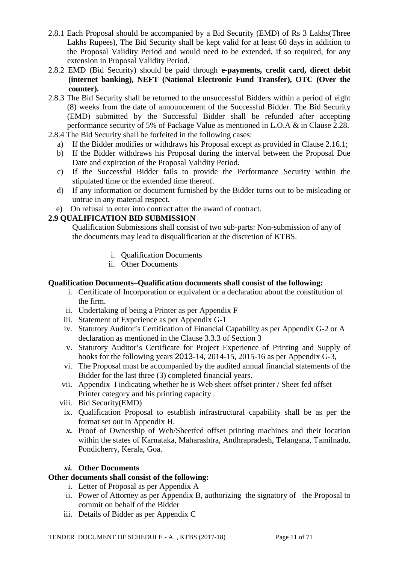- 2.8.1 Each Proposal should be accompanied by a Bid Security (EMD) of Rs 3 Lakhs(Three Lakhs Rupees), The Bid Security shall be kept valid for at least 60 days in addition to the Proposal Validity Period and would need to be extended, if so required, for any extension in Proposal Validity Period.
- 2.8.2 EMD (Bid Security) should be paid through **e-payments, credit card, direct debit (internet banking), NEFT (National Electronic Fund Transfer), OTC (Over the counter).**
- 2.8.3 The Bid Security shall be returned to the unsuccessful Bidders within a period of eight (8) weeks from the date of announcement of the Successful Bidder. The Bid Security (EMD) submitted by the Successful Bidder shall be refunded after accepting performance security of 5% of Package Value as mentioned in L.O.A & in Clause 2.28.
- 2.8.4 The Bid Security shall be forfeited in the following cases:
	- a) If the Bidder modifies or withdraws his Proposal except as provided in Clause 2.16.1;
	- b) If the Bidder withdraws his Proposal during the interval between the Proposal Due Date and expiration of the Proposal Validity Period.
	- c) If the Successful Bidder fails to provide the Performance Security within the stipulated time or the extended time thereof.
	- d) If any information or document furnished by the Bidder turns out to be misleading or untrue in any material respect.
	- e) On refusal to enter into contract after the award of contract.

### **2.9 QUALIFICATION BID SUBMISSION**

Qualification Submissions shall consist of two sub-parts: Non-submission of any of the documents may lead to disqualification at the discretion of KTBS.

- i. Qualification Documents
- ii. Other Documents

### **Qualification Documents***–***Qualification documents shall consist of the following:**

- i. Certificate of Incorporation or equivalent or a declaration about the constitution of the firm.
- ii. Undertaking of being a Printer as per Appendix F
- iii. Statement of Experience as per Appendix G-1
- iv. Statutory Auditor's Certification of Financial Capability as per Appendix G-2 or A declaration as mentioned in the Clause 3.3.3 of Section 3
- v. Statutory Auditor's Certificate for Project Experience of Printing and Supply of books for the following years 2013-14, 2014-15, 2015-16 as per Appendix G-3,
- vi. The Proposal must be accompanied by the audited annual financial statements of the Bidder for the last three (3) completed financial years.
- vii. Appendix I indicating whether he is Web sheet offset printer / Sheet fed offset Printer category and his printing capacity .
- viii. Bid Security(EMD)
- ix. Qualification Proposal to establish infrastructural capability shall be as per the format set out in Appendix H.
- *x.* Proof of Ownership of Web/Sheetfed offset printing machines and their location within the states of Karnataka, Maharashtra, Andhrapradesh, Telangana, Tamilnadu, Pondicherry, Kerala, Goa.

#### *xi.* **Other Documents**

#### **Other documents shall consist of the following:**

- i. Letter of Proposal as per Appendix A
- ii. Power of Attorney as per Appendix B, authorizing the signatory of the Proposal to commit on behalf of the Bidder
- iii. Details of Bidder as per Appendix C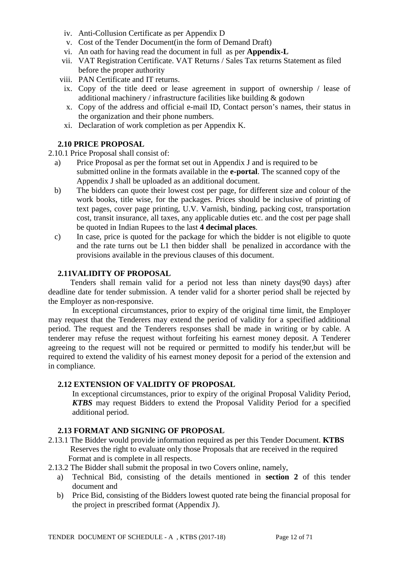- iv. Anti-Collusion Certificate as per Appendix D
- v. Cost of the Tender Document(in the form of Demand Draft)
- vi. An oath for having read the document in full as per **Appendix-L**
- vii. VAT Registration Certificate. VAT Returns / Sales Tax returns Statement as filed before the proper authority
- viii. PAN Certificate and IT returns.
- ix. Copy of the title deed or lease agreement in support of ownership / lease of additional machinery / infrastructure facilities like building & godown
- x. Copy of the address and official e-mail ID, Contact person's names, their status in the organization and their phone numbers.
- xi. Declaration of work completion as per Appendix K.

#### **2.10 PRICE PROPOSAL**

- 2.10.1 Price Proposal shall consist of:
	- a) Price Proposal as per the format set out in Appendix J and is required to be submitted online in the formats available in the **e-portal**. The scanned copy of the Appendix J shall be uploaded as an additional document.
	- b) The bidders can quote their lowest cost per page, for different size and colour of the work books, title wise, for the packages. Prices should be inclusive of printing of text pages, cover page printing, U.V. Varnish, binding, packing cost, transportation cost, transit insurance, all taxes, any applicable duties etc. and the cost per page shall be quoted in Indian Rupees to the last **4 decimal places**.
	- c) In case, price is quoted for the package for which the bidder is not eligible to quote and the rate turns out be L1 then bidder shall be penalized in accordance with the provisions available in the previous clauses of this document.

#### **2.11VALIDITY OF PROPOSAL**

 Tenders shall remain valid for a period not less than ninety days(90 days) after deadline date for tender submission. A tender valid for a shorter period shall be rejected by the Employer as non-responsive.

 In exceptional circumstances, prior to expiry of the original time limit, the Employer may request that the Tenderers may extend the period of validity for a specified additional period. The request and the Tenderers responses shall be made in writing or by cable. A tenderer may refuse the request without forfeiting his earnest money deposit. A Tenderer agreeing to the request will not be required or permitted to modify his tender,but will be required to extend the validity of his earnest money deposit for a period of the extension and in compliance.

#### **2.12 EXTENSION OF VALIDITY OF PROPOSAL**

In exceptional circumstances, prior to expiry of the original Proposal Validity Period, *KTBS* may request Bidders to extend the Proposal Validity Period for a specified additional period.

#### **2.13 FORMAT AND SIGNING OF PROPOSAL**

- 2.13.1 The Bidder would provide information required as per this Tender Document. **KTBS** Reserves the right to evaluate only those Proposals that are received in the required Format and is complete in all respects.
- 2.13.2 The Bidder shall submit the proposal in two Covers online, namely,
	- a) Technical Bid, consisting of the details mentioned in **section 2** of this tender document and
	- b) Price Bid, consisting of the Bidders lowest quoted rate being the financial proposal for the project in prescribed format (Appendix J).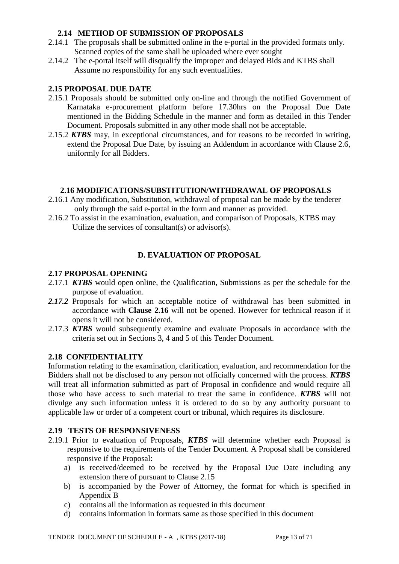### **2.14 METHOD OF SUBMISSION OF PROPOSALS**

- 2.14.1 The proposals shall be submitted online in the e-portal in the provided formats only. Scanned copies of the same shall be uploaded where ever sought
- 2.14.2 The e-portal itself will disqualify the improper and delayed Bids and KTBS shall Assume no responsibility for any such eventualities.

### **2.15 PROPOSAL DUE DATE**

- 2.15.1 Proposals should be submitted only on-line and through the notified Government of Karnataka e-procurement platform before 17.30hrs on the Proposal Due Date mentioned in the Bidding Schedule in the manner and form as detailed in this Tender Document. Proposals submitted in any other mode shall not be acceptable.
- 2.15.2 *KTBS* may, in exceptional circumstances, and for reasons to be recorded in writing, extend the Proposal Due Date, by issuing an Addendum in accordance with Clause 2.6, uniformly for all Bidders.

#### **2.16 MODIFICATIONS/SUBSTITUTION/WITHDRAWAL OF PROPOSALS**

- 2.16.1 Any modification, Substitution, withdrawal of proposal can be made by the tenderer only through the said e-portal in the form and manner as provided.
- 2.16.2 To assist in the examination, evaluation, and comparison of Proposals, KTBS may Utilize the services of consultant(s) or advisor(s).

### **D. EVALUATION OF PROPOSAL**

#### **2.17 PROPOSAL OPENING**

- 2.17.1 *KTBS* would open online, the Qualification, Submissions as per the schedule for the purpose of evaluation.
- *2.17.2* Proposals for which an acceptable notice of withdrawal has been submitted in accordance with **Clause 2.16** will not be opened. However for technical reason if it opens it will not be considered.
- 2.17.3 *KTBS* would subsequently examine and evaluate Proposals in accordance with the criteria set out in Sections 3, 4 and 5 of this Tender Document.

### **2.18 CONFIDENTIALITY**

Information relating to the examination, clarification, evaluation, and recommendation for the Bidders shall not be disclosed to any person not officially concerned with the process. *KTBS* will treat all information submitted as part of Proposal in confidence and would require all those who have access to such material to treat the same in confidence. *KTBS* will not divulge any such information unless it is ordered to do so by any authority pursuant to applicable law or order of a competent court or tribunal, which requires its disclosure.

#### **2.19 TESTS OF RESPONSIVENESS**

- 2.19.1 Prior to evaluation of Proposals, *KTBS* will determine whether each Proposal is responsive to the requirements of the Tender Document. A Proposal shall be considered responsive if the Proposal:
	- a) is received/deemed to be received by the Proposal Due Date including any extension there of pursuant to Clause 2.15
	- b) is accompanied by the Power of Attorney, the format for which is specified in Appendix B
	- c) contains all the information as requested in this document
	- d) contains information in formats same as those specified in this document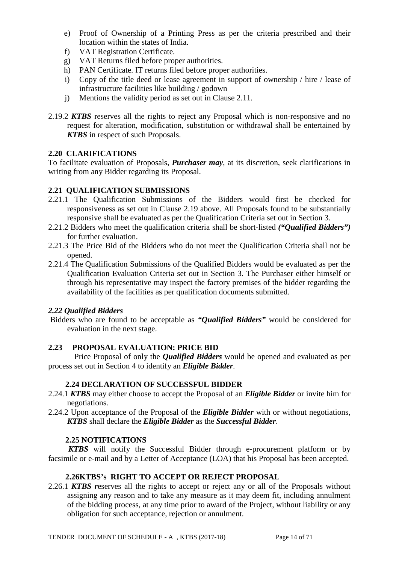- e) Proof of Ownership of a Printing Press as per the criteria prescribed and their location within the states of India.
- f) VAT Registration Certificate.
- g) VAT Returns filed before proper authorities.
- h) PAN Certificate. IT returns filed before proper authorities.
- i) Copy of the title deed or lease agreement in support of ownership / hire / lease of infrastructure facilities like building / godown
- j) Mentions the validity period as set out in Clause 2.11.
- 2.19.2 *KTBS* reserves all the rights to reject any Proposal which is non-responsive and no request for alteration, modification, substitution or withdrawal shall be entertained by *KTBS* in respect of such Proposals.

## **2.20 CLARIFICATIONS**

To facilitate evaluation of Proposals, *Purchaser may*, at its discretion, seek clarifications in writing from any Bidder regarding its Proposal.

## **2.21 QUALIFICATION SUBMISSIONS**

- 2.21.1 The Qualification Submissions of the Bidders would first be checked for responsiveness as set out in Clause 2.19 above. All Proposals found to be substantially responsive shall be evaluated as per the Qualification Criteria set out in Section 3.
- 2.21.2 Bidders who meet the qualification criteria shall be short-listed *("Qualified Bidders")* for further evaluation.
- 2.21.3 The Price Bid of the Bidders who do not meet the Qualification Criteria shall not be opened.
- 2.21.4 The Qualification Submissions of the Qualified Bidders would be evaluated as per the Qualification Evaluation Criteria set out in Section 3. The Purchaser either himself or through his representative may inspect the factory premises of the bidder regarding the availability of the facilities as per qualification documents submitted.

### *2.22 Qualified Bidders*

Bidders who are found to be acceptable as *"Qualified Bidders"* would be considered for evaluation in the next stage.

# **2.23 PROPOSAL EVALUATION: PRICE BID**

 Price Proposal of only the *Qualified Bidders* would be opened and evaluated as per process set out in Section 4 to identify an *Eligible Bidder*.

### **2.24 DECLARATION OF SUCCESSFUL BIDDER**

- 2.24.1 *KTBS* may either choose to accept the Proposal of an *Eligible Bidder* or invite him for negotiations.
- 2.24.2 Upon acceptance of the Proposal of the *Eligible Bidder* with or without negotiations, *KTBS* shall declare the *Eligible Bidder* as the *Successful Bidder*.

### **2.25 NOTIFICATIONS**

 *KTBS* will notify the Successful Bidder through e-procurement platform or by facsimile or e-mail and by a Letter of Acceptance (LOA) that his Proposal has been accepted.

### **2.26KTBS's RIGHT TO ACCEPT OR REJECT PROPOSAL**

2.26.1 *KTBS r*eserves all the rights to accept or reject any or all of the Proposals without assigning any reason and to take any measure as it may deem fit, including annulment of the bidding process, at any time prior to award of the Project, without liability or any obligation for such acceptance, rejection or annulment.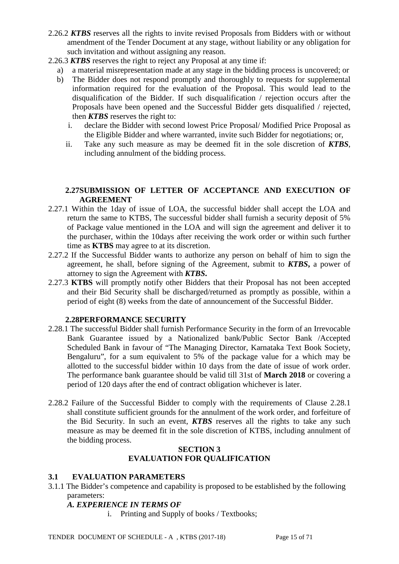- 2.26.2 *KTBS* reserves all the rights to invite revised Proposals from Bidders with or without amendment of the Tender Document at any stage, without liability or any obligation for such invitation and without assigning any reason.
- 2.26.3 *KTBS* reserves the right to reject any Proposal at any time if:
	- a) a material misrepresentation made at any stage in the bidding process is uncovered; or
	- b) The Bidder does not respond promptly and thoroughly to requests for supplemental information required for the evaluation of the Proposal. This would lead to the disqualification of the Bidder. If such disqualification / rejection occurs after the Proposals have been opened and the Successful Bidder gets disqualified / rejected, then *KTBS* reserves the right to:
		- i. declare the Bidder with second lowest Price Proposal/ Modified Price Proposal as the Eligible Bidder and where warranted, invite such Bidder for negotiations; or,
		- ii. Take any such measure as may be deemed fit in the sole discretion of *KTBS*, including annulment of the bidding process.

### **2.27SUBMISSION OF LETTER OF ACCEPTANCE AND EXECUTION OF AGREEMENT**

- 2.27.1 Within the 1day of issue of LOA, the successful bidder shall accept the LOA and return the same to KTBS, The successful bidder shall furnish a security deposit of 5% of Package value mentioned in the LOA and will sign the agreement and deliver it to the purchaser, within the 10days after receiving the work order or within such further time as **KTBS** may agree to at its discretion.
- 2.27.2 If the Successful Bidder wants to authorize any person on behalf of him to sign the agreement, he shall, before signing of the Agreement, submit to *KTBS***,** a power of attorney to sign the Agreement with *KTBS***.**
- 2.27.3 **KTBS** will promptly notify other Bidders that their Proposal has not been accepted and their Bid Security shall be discharged/returned as promptly as possible, within a period of eight (8) weeks from the date of announcement of the Successful Bidder.

### **2.28PERFORMANCE SECURITY**

- 2.28.1 The successful Bidder shall furnish Performance Security in the form of an Irrevocable Bank Guarantee issued by a Nationalized bank/Public Sector Bank /Accepted Scheduled Bank in favour of "The Managing Director, Karnataka Text Book Society, Bengaluru", for a sum equivalent to 5% of the package value for a which may be allotted to the successful bidder within 10 days from the date of issue of work order. The performance bank guarantee should be valid till 31st of **March 2018** or covering a period of 120 days after the end of contract obligation whichever is later.
- 2.28.2 Failure of the Successful Bidder to comply with the requirements of Clause 2.28.1 shall constitute sufficient grounds for the annulment of the work order, and forfeiture of the Bid Security. In such an event, *KTBS* reserves all the rights to take any such measure as may be deemed fit in the sole discretion of KTBS, including annulment of the bidding process.

### **SECTION 3 EVALUATION FOR QUALIFICATION**

#### **3.1 EVALUATION PARAMETERS**

3.1.1 The Bidder's competence and capability is proposed to be established by the following parameters:

### *A. EXPERIENCE IN TERMS OF*

i. Printing and Supply of books / Textbooks;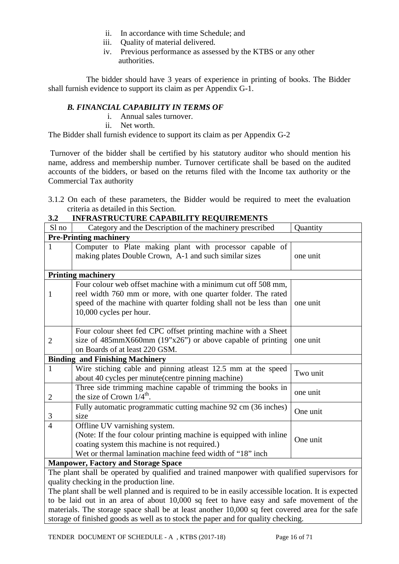- ii. In accordance with time Schedule; and
- iii. Quality of material delivered.
- iv. Previous performance as assessed by the KTBS or any other authorities.

 The bidder should have 3 years of experience in printing of books. The Bidder shall furnish evidence to support its claim as per Appendix G-1.

## *B. FINANCIAL CAPABILITY IN TERMS OF*

- i. Annual sales turnover.
- ii. Net worth.

The Bidder shall furnish evidence to support its claim as per Appendix G-2

Turnover of the bidder shall be certified by his statutory auditor who should mention his name, address and membership number. Turnover certificate shall be based on the audited accounts of the bidders, or based on the returns filed with the Income tax authority or the Commercial Tax authority

3.1.2 On each of these parameters, the Bidder would be required to meet the evaluation criteria as detailed in this Section.

| J.Z            | INFRASTRUCTURE CAPABILITT REQUIREMENTS                                                       |          |
|----------------|----------------------------------------------------------------------------------------------|----------|
| Sl no          | Category and the Description of the machinery prescribed                                     | Quantity |
|                | <b>Pre-Printing machinery</b>                                                                |          |
| $\mathbf{1}$   | Computer to Plate making plant with processor capable of                                     |          |
|                | making plates Double Crown, A-1 and such similar sizes                                       | one unit |
|                |                                                                                              |          |
|                | <b>Printing machinery</b>                                                                    |          |
|                | Four colour web offset machine with a minimum cut off 508 mm,                                |          |
| 1              | reel width 760 mm or more, with one quarter folder. The rated                                |          |
|                | speed of the machine with quarter folding shall not be less than                             | one unit |
|                | 10,000 cycles per hour.                                                                      |          |
|                |                                                                                              |          |
|                | Four colour sheet fed CPC offset printing machine with a Sheet                               |          |
| $\overline{2}$ | size of $485$ mmX660mm $(19"x26")$ or above capable of printing                              | one unit |
|                | on Boards of at least 220 GSM.                                                               |          |
|                | <b>Binding and Finishing Machinery</b>                                                       |          |
| $\mathbf{1}$   | Wire stiching cable and pinning atleast 12.5 mm at the speed                                 | Two unit |
|                | about 40 cycles per minute(centre pinning machine)                                           |          |
|                | Three side trimming machine capable of trimming the books in                                 | one unit |
| $\overline{2}$ | the size of Crown $1/4^{\text{th}}$ .                                                        |          |
|                | Fully automatic programmatic cutting machine 92 cm (36 inches)                               | One unit |
| 3              | size                                                                                         |          |
| $\overline{4}$ | Offline UV varnishing system.                                                                |          |
|                | (Note: If the four colour printing machine is equipped with inline                           | One unit |
|                | coating system this machine is not required.)                                                |          |
|                | Wet or thermal lamination machine feed width of "18" inch                                    |          |
|                | <b>Manpower, Factory and Storage Space</b>                                                   |          |
|                | The plant shall be operated by qualified and trained manpower with qualified supervisors for |          |
|                | quality checking in the production line.                                                     |          |

**3.2 INFRASTRUCTURE CAPABILITY REQUIREMENTS**

The plant shall be well planned and is required to be in easily accessible location. It is expected to be laid out in an area of about 10,000 sq feet to have easy and safe movement of the materials. The storage space shall be at least another 10,000 sq feet covered area for the safe storage of finished goods as well as to stock the paper and for quality checking.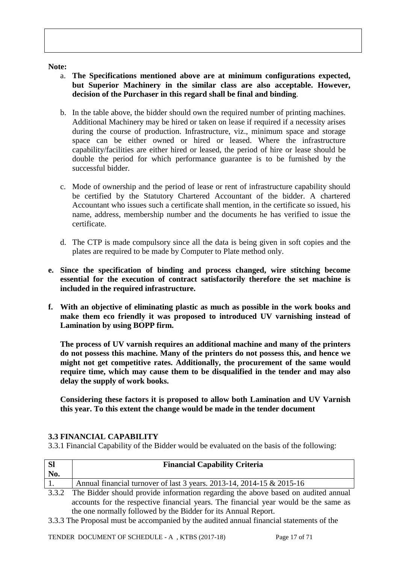#### **Note:**

- a. **The Specifications mentioned above are at minimum configurations expected, but Superior Machinery in the similar class are also acceptable. However, decision of the Purchaser in this regard shall be final and binding**.
- b. In the table above, the bidder should own the required number of printing machines. Additional Machinery may be hired or taken on lease if required if a necessity arises during the course of production. Infrastructure, viz., minimum space and storage space can be either owned or hired or leased. Where the infrastructure capability/facilities are either hired or leased, the period of hire or lease should be double the period for which performance guarantee is to be furnished by the successful bidder.
- c. Mode of ownership and the period of lease or rent of infrastructure capability should be certified by the Statutory Chartered Accountant of the bidder. A chartered Accountant who issues such a certificate shall mention, in the certificate so issued, his name, address, membership number and the documents he has verified to issue the certificate.
- d. The CTP is made compulsory since all the data is being given in soft copies and the plates are required to be made by Computer to Plate method only.
- **e. Since the specification of binding and process changed, wire stitching become essential for the execution of contract satisfactorily therefore the set machine is included in the required infrastructure.**
- **f. With an objective of eliminating plastic as much as possible in the work books and make them eco friendly it was proposed to introduced UV varnishing instead of Lamination by using BOPP firm.**

**The process of UV varnish requires an additional machine and many of the printers do not possess this machine. Many of the printers do not possess this, and hence we might not get competitive rates. Additionally, the procurement of the same would require time, which may cause them to be disqualified in the tender and may also delay the supply of work books.**

**Considering these factors it is proposed to allow both Lamination and UV Varnish this year. To this extent the change would be made in the tender document**

#### **3.3 FINANCIAL CAPABILITY**

3.3.1 Financial Capability of the Bidder would be evaluated on the basis of the following:

| <b>SI</b><br>No. | <b>Financial Capability Criteria</b>                                  |
|------------------|-----------------------------------------------------------------------|
|                  | Annual financial turnover of last 3 years. 2013-14, 2014-15 & 2015-16 |

3.3.2 The Bidder should provide information regarding the above based on audited annual accounts for the respective financial years. The financial year would be the same as the one normally followed by the Bidder for its Annual Report.

3.3.3 The Proposal must be accompanied by the audited annual financial statements of the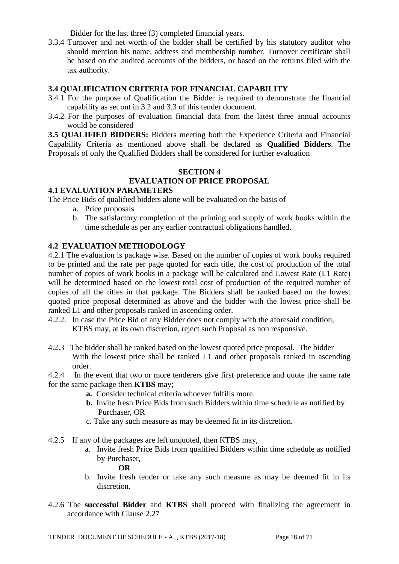Bidder for the last three (3) completed financial years.

3.3.4 Turnover and net worth of the bidder shall be certified by his statutory auditor who should mention his name, address and membership number. Turnover certificate shall be based on the audited accounts of the bidders, or based on the returns filed with the tax authority.

### **3.4 QUALIFICATION CRITERIA FOR FINANCIAL CAPABILITY**

- 3.4.1 For the purpose of Qualification the Bidder is required to demonstrate the financial capability as set out in 3.2 and 3.3 of this tender document.
- 3.4.2 For the purposes of evaluation financial data from the latest three annual accounts would be considered

**3.5 QUALIFIED BIDDERS:** Bidders meeting both the Experience Criteria and Financial Capability Criteria as mentioned above shall be declared as **Qualified Bidders**. The Proposals of only the Qualified Bidders shall be considered for further evaluation

#### **SECTION 4 EVALUATION OF PRICE PROPOSAL**

### **4.1 EVALUATION PARAMETERS**

The Price Bids of qualified bidders alone will be evaluated on the basis of

- a. Price proposals
- b. The satisfactory completion of the printing and supply of work books within the time schedule as per any earlier contractual obligations handled.

### **4.2 EVALUATION METHODOLOGY**

4.2.1 The evaluation is package wise. Based on the number of copies of work books required to be printed and the rate per page quoted for each title, the cost of production of the total number of copies of work books in a package will be calculated and Lowest Rate (L1 Rate) will be determined based on the lowest total cost of production of the required number of copies of all the titles in that package. The Bidders shall be ranked based on the lowest quoted price proposal determined as above and the bidder with the lowest price shall be ranked L1 and other proposals ranked in ascending order.

- 4.2.2. In case the Price Bid of any Bidder does not comply with the aforesaid condition, KTBS may, at its own discretion, reject such Proposal as non responsive.
- 4.2.3 The bidder shall be ranked based on the lowest quoted price proposal. The bidder With the lowest price shall be ranked L1 and other proposals ranked in ascending order.
- 4.2.4 In the event that two or more tenderers give first preference and quote the same rate for the same package then **KTBS** may;
	- **a.** Consider technical criteria whoever fulfills more.
	- **b.** Invite fresh Price Bids from such Bidders within time schedule as notified by Purchaser, OR
	- c. Take any such measure as may be deemed fit in its discretion.
- 4.2.5 If any of the packages are left unquoted, then KTBS may,
	- a. Invite fresh Price Bids from qualified Bidders within time schedule as notified by Purchaser,

 **OR**

- b. Invite fresh tender or take any such measure as may be deemed fit in its discretion.
- 4.2.6 The **successful Bidder** and **KTBS** shall proceed with finalizing the agreement in accordance with Clause 2.27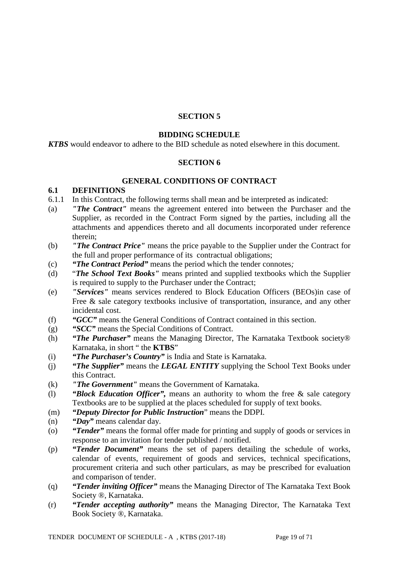### **SECTION 5**

#### **BIDDING SCHEDULE**

*KTBS* would endeavor to adhere to the BID schedule as noted elsewhere in this document.

#### **SECTION 6**

#### **GENERAL CONDITIONS OF CONTRACT**

### **6.1 DEFINITIONS**

- 6.1.1 In this Contract, the following terms shall mean and be interpreted as indicated:
- (a) *"The Contract"* means the agreement entered into between the Purchaser and the Supplier, as recorded in the Contract Form signed by the parties, including all the attachments and appendices thereto and all documents incorporated under reference therein;
- (b) *"The Contract Price"* means the price payable to the Supplier under the Contract for the full and proper performance of its contractual obligations;
- (c) *"The Contract Period"* means the period which the tender connotes*;*
- (d) "*The School Text Books"* means printed and supplied textbooks which the Supplier is required to supply to the Purchaser under the Contract;
- (e) *"Services"* means services rendered to Block Education Officers (BEOs)in case of Free & sale category textbooks inclusive of transportation, insurance, and any other incidental cost.
- (f) *"GCC"* means the General Conditions of Contract contained in this section.
- (g) *"SCC"* means the Special Conditions of Contract.
- (h) *"The Purchaser"* means the Managing Director, The Karnataka Textbook society® Karnataka, in short " the **KTBS**"
- (i) *"The Purchaser's Country"* is India and State is Karnataka.
- (j) *"The Supplier"* means the *LEGAL ENTITY* supplying the School Text Books under this Contract.
- (k) *"The Government"* means the Government of Karnataka.
- (l) *"Block Education Officer",* means an authority to whom the free & sale category Textbooks are to be supplied at the places scheduled for supply of text books.
- (m) *"Deputy Director for Public Instruction*" means the DDPI.
- (n) *"Day"* means calendar day.
- (o) *"Tender"* means the formal offer made for printing and supply of goods or services in response to an invitation for tender published / notified.
- (p) *"Tender Document"* means the set of papers detailing the schedule of works, calendar of events, requirement of goods and services, technical specifications, procurement criteria and such other particulars, as may be prescribed for evaluation and comparison of tender.
- (q) *"Tender inviting Officer"* means the Managing Director of The Karnataka Text Book Society ®, Karnataka.
- (r) *"Tender accepting authority"* means the Managing Director, The Karnataka Text Book Society ®, Karnataka.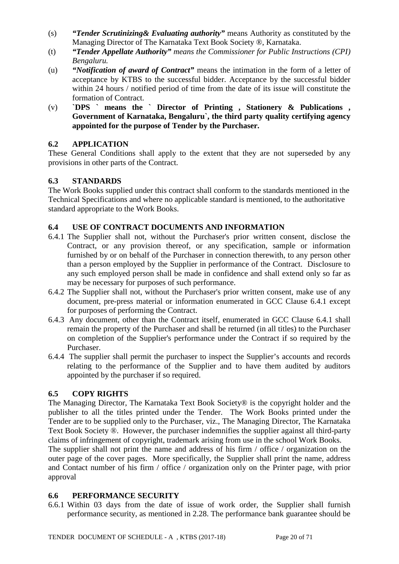- (s) *"Tender Scrutinizing& Evaluating authority"* means Authority as constituted by the Managing Director of The Karnataka Text Book Society ®, Karnataka.
- (t) *"Tender Appellate Authority" means the Commissioner for Public Instructions (CPI) Bengaluru.*
- (u) *"Notification of award of Contract"* means the intimation in the form of a letter of acceptance by KTBS to the successful bidder. Acceptance by the successful bidder within 24 hours / notified period of time from the date of its issue will constitute the formation of Contract.
- (v) **`DPS ` means the ` Director of Printing , Stationery & Publications , Government of Karnataka, Bengaluru`, the third party quality certifying agency appointed for the purpose of Tender by the Purchaser.**

# **6.2 APPLICATION**

These General Conditions shall apply to the extent that they are not superseded by any provisions in other parts of the Contract.

### **6.3 STANDARDS**

The Work Books supplied under this contract shall conform to the standards mentioned in the Technical Specifications and where no applicable standard is mentioned, to the authoritative standard appropriate to the Work Books.

## **6.4 USE OF CONTRACT DOCUMENTS AND INFORMATION**

- 6.4.1 The Supplier shall not, without the Purchaser's prior written consent, disclose the Contract, or any provision thereof, or any specification, sample or information furnished by or on behalf of the Purchaser in connection therewith, to any person other than a person employed by the Supplier in performance of the Contract. Disclosure to any such employed person shall be made in confidence and shall extend only so far as may be necessary for purposes of such performance.
- 6.4.2 The Supplier shall not, without the Purchaser's prior written consent, make use of any document, pre-press material or information enumerated in GCC Clause 6.4.1 except for purposes of performing the Contract.
- 6.4.3 Any document, other than the Contract itself, enumerated in GCC Clause 6.4.1 shall remain the property of the Purchaser and shall be returned (in all titles) to the Purchaser on completion of the Supplier's performance under the Contract if so required by the Purchaser.
- 6.4.4 The supplier shall permit the purchaser to inspect the Supplier's accounts and records relating to the performance of the Supplier and to have them audited by auditors appointed by the purchaser if so required.

# **6.5 COPY RIGHTS**

The Managing Director, The Karnataka Text Book Society® is the copyright holder and the publisher to all the titles printed under the Tender. The Work Books printed under the Tender are to be supplied only to the Purchaser, viz., The Managing Director, The Karnataka Text Book Society ®. However, the purchaser indemnifies the supplier against all third-party claims of infringement of copyright, trademark arising from use in the school Work Books.

The supplier shall not print the name and address of his firm / office / organization on the outer page of the cover pages. More specifically, the Supplier shall print the name, address and Contact number of his firm / office / organization only on the Printer page, with prior approval

### **6.6 PERFORMANCE SECURITY**

6.6.1 Within 03 days from the date of issue of work order, the Supplier shall furnish performance security, as mentioned in 2.28. The performance bank guarantee should be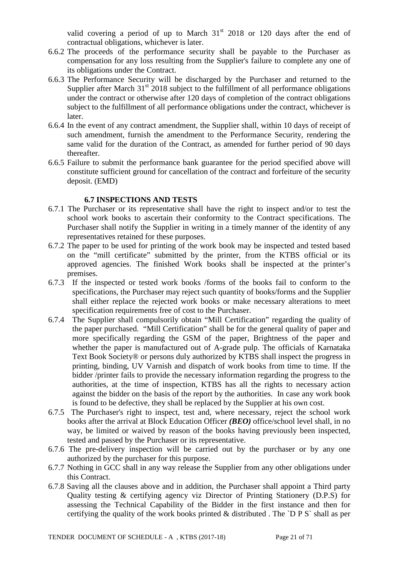valid covering a period of up to March  $31<sup>st</sup>$  2018 or 120 days after the end of contractual obligations, whichever is later.

- 6.6.2 The proceeds of the performance security shall be payable to the Purchaser as compensation for any loss resulting from the Supplier's failure to complete any one of its obligations under the Contract.
- 6.6.3 The Performance Security will be discharged by the Purchaser and returned to the Supplier after March  $31<sup>st</sup>$  2018 subject to the fulfillment of all performance obligations under the contract or otherwise after 120 days of completion of the contract obligations subject to the fulfillment of all performance obligations under the contract, whichever is later.
- 6.6.4 In the event of any contract amendment, the Supplier shall, within 10 days of receipt of such amendment, furnish the amendment to the Performance Security, rendering the same valid for the duration of the Contract, as amended for further period of 90 days thereafter.
- 6.6.5 Failure to submit the performance bank guarantee for the period specified above will constitute sufficient ground for cancellation of the contract and forfeiture of the security deposit. (EMD)

### **6.7 INSPECTIONS AND TESTS**

- 6.7.1 The Purchaser or its representative shall have the right to inspect and/or to test the school work books to ascertain their conformity to the Contract specifications. The Purchaser shall notify the Supplier in writing in a timely manner of the identity of any representatives retained for these purposes.
- 6.7.2 The paper to be used for printing of the work book may be inspected and tested based on the "mill certificate" submitted by the printer, from the KTBS official or its approved agencies. The finished Work books shall be inspected at the printer's premises.
- 6.7.3 If the inspected or tested work books /forms of the books fail to conform to the specifications, the Purchaser may reject such quantity of books/forms and the Supplier shall either replace the rejected work books or make necessary alterations to meet specification requirements free of cost to the Purchaser.
- 6.7.4 The Supplier shall compulsorily obtain "Mill Certification" regarding the quality of the paper purchased. "Mill Certification" shall be for the general quality of paper and more specifically regarding the GSM of the paper, Brightness of the paper and whether the paper is manufactured out of A-grade pulp. The officials of Karnataka Text Book Society® or persons duly authorized by KTBS shall inspect the progress in printing, binding, UV Varnish and dispatch of work books from time to time. If the bidder /printer fails to provide the necessary information regarding the progress to the authorities, at the time of inspection, KTBS has all the rights to necessary action against the bidder on the basis of the report by the authorities. In case any work book is found to be defective, they shall be replaced by the Supplier at his own cost.
- 6.7.5 The Purchaser's right to inspect, test and, where necessary, reject the school work books after the arrival at Block Education Officer *(BEO)* office/school level shall, in no way, be limited or waived by reason of the books having previously been inspected, tested and passed by the Purchaser or its representative.
- 6.7.6 The pre-delivery inspection will be carried out by the purchaser or by any one authorized by the purchaser for this purpose.
- 6.7.7 Nothing in GCC shall in any way release the Supplier from any other obligations under this Contract.
- 6.7.8 Saving all the clauses above and in addition, the Purchaser shall appoint a Third party Quality testing & certifying agency viz Director of Printing Stationery (D.P.S) for assessing the Technical Capability of the Bidder in the first instance and then for certifying the quality of the work books printed & distributed . The `D P S` shall as per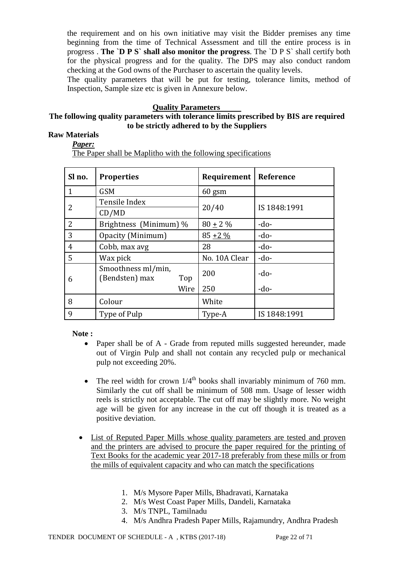the requirement and on his own initiative may visit the Bidder premises any time beginning from the time of Technical Assessment and till the entire process is in progress . **The `D P S` shall also monitor the progress**. The `D P S` shall certify both for the physical progress and for the quality. The DPS may also conduct random checking at the God owns of the Purchaser to ascertain the quality levels.

The quality parameters that will be put for testing, tolerance limits, method of Inspection, Sample size etc is given in Annexure below.

#### **Quality Parameters**

### **The following quality parameters with tolerance limits prescribed by BIS are required to be strictly adhered to by the Suppliers**

### **Raw Materials**

*Paper:* The Paper shall be Maplitho with the following specifications

| Sl no. | <b>Properties</b>                           | Requirement   | Reference    |
|--------|---------------------------------------------|---------------|--------------|
| 1      | <b>GSM</b>                                  | $60$ gsm      |              |
|        | Tensile Index                               |               | IS 1848:1991 |
| 2      | CD/MD                                       | 20/40         |              |
| 2      | Brightness (Minimum) %                      | $80 \pm 2 \%$ | $-do-$       |
| 3      | Opacity (Minimum)                           | $85 + 2\%$    | $-do-$       |
| 4      | Cobb, max avg                               | 28            | $-do-$       |
| 5      | Wax pick                                    | No. 10A Clear | $-do-$       |
| 6      | Smoothness ml/min,<br>(Bendsten) max<br>Top | 200           | $-do-$       |
|        | Wire                                        | 250           | $-do-$       |
| 8      | Colour                                      | White         |              |
| 9      | Type of Pulp                                | Type-A        | IS 1848:1991 |

**Note :**

- Paper shall be of A Grade from reputed mills suggested hereunder, made out of Virgin Pulp and shall not contain any recycled pulp or mechanical pulp not exceeding 20%.
- The reel width for crown  $1/4^{\text{th}}$  books shall invariably minimum of 760 mm. Similarly the cut off shall be minimum of 508 mm. Usage of lesser width reels is strictly not acceptable. The cut off may be slightly more. No weight age will be given for any increase in the cut off though it is treated as a positive deviation.
- List of Reputed Paper Mills whose quality parameters are tested and proven and the printers are advised to procure the paper required for the printing of Text Books for the academic year 2017-18 preferably from these mills or from the mills of equivalent capacity and who can match the specifications
	- 1. M/s Mysore Paper Mills, Bhadravati, Karnataka
	- 2. M/s West Coast Paper Mills, Dandeli, Karnataka
	- 3. M/s TNPL, Tamilnadu
	- 4. M/s Andhra Pradesh Paper Mills, Rajamundry, Andhra Pradesh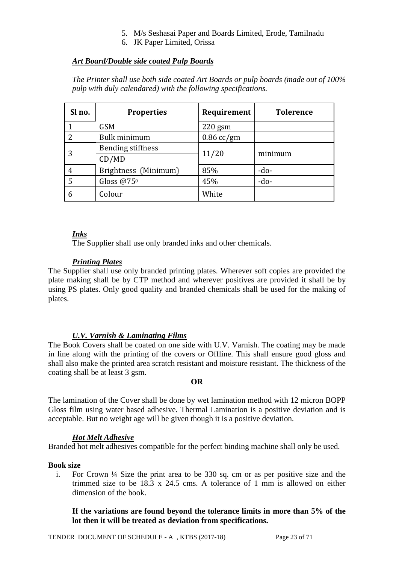- 5. M/s Seshasai Paper and Boards Limited, Erode, Tamilnadu
- 6. JK Paper Limited, Orissa

# *Art Board/Double side coated Pulp Boards*

*The Printer shall use both side coated Art Boards or pulp boards (made out of 100% pulp with duly calendared) with the following specifications.* 

| Sl no.         | <b>Properties</b>        | Requirement  | <b>Tolerence</b> |
|----------------|--------------------------|--------------|------------------|
|                | <b>GSM</b>               | $220$ gsm    |                  |
| $\overline{2}$ | Bulk minimum             | $0.86$ cc/gm |                  |
|                | <b>Bending stiffness</b> |              |                  |
| 3              | CD/MD                    | 11/20        | minimum          |
| 4              | Brightness (Minimum)     | 85%          | $-do-$           |
| 5              | Gloss $@75°$             | 45%          | $-do-$           |
| 6              | Colour                   | White        |                  |

### *Inks*

The Supplier shall use only branded inks and other chemicals.

### *Printing Plates*

The Supplier shall use only branded printing plates. Wherever soft copies are provided the plate making shall be by CTP method and wherever positives are provided it shall be by using PS plates. Only good quality and branded chemicals shall be used for the making of plates.

### *U.V. Varnish & Laminating Films*

The Book Covers shall be coated on one side with U.V. Varnish. The coating may be made in line along with the printing of the covers or Offline. This shall ensure good gloss and shall also make the printed area scratch resistant and moisture resistant. The thickness of the coating shall be at least 3 gsm.

#### **OR**

The lamination of the Cover shall be done by wet lamination method with 12 micron BOPP Gloss film using water based adhesive. Thermal Lamination is a positive deviation and is acceptable. But no weight age will be given though it is a positive deviation.

#### *Hot Melt Adhesive*

Branded hot melt adhesives compatible for the perfect binding machine shall only be used.

#### **Book size**

i. For Crown ¼ Size the print area to be 330 sq. cm or as per positive size and the trimmed size to be 18.3 x 24.5 cms. A tolerance of 1 mm is allowed on either dimension of the book.

### **If the variations are found beyond the tolerance limits in more than 5% of the lot then it will be treated as deviation from specifications.**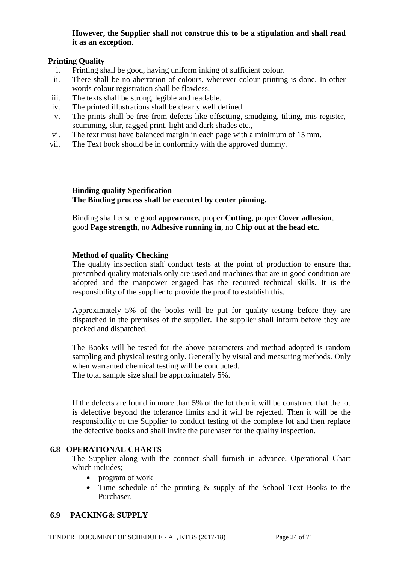### **However, the Supplier shall not construe this to be a stipulation and shall read it as an exception**.

### **Printing Quality**

- i. Printing shall be good, having uniform inking of sufficient colour.
- ii. There shall be no aberration of colours, wherever colour printing is done. In other words colour registration shall be flawless.
- iii. The texts shall be strong, legible and readable.
- iv. The printed illustrations shall be clearly well defined.
- v. The prints shall be free from defects like offsetting, smudging, tilting, mis-register, scumming, slur, ragged print, light and dark shades etc.,
- vi. The text must have balanced margin in each page with a minimum of 15 mm.
- vii. The Text book should be in conformity with the approved dummy.

**Binding quality Specification The Binding process shall be executed by center pinning.**

Binding shall ensure good **appearance,** proper **Cutting**, proper **Cover adhesion**, good **Page strength**, no **Adhesive running in**, no **Chip out at the head etc.**

### **Method of quality Checking**

The quality inspection staff conduct tests at the point of production to ensure that prescribed quality materials only are used and machines that are in good condition are adopted and the manpower engaged has the required technical skills. It is the responsibility of the supplier to provide the proof to establish this.

Approximately 5% of the books will be put for quality testing before they are dispatched in the premises of the supplier. The supplier shall inform before they are packed and dispatched.

The Books will be tested for the above parameters and method adopted is random sampling and physical testing only. Generally by visual and measuring methods. Only when warranted chemical testing will be conducted. The total sample size shall be approximately 5%.

If the defects are found in more than 5% of the lot then it will be construed that the lot is defective beyond the tolerance limits and it will be rejected. Then it will be the responsibility of the Supplier to conduct testing of the complete lot and then replace the defective books and shall invite the purchaser for the quality inspection.

#### **6.8 OPERATIONAL CHARTS**

The Supplier along with the contract shall furnish in advance, Operational Chart which includes;

- program of work
- Time schedule of the printing  $\&$  supply of the School Text Books to the Purchaser.

#### **6.9 PACKING& SUPPLY**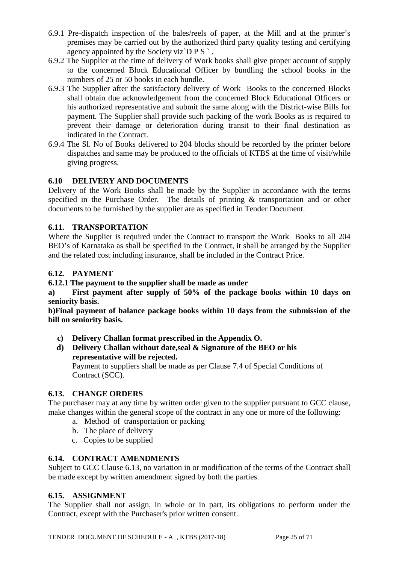- 6.9.1 Pre-dispatch inspection of the bales/reels of paper, at the Mill and at the printer's premises may be carried out by the authorized third party quality testing and certifying agency appointed by the Society viz $\overline{D} P S$ .
- 6.9.2 The Supplier at the time of delivery of Work books shall give proper account of supply to the concerned Block Educational Officer by bundling the school books in the numbers of 25 or 50 books in each bundle.
- 6.9.3 The Supplier after the satisfactory delivery of Work Books to the concerned Blocks shall obtain due acknowledgement from the concerned Block Educational Officers or his authorized representative and submit the same along with the District-wise Bills for payment. The Supplier shall provide such packing of the work Books as is required to prevent their damage or deterioration during transit to their final destination as indicated in the Contract.
- 6.9.4 The Sl. No of Books delivered to 204 blocks should be recorded by the printer before dispatches and same may be produced to the officials of KTBS at the time of visit/while giving progress.

## **6.10 DELIVERY AND DOCUMENTS**

Delivery of the Work Books shall be made by the Supplier in accordance with the terms specified in the Purchase Order. The details of printing & transportation and or other documents to be furnished by the supplier are as specified in Tender Document.

## **6.11. TRANSPORTATION**

Where the Supplier is required under the Contract to transport the Work Books to all 204 BEO's of Karnataka as shall be specified in the Contract, it shall be arranged by the Supplier and the related cost including insurance, shall be included in the Contract Price.

## **6.12. PAYMENT**

### **6.12.1 The payment to the supplier shall be made as under**

**a) First payment after supply of 50% of the package books within 10 days on seniority basis.** 

**b)Final payment of balance package books within 10 days from the submission of the bill on seniority basis.**

**c) Delivery Challan format prescribed in the Appendix O.**

# **d) Delivery Challan without date,seal & Signature of the BEO or his representative will be rejected.**

Payment to suppliers shall be made as per Clause 7.4 of Special Conditions of Contract (SCC).

### **6.13. CHANGE ORDERS**

The purchaser may at any time by written order given to the supplier pursuant to GCC clause, make changes within the general scope of the contract in any one or more of the following:

- a. Method of transportation or packing
- b. The place of delivery
- c. Copies to be supplied

### **6.14. CONTRACT AMENDMENTS**

Subject to GCC Clause 6.13, no variation in or modification of the terms of the Contract shall be made except by written amendment signed by both the parties.

### **6.15. ASSIGNMENT**

The Supplier shall not assign, in whole or in part, its obligations to perform under the Contract, except with the Purchaser's prior written consent.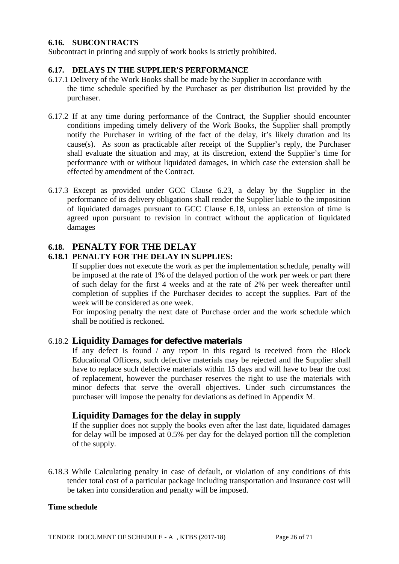#### **6.16. SUBCONTRACTS**

Subcontract in printing and supply of work books is strictly prohibited.

#### **6.17. DELAYS IN THE SUPPLIER'S PERFORMANCE**

- 6.17.1 Delivery of the Work Books shall be made by the Supplier in accordance with the time schedule specified by the Purchaser as per distribution list provided by the purchaser.
- 6.17.2 If at any time during performance of the Contract, the Supplier should encounter conditions impeding timely delivery of the Work Books, the Supplier shall promptly notify the Purchaser in writing of the fact of the delay, it's likely duration and its cause(s). As soon as practicable after receipt of the Supplier's reply, the Purchaser shall evaluate the situation and may, at its discretion, extend the Supplier's time for performance with or without liquidated damages, in which case the extension shall be effected by amendment of the Contract.
- 6.17.3 Except as provided under GCC Clause 6.23, a delay by the Supplier in the performance of its delivery obligations shall render the Supplier liable to the imposition of liquidated damages pursuant to GCC Clause 6.18, unless an extension of time is agreed upon pursuant to revision in contract without the application of liquidated damages

# **6.18. PENALTY FOR THE DELAY**

#### **6.18.1 PENALTY FOR THE DELAY IN SUPPLIES:**

If supplier does not execute the work as per the implementation schedule, penalty will be imposed at the rate of 1% of the delayed portion of the work per week or part there of such delay for the first 4 weeks and at the rate of 2% per week thereafter until completion of supplies if the Purchaser decides to accept the supplies. Part of the week will be considered as one week.

For imposing penalty the next date of Purchase order and the work schedule which shall be notified is reckoned.

#### 6.18.2 **Liquidity Damages for defective materials**

If any defect is found / any report in this regard is received from the Block Educational Officers, such defective materials may be rejected and the Supplier shall have to replace such defective materials within 15 days and will have to bear the cost of replacement, however the purchaser reserves the right to use the materials with minor defects that serve the overall objectives. Under such circumstances the purchaser will impose the penalty for deviations as defined in Appendix M.

### **Liquidity Damages for the delay in supply**

If the supplier does not supply the books even after the last date, liquidated damages for delay will be imposed at 0.5% per day for the delayed portion till the completion of the supply.

6.18.3 While Calculating penalty in case of default, or violation of any conditions of this tender total cost of a particular package including transportation and insurance cost will be taken into consideration and penalty will be imposed.

#### **Time schedule**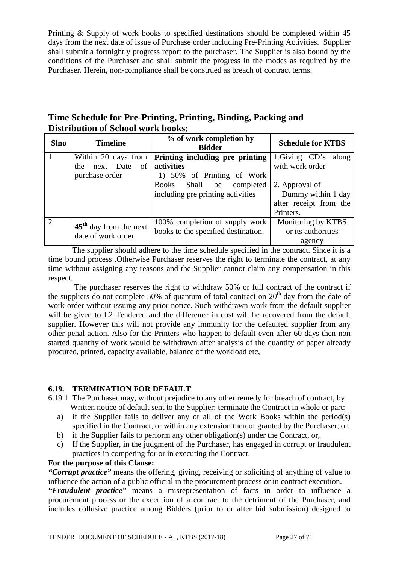Printing & Supply of work books to specified destinations should be completed within 45 days from the next date of issue of Purchase order including Pre-Printing Activities. Supplier shall submit a fortnightly progress report to the purchaser. The Supplier is also bound by the conditions of the Purchaser and shall submit the progress in the modes as required by the Purchaser. Herein, non-compliance shall be construed as breach of contract terms.

**Time Schedule for Pre-Printing, Printing, Binding, Packing and Distribution of School work books;**

| <b>Slno</b> | <b>Timeline</b>          | % of work completion by<br><b>Bidder</b> | <b>Schedule for KTBS</b> |
|-------------|--------------------------|------------------------------------------|--------------------------|
|             | Within 20 days from      | Printing including pre printing          | 1.Giving CD's along      |
|             | next Date<br>of<br>the.  | activities                               | with work order          |
|             | purchase order           | 1) 50% of Printing of Work               |                          |
|             |                          | Books Shall be completed                 | 2. Approval of           |
|             |                          | including pre printing activities        | Dummy within 1 day       |
|             |                          |                                          | after receipt from the   |
|             |                          |                                          | Printers.                |
| 2           | $45th$ day from the next | 100% completion of supply work           | Monitoring by KTBS       |
|             | date of work order       | books to the specified destination.      | or its authorities       |
|             |                          |                                          | agency                   |

The supplier should adhere to the time schedule specified in the contract. Since it is a time bound process .Otherwise Purchaser reserves the right to terminate the contract, at any time without assigning any reasons and the Supplier cannot claim any compensation in this respect.

 The purchaser reserves the right to withdraw 50% or full contract of the contract if the suppliers do not complete 50% of quantum of total contract on  $20<sup>th</sup>$  day from the date of work order without issuing any prior notice. Such withdrawn work from the default supplier will be given to L2 Tendered and the difference in cost will be recovered from the default supplier. However this will not provide any immunity for the defaulted supplier from any other penal action. Also for the Printers who happen to default even after 60 days then non started quantity of work would be withdrawn after analysis of the quantity of paper already procured, printed, capacity available, balance of the workload etc,

### **6.19. TERMINATION FOR DEFAULT**

6.19.1 The Purchaser may, without prejudice to any other remedy for breach of contract, by Written notice of default sent to the Supplier; terminate the Contract in whole or part:

- a) if the Supplier fails to deliver any or all of the Work Books within the period(s) specified in the Contract, or within any extension thereof granted by the Purchaser, or,
- b) if the Supplier fails to perform any other obligation(s) under the Contract, or,
- c) If the Supplier, in the judgment of the Purchaser, has engaged in corrupt or fraudulent practices in competing for or in executing the Contract.

### **For the purpose of this Clause:**

*"Corrupt practice"* means the offering, giving, receiving or soliciting of anything of value to influence the action of a public official in the procurement process or in contract execution.

*"Fraudulent practice"* means a misrepresentation of facts in order to influence a procurement process or the execution of a contract to the detriment of the Purchaser, and includes collusive practice among Bidders (prior to or after bid submission) designed to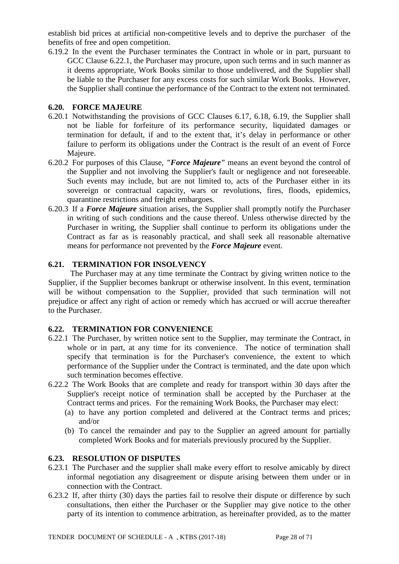establish bid prices at artificial non-competitive levels and to deprive the purchaser of the benefits of free and open competition.

6.19.2 In the event the Purchaser terminates the Contract in whole or in part, pursuant to GCC Clause 6.22.1, the Purchaser may procure, upon such terms and in such manner as it deems appropriate, Work Books similar to those undelivered, and the Supplier shall be liable to the Purchaser for any excess costs for such similar Work Books. However, the Supplier shall continue the performance of the Contract to the extent not terminated.

### **6.20. FORCE MAJEURE**

- 6.20.1 Notwithstanding the provisions of GCC Clauses 6.17, 6.18, 6.19, the Supplier shall not be liable for forfeiture of its performance security, liquidated damages or termination for default, if and to the extent that, it's delay in performance or other failure to perform its obligations under the Contract is the result of an event of Force Majeure.
- 6.20.2 For purposes of this Clause, *"Force Majeure"* means an event beyond the control of the Supplier and not involving the Supplier's fault or negligence and not foreseeable. Such events may include, but are not limited to, acts of the Purchaser either in its sovereign or contractual capacity, wars or revolutions, fires, floods, epidemics, quarantine restrictions and freight embargoes.
- 6.20.3 If a *Force Majeure* situation arises, the Supplier shall promptly notify the Purchaser in writing of such conditions and the cause thereof. Unless otherwise directed by the Purchaser in writing, the Supplier shall continue to perform its obligations under the Contract as far as is reasonably practical, and shall seek all reasonable alternative means for performance not prevented by the *Force Majeure* event.

## **6.21. TERMINATION FOR INSOLVENCY**

 The Purchaser may at any time terminate the Contract by giving written notice to the Supplier, if the Supplier becomes bankrupt or otherwise insolvent. In this event, termination will be without compensation to the Supplier, provided that such termination will not prejudice or affect any right of action or remedy which has accrued or will accrue thereafter to the Purchaser.

### **6.22. TERMINATION FOR CONVENIENCE**

- 6.22.1 The Purchaser, by written notice sent to the Supplier, may terminate the Contract, in whole or in part, at any time for its convenience. The notice of termination shall specify that termination is for the Purchaser's convenience, the extent to which performance of the Supplier under the Contract is terminated, and the date upon which such termination becomes effective.
- 6.22.2 The Work Books that are complete and ready for transport within 30 days after the Supplier's receipt notice of termination shall be accepted by the Purchaser at the Contract terms and prices. For the remaining Work Books, the Purchaser may elect:
	- (a) to have any portion completed and delivered at the Contract terms and prices; and/or
	- (b) To cancel the remainder and pay to the Supplier an agreed amount for partially completed Work Books and for materials previously procured by the Supplier.

### **6.23. RESOLUTION OF DISPUTES**

- 6.23.1 The Purchaser and the supplier shall make every effort to resolve amicably by direct informal negotiation any disagreement or dispute arising between them under or in connection with the Contract.
- 6.23.2 If, after thirty (30) days the parties fail to resolve their dispute or difference by such consultations, then either the Purchaser or the Supplier may give notice to the other party of its intention to commence arbitration, as hereinafter provided, as to the matter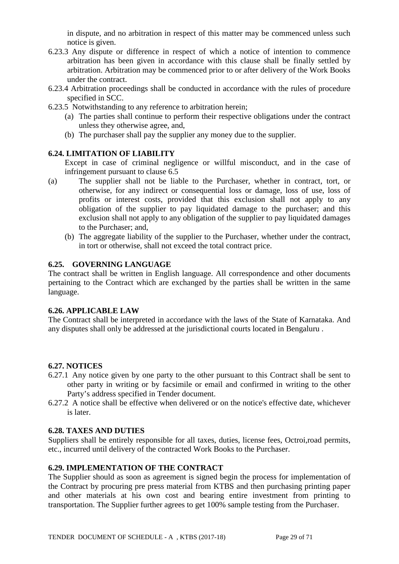in dispute, and no arbitration in respect of this matter may be commenced unless such notice is given.

- 6.23.3 Any dispute or difference in respect of which a notice of intention to commence arbitration has been given in accordance with this clause shall be finally settled by arbitration. Arbitration may be commenced prior to or after delivery of the Work Books under the contract.
- 6.23.4 Arbitration proceedings shall be conducted in accordance with the rules of procedure specified in SCC.
- 6.23.5 Notwithstanding to any reference to arbitration herein;
	- (a) The parties shall continue to perform their respective obligations under the contract unless they otherwise agree, and,
	- (b) The purchaser shall pay the supplier any money due to the supplier.

### **6.24. LIMITATION OF LIABILITY**

Except in case of criminal negligence or willful misconduct, and in the case of infringement pursuant to clause 6.5

- (a) The supplier shall not be liable to the Purchaser, whether in contract, tort, or otherwise, for any indirect or consequential loss or damage, loss of use, loss of profits or interest costs, provided that this exclusion shall not apply to any obligation of the supplier to pay liquidated damage to the purchaser; and this exclusion shall not apply to any obligation of the supplier to pay liquidated damages to the Purchaser; and,
	- (b) The aggregate liability of the supplier to the Purchaser, whether under the contract, in tort or otherwise, shall not exceed the total contract price.

### **6.25. GOVERNING LANGUAGE**

The contract shall be written in English language. All correspondence and other documents pertaining to the Contract which are exchanged by the parties shall be written in the same language.

#### **6.26. APPLICABLE LAW**

The Contract shall be interpreted in accordance with the laws of the State of Karnataka. And any disputes shall only be addressed at the jurisdictional courts located in Bengaluru .

### **6.27. NOTICES**

- 6.27.1 Any notice given by one party to the other pursuant to this Contract shall be sent to other party in writing or by facsimile or email and confirmed in writing to the other Party's address specified in Tender document.
- 6.27.2 A notice shall be effective when delivered or on the notice's effective date, whichever is later.

#### **6.28. TAXES AND DUTIES**

Suppliers shall be entirely responsible for all taxes, duties, license fees, Octroi,road permits, etc., incurred until delivery of the contracted Work Books to the Purchaser.

### **6.29. IMPLEMENTATION OF THE CONTRACT**

The Supplier should as soon as agreement is signed begin the process for implementation of the Contract by procuring pre press material from KTBS and then purchasing printing paper and other materials at his own cost and bearing entire investment from printing to transportation. The Supplier further agrees to get 100% sample testing from the Purchaser.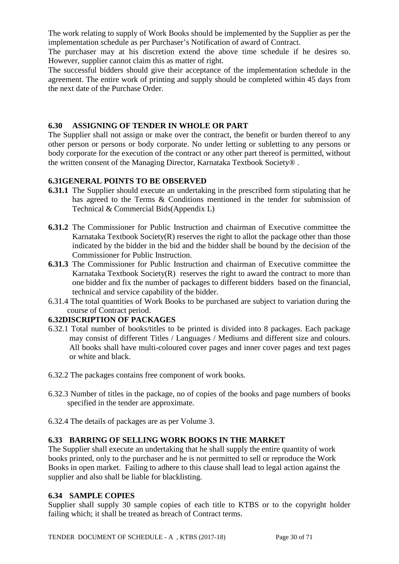The work relating to supply of Work Books should be implemented by the Supplier as per the implementation schedule as per Purchaser's Notification of award of Contract.

The purchaser may at his discretion extend the above time schedule if he desires so. However, supplier cannot claim this as matter of right.

The successful bidders should give their acceptance of the implementation schedule in the agreement. The entire work of printing and supply should be completed within 45 days from the next date of the Purchase Order.

### **6.30 ASSIGNING OF TENDER IN WHOLE OR PART**

The Supplier shall not assign or make over the contract, the benefit or burden thereof to any other person or persons or body corporate. No under letting or subletting to any persons or body corporate for the execution of the contract or any other part thereof is permitted, without the written consent of the Managing Director, Karnataka Textbook Society® .

## **6.31GENERAL POINTS TO BE OBSERVED**

- **6.31.1** The Supplier should execute an undertaking in the prescribed form stipulating that he has agreed to the Terms & Conditions mentioned in the tender for submission of Technical & Commercial Bids(Appendix L)
- **6.31.2** The Commissioner for Public Instruction and chairman of Executive committee the Karnataka Textbook Society $(R)$  reserves the right to allot the package other than those indicated by the bidder in the bid and the bidder shall be bound by the decision of the Commissioner for Public Instruction.
- **6.31.3** The Commissioner for Public Instruction and chairman of Executive committee the Karnataka Textbook Society $(R)$  reserves the right to award the contract to more than one bidder and fix the number of packages to different bidders based on the financial, technical and service capability of the bidder.
- 6.31.4 The total quantities of Work Books to be purchased are subject to variation during the course of Contract period.

### **6.32DISCRIPTION OF PACKAGES**

- 6.32.1 Total number of books/titles to be printed is divided into 8 packages. Each package may consist of different Titles / Languages / Mediums and different size and colours. All books shall have multi-coloured cover pages and inner cover pages and text pages or white and black.
- 6.32.2 The packages contains free component of work books.
- 6.32.3 Number of titles in the package, no of copies of the books and page numbers of books specified in the tender are approximate.
- 6.32.4 The details of packages are as per Volume 3.

### **6.33 BARRING OF SELLING WORK BOOKS IN THE MARKET**

The Supplier shall execute an undertaking that he shall supply the entire quantity of work books printed, only to the purchaser and he is not permitted to sell or reproduce the Work Books in open market. Failing to adhere to this clause shall lead to legal action against the supplier and also shall be liable for blacklisting.

### **6.34 SAMPLE COPIES**

Supplier shall supply 30 sample copies of each title to KTBS or to the copyright holder failing which; it shall be treated as breach of Contract terms.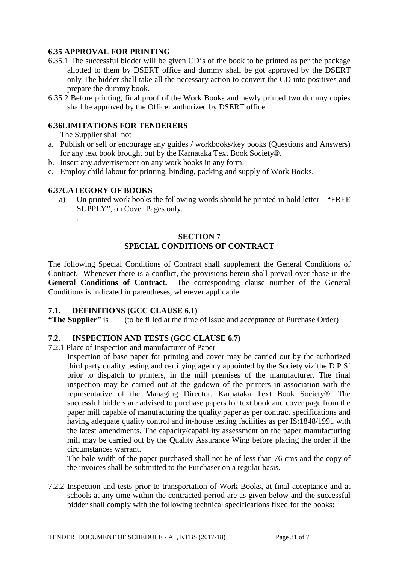### **6.35 APPROVAL FOR PRINTING**

- 6.35.1 The successful bidder will be given CD's of the book to be printed as per the package allotted to them by DSERT office and dummy shall be got approved by the DSERT only The bidder shall take all the necessary action to convert the CD into positives and prepare the dummy book.
- 6.35.2 Before printing, final proof of the Work Books and newly printed two dummy copies shall be approved by the Officer authorized by DSERT office.

### **6.36LIMITATIONS FOR TENDERERS**

The Supplier shall not

- a. Publish or sell or encourage any guides / workbooks/key books (Questions and Answers) for any text book brought out by the Karnataka Text Book Society®.
- b. Insert any advertisement on any work books in any form.
- c. Employ child labour for printing, binding, packing and supply of Work Books.

#### **6.37CATEGORY OF BOOKS**

.

a) On printed work books the following words should be printed in bold letter – "FREE SUPPLY", on Cover Pages only.

### **SECTION 7 SPECIAL CONDITIONS OF CONTRACT**

The following Special Conditions of Contract shall supplement the General Conditions of Contract. Whenever there is a conflict, the provisions herein shall prevail over those in the General Conditions of Contract. The corresponding clause number of the General Conditions is indicated in parentheses, wherever applicable.

#### **7.1. DEFINITIONS (GCC CLAUSE 6.1)**

**"The Supplier"** is \_\_\_ (to be filled at the time of issue and acceptance of Purchase Order)

### **7.2. INSPECTION AND TESTS (GCC CLAUSE 6.7)**

7.2.1 Place of Inspection and manufacturer of Paper

Inspection of base paper for printing and cover may be carried out by the authorized third party quality testing and certifying agency appointed by the Society viz`the D P S` prior to dispatch to printers, in the mill premises of the manufacturer. The final inspection may be carried out at the godown of the printers in association with the representative of the Managing Director, Karnataka Text Book Society®. The successful bidders are advised to purchase papers for text book and cover page from the paper mill capable of manufacturing the quality paper as per contract specifications and having adequate quality control and in-house testing facilities as per IS:1848/1991 with the latest amendments. The capacity/capability assessment on the paper manufacturing mill may be carried out by the Quality Assurance Wing before placing the order if the circumstances warrant.

The bale width of the paper purchased shall not be of less than 76 cms and the copy of the invoices shall be submitted to the Purchaser on a regular basis.

7.2.2 Inspection and tests prior to transportation of Work Books, at final acceptance and at schools at any time within the contracted period are as given below and the successful bidder shall comply with the following technical specifications fixed for the books: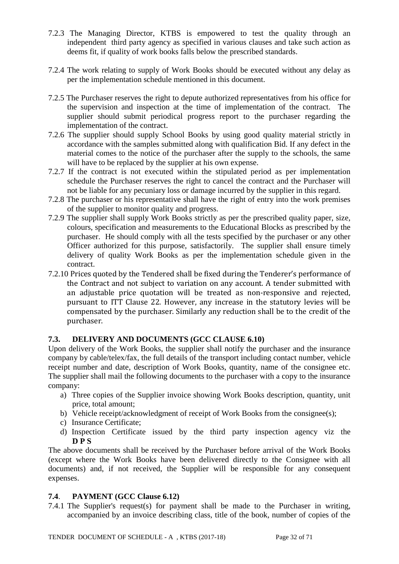- 7.2.3 The Managing Director, KTBS is empowered to test the quality through an independent third party agency as specified in various clauses and take such action as deems fit, if quality of work books falls below the prescribed standards.
- 7.2.4 The work relating to supply of Work Books should be executed without any delay as per the implementation schedule mentioned in this document.
- 7.2.5 The Purchaser reserves the right to depute authorized representatives from his office for the supervision and inspection at the time of implementation of the contract. The supplier should submit periodical progress report to the purchaser regarding the implementation of the contract.
- 7.2.6 The supplier should supply School Books by using good quality material strictly in accordance with the samples submitted along with qualification Bid. If any defect in the material comes to the notice of the purchaser after the supply to the schools, the same will have to be replaced by the supplier at his own expense.
- 7.2.7 If the contract is not executed within the stipulated period as per implementation schedule the Purchaser reserves the right to cancel the contract and the Purchaser will not be liable for any pecuniary loss or damage incurred by the supplier in this regard.
- 7.2.8 The purchaser or his representative shall have the right of entry into the work premises of the supplier to monitor quality and progress.
- 7.2.9 The supplier shall supply Work Books strictly as per the prescribed quality paper, size, colours, specification and measurements to the Educational Blocks as prescribed by the purchaser. He should comply with all the tests specified by the purchaser or any other Officer authorized for this purpose, satisfactorily. The supplier shall ensure timely delivery of quality Work Books as per the implementation schedule given in the contract.
- 7.2.10 Prices quoted by the Tendered shall be fixed during the Tenderer's performance of the Contract and not subject to variation on any account. A tender submitted with an adjustable price quotation will be treated as non-responsive and rejected, pursuant to ITT Clause 22. However, any increase in the statutory levies will be compensated by the purchaser. Similarly any reduction shall be to the credit of the purchaser.

# **7.3. DELIVERY AND DOCUMENTS (GCC CLAUSE 6.10)**

Upon delivery of the Work Books, the supplier shall notify the purchaser and the insurance company by cable/telex/fax, the full details of the transport including contact number, vehicle receipt number and date, description of Work Books, quantity, name of the consignee etc. The supplier shall mail the following documents to the purchaser with a copy to the insurance company:

- a) Three copies of the Supplier invoice showing Work Books description, quantity, unit price, total amount;
- b) Vehicle receipt/acknowledgment of receipt of Work Books from the consignee(s);
- c) Insurance Certificate;
- d) Inspection Certificate issued by the third party inspection agency viz the **D P S**

The above documents shall be received by the Purchaser before arrival of the Work Books (except where the Work Books have been delivered directly to the Consignee with all documents) and, if not received, the Supplier will be responsible for any consequent expenses.

### **7.4**. **PAYMENT (GCC Clause 6.12)**

7.4.1 The Supplier's request(s) for payment shall be made to the Purchaser in writing, accompanied by an invoice describing class, title of the book, number of copies of the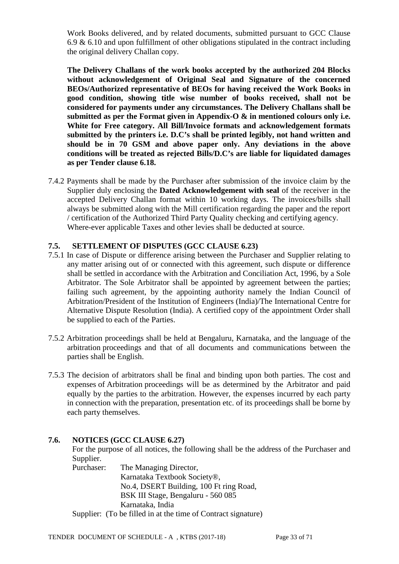Work Books delivered, and by related documents, submitted pursuant to GCC Clause 6.9 & 6.10 and upon fulfillment of other obligations stipulated in the contract including the original delivery Challan copy.

**The Delivery Challans of the work books accepted by the authorized 204 Blocks without acknowledgement of Original Seal and Signature of the concerned BEOs/Authorized representative of BEOs for having received the Work Books in good condition, showing title wise number of books received, shall not be considered for payments under any circumstances. The Delivery Challans shall be submitted as per the Format given in Appendix-O & in mentioned colours only i.e. White for Free category. All Bill/Invoice formats and acknowledgement formats submitted by the printers i.e. D.C's shall be printed legibly, not hand written and should be in 70 GSM and above paper only. Any deviations in the above conditions will be treated as rejected Bills/D.C's are liable for liquidated damages as per Tender clause 6.18.** 

7.4.2 Payments shall be made by the Purchaser after submission of the invoice claim by the Supplier duly enclosing the **Dated Acknowledgement with seal** of the receiver in the accepted Delivery Challan format within 10 working days. The invoices/bills shall always be submitted along with the Mill certification regarding the paper and the report / certification of the Authorized Third Party Quality checking and certifying agency. Where-ever applicable Taxes and other levies shall be deducted at source.

### **7.5. SETTLEMENT OF DISPUTES (GCC CLAUSE 6.23)**

- 7.5.1 In case of Dispute or difference arising between the Purchaser and Supplier relating to any matter arising out of or connected with this agreement, such dispute or difference shall be settled in accordance with the Arbitration and Conciliation Act, 1996, by a Sole Arbitrator. The Sole Arbitrator shall be appointed by agreement between the parties; failing such agreement, by the appointing authority namely the Indian Council of Arbitration/President of the Institution of Engineers (India)/The International Centre for Alternative Dispute Resolution (India). A certified copy of the appointment Order shall be supplied to each of the Parties.
- 7.5.2 Arbitration proceedings shall be held at Bengaluru, Karnataka, and the language of the arbitration proceedings and that of all documents and communications between the parties shall be English.
- 7.5.3 The decision of arbitrators shall be final and binding upon both parties. The cost and expenses of Arbitration proceedings will be as determined by the Arbitrator and paid equally by the parties to the arbitration. However, the expenses incurred by each party in connection with the preparation, presentation etc. of its proceedings shall be borne by each party themselves.

#### **7.6. NOTICES (GCC CLAUSE 6.27)**

For the purpose of all notices, the following shall be the address of the Purchaser and Supplier.

Purchaser: The Managing Director, Karnataka Textbook Society®, No.4, DSERT Building, 100 Ft ring Road, BSK III Stage, Bengaluru - 560 085 Karnataka, India Supplier: (To be filled in at the time of Contract signature)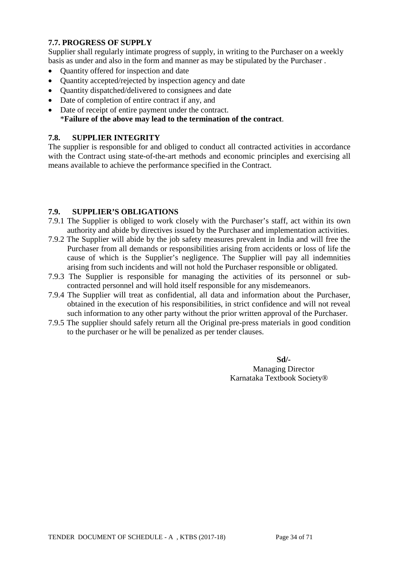# **7.7. PROGRESS OF SUPPLY**

Supplier shall regularly intimate progress of supply, in writing to the Purchaser on a weekly basis as under and also in the form and manner as may be stipulated by the Purchaser .

- Ouantity offered for inspection and date
- Quantity accepted/rejected by inspection agency and date
- Quantity dispatched/delivered to consignees and date
- Date of completion of entire contract if any, and
- Date of receipt of entire payment under the contract. \***Failure of the above may lead to the termination of the contract**.

### **7.8. SUPPLIER INTEGRITY**

The supplier is responsible for and obliged to conduct all contracted activities in accordance with the Contract using state-of-the-art methods and economic principles and exercising all means available to achieve the performance specified in the Contract.

### **7.9. SUPPLIER'S OBLIGATIONS**

- 7.9.1 The Supplier is obliged to work closely with the Purchaser's staff, act within its own authority and abide by directives issued by the Purchaser and implementation activities.
- 7.9.2 The Supplier will abide by the job safety measures prevalent in India and will free the Purchaser from all demands or responsibilities arising from accidents or loss of life the cause of which is the Supplier's negligence. The Supplier will pay all indemnities arising from such incidents and will not hold the Purchaser responsible or obligated.
- 7.9.3 The Supplier is responsible for managing the activities of its personnel or subcontracted personnel and will hold itself responsible for any misdemeanors.
- 7.9.4 The Supplier will treat as confidential, all data and information about the Purchaser, obtained in the execution of his responsibilities, in strict confidence and will not reveal such information to any other party without the prior written approval of the Purchaser.
- 7.9.5 The supplier should safely return all the Original pre-press materials in good condition to the purchaser or he will be penalized as per tender clauses.

**Sd/-** Managing Director Karnataka Textbook Society®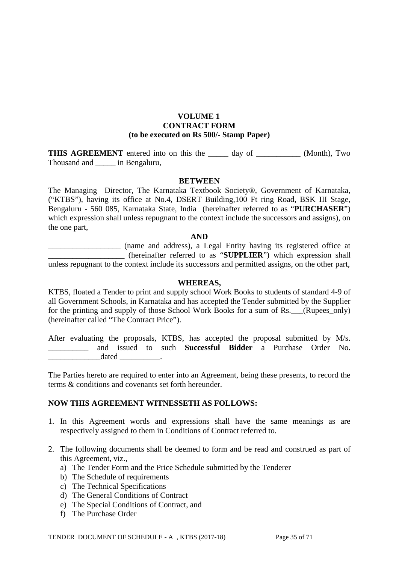#### **VOLUME 1 CONTRACT FORM (to be executed on Rs 500/- Stamp Paper)**

**THIS AGREEMENT** entered into on this the day of (Month), Two Thousand and \_\_\_\_\_ in Bengaluru,

#### **BETWEEN**

The Managing Director, The Karnataka Textbook Society®, Government of Karnataka, ("KTBS"), having its office at No.4, DSERT Building,100 Ft ring Road, BSK III Stage, Bengaluru - 560 085, Karnataka State, India (hereinafter referred to as "**PURCHASER**") which expression shall unless repugnant to the context include the successors and assigns), on the one part,

#### **AND**

\_\_\_\_\_\_\_\_\_\_\_\_\_\_\_\_\_\_ (name and address), a Legal Entity having its registered office at \_\_\_\_\_\_\_\_\_\_\_\_\_\_\_\_\_\_\_ (hereinafter referred to as "**SUPPLIER**") which expression shall unless repugnant to the context include its successors and permitted assigns, on the other part,

#### **WHEREAS,**

KTBS, floated a Tender to print and supply school Work Books to students of standard 4-9 of all Government Schools, in Karnataka and has accepted the Tender submitted by the Supplier for the printing and supply of those School Work Books for a sum of Rs. (Rupees\_only) (hereinafter called "The Contract Price").

After evaluating the proposals, KTBS, has accepted the proposal submitted by M/s. \_\_\_\_\_\_\_\_\_\_ and issued to such **Successful Bidder** a Purchase Order No.  $dataed$ 

The Parties hereto are required to enter into an Agreement, being these presents, to record the terms & conditions and covenants set forth hereunder.

#### **NOW THIS AGREEMENT WITNESSETH AS FOLLOWS:**

- 1. In this Agreement words and expressions shall have the same meanings as are respectively assigned to them in Conditions of Contract referred to.
- 2. The following documents shall be deemed to form and be read and construed as part of this Agreement, viz.,
	- a) The Tender Form and the Price Schedule submitted by the Tenderer
	- b) The Schedule of requirements
	- c) The Technical Specifications
	- d) The General Conditions of Contract
	- e) The Special Conditions of Contract, and
	- f) The Purchase Order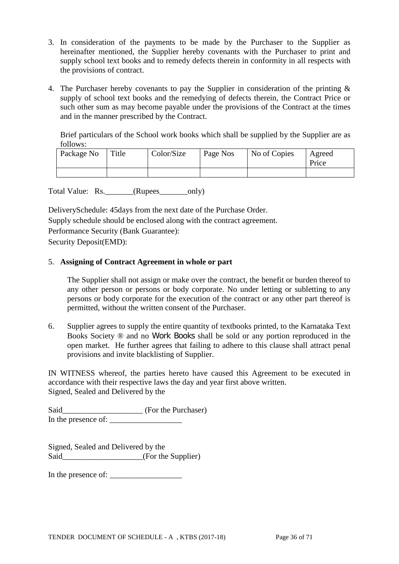- 3. In consideration of the payments to be made by the Purchaser to the Supplier as hereinafter mentioned, the Supplier hereby covenants with the Purchaser to print and supply school text books and to remedy defects therein in conformity in all respects with the provisions of contract.
- 4. The Purchaser hereby covenants to pay the Supplier in consideration of the printing & supply of school text books and the remedying of defects therein, the Contract Price or such other sum as may become payable under the provisions of the Contract at the times and in the manner prescribed by the Contract.

Brief particulars of the School work books which shall be supplied by the Supplier are as follows:

| Package No | Title | Color/Size | Page Nos | No of Copies | Agreed<br>Price |
|------------|-------|------------|----------|--------------|-----------------|
|            |       |            |          |              |                 |

Total Value: Rs. \_\_\_\_\_\_(Rupees\_\_\_\_\_\_\_\_only)

DeliverySchedule: 45days from the next date of the Purchase Order. Supply schedule should be enclosed along with the contract agreement. Performance Security (Bank Guarantee): Security Deposit(EMD):

### 5. **Assigning of Contract Agreement in whole or part**

The Supplier shall not assign or make over the contract, the benefit or burden thereof to any other person or persons or body corporate. No under letting or subletting to any persons or body corporate for the execution of the contract or any other part thereof is permitted, without the written consent of the Purchaser.

6. Supplier agrees to supply the entire quantity of textbooks printed, to the Karnataka Text Books Society ® and no Work Books shall be sold or any portion reproduced in the open market. He further agrees that failing to adhere to this clause shall attract penal provisions and invite blacklisting of Supplier.

IN WITNESS whereof, the parties hereto have caused this Agreement to be executed in accordance with their respective laws the day and year first above written. Signed, Sealed and Delivered by the

Said\_\_\_\_\_\_\_\_\_\_\_\_\_\_\_\_\_\_\_\_ (For the Purchaser) In the presence of: \_\_\_\_\_\_\_\_\_\_\_\_\_\_\_\_\_\_

Signed, Sealed and Delivered by the Said\_\_\_\_\_\_\_\_\_\_\_\_\_\_\_\_\_\_\_\_\_\_(For the Supplier)

In the presence of: \_\_\_\_\_\_\_\_\_\_\_\_\_\_\_\_\_\_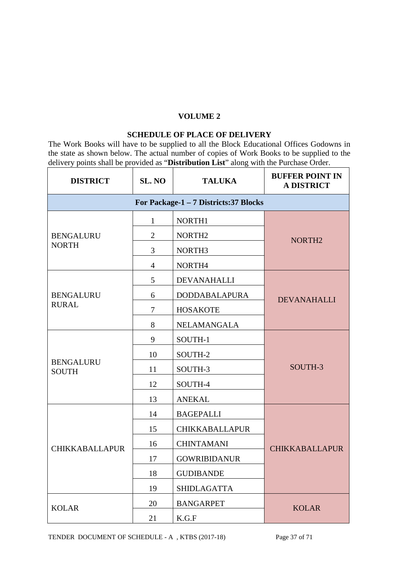### **VOLUME 2**

#### **SCHEDULE OF PLACE OF DELIVERY**

The Work Books will have to be supplied to all the Block Educational Offices Godowns in the state as shown below. The actual number of copies of Work Books to be supplied to the delivery points shall be provided as "**Distribution List**" along with the Purchase Order.

| <b>DISTRICT</b>                  | SL. NO         | <b>TALUKA</b>                          | <b>BUFFER POINT IN</b><br><b>A DISTRICT</b> |
|----------------------------------|----------------|----------------------------------------|---------------------------------------------|
|                                  |                | For Package-1 - 7 Districts: 37 Blocks |                                             |
|                                  | $\mathbf{1}$   | NORTH1                                 |                                             |
| <b>BENGALURU</b><br><b>NORTH</b> | $\overline{2}$ | NORTH <sub>2</sub>                     | NORTH <sub>2</sub>                          |
|                                  | 3              | NORTH <sub>3</sub>                     |                                             |
|                                  | $\overline{4}$ | NORTH4                                 |                                             |
|                                  | 5              | DEVANAHALLI                            |                                             |
| <b>BENGALURU</b>                 | 6              | <b>DODDABALAPURA</b>                   | <b>DEVANAHALLI</b>                          |
| <b>RURAL</b>                     | $\tau$         | <b>HOSAKOTE</b>                        |                                             |
|                                  | 8              | NELAMANGALA                            |                                             |
|                                  | 9              | SOUTH-1                                |                                             |
|                                  | 10             | SOUTH-2                                |                                             |
| <b>BENGALURU</b><br><b>SOUTH</b> | 11             | SOUTH-3                                | SOUTH-3                                     |
|                                  | 12             | SOUTH-4                                |                                             |
|                                  | 13             | <b>ANEKAL</b>                          |                                             |
|                                  | 14             | <b>BAGEPALLI</b>                       |                                             |
|                                  | 15             | <b>CHIKKABALLAPUR</b>                  |                                             |
| <b>CHIKKABALLAPUR</b>            | 16             | <b>CHINTAMANI</b>                      | <b>CHIKKABALLAPUR</b>                       |
|                                  | 17             | <b>GOWRIBIDANUR</b>                    |                                             |
|                                  | 18             | <b>GUDIBANDE</b>                       |                                             |
|                                  | 19             | <b>SHIDLAGATTA</b>                     |                                             |
| <b>KOLAR</b>                     | 20             | <b>BANGARPET</b>                       | <b>KOLAR</b>                                |
|                                  | 21             | K.G.F                                  |                                             |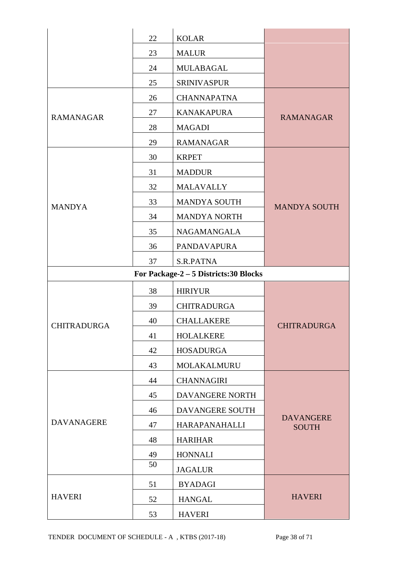|                    | 22 | <b>KOLAR</b>                           |                                  |
|--------------------|----|----------------------------------------|----------------------------------|
|                    | 23 | <b>MALUR</b>                           |                                  |
|                    | 24 | <b>MULABAGAL</b>                       |                                  |
|                    | 25 | <b>SRINIVASPUR</b>                     |                                  |
|                    | 26 | <b>CHANNAPATNA</b>                     |                                  |
| <b>RAMANAGAR</b>   | 27 | <b>KANAKAPURA</b>                      | <b>RAMANAGAR</b>                 |
|                    | 28 | <b>MAGADI</b>                          |                                  |
|                    | 29 | <b>RAMANAGAR</b>                       |                                  |
|                    | 30 | <b>KRPET</b>                           |                                  |
|                    | 31 | <b>MADDUR</b>                          |                                  |
|                    | 32 | <b>MALAVALLY</b>                       |                                  |
| <b>MANDYA</b>      | 33 | <b>MANDYA SOUTH</b>                    | <b>MANDYA SOUTH</b>              |
|                    | 34 | <b>MANDYA NORTH</b>                    |                                  |
|                    | 35 | <b>NAGAMANGALA</b>                     |                                  |
|                    | 36 | <b>PANDAVAPURA</b>                     |                                  |
|                    | 37 | S.R.PATNA                              |                                  |
|                    |    | For Package-2 - 5 Districts: 30 Blocks |                                  |
|                    | 38 | <b>HIRIYUR</b>                         |                                  |
|                    | 39 | <b>CHITRADURGA</b>                     |                                  |
| <b>CHITRADURGA</b> | 40 | <b>CHALLAKERE</b>                      | <b>CHITRADURGA</b>               |
|                    | 41 | <b>HOLALKERE</b>                       |                                  |
|                    | 42 | <b>HOSADURGA</b>                       |                                  |
|                    | 43 | MOLAKALMURU                            |                                  |
|                    | 44 | <b>CHANNAGIRI</b>                      |                                  |
|                    | 45 | DAVANGERE NORTH                        |                                  |
| <b>DAVANAGERE</b>  | 46 | DAVANGERE SOUTH                        |                                  |
|                    | 47 | HARAPANAHALLI                          | <b>DAVANGERE</b><br><b>SOUTH</b> |
|                    | 48 | <b>HARIHAR</b>                         |                                  |
|                    | 49 | <b>HONNALI</b>                         |                                  |
|                    | 50 | <b>JAGALUR</b>                         |                                  |
|                    | 51 | <b>BYADAGI</b>                         |                                  |
| <b>HAVERI</b>      | 52 | <b>HANGAL</b>                          | <b>HAVERI</b>                    |
|                    |    |                                        |                                  |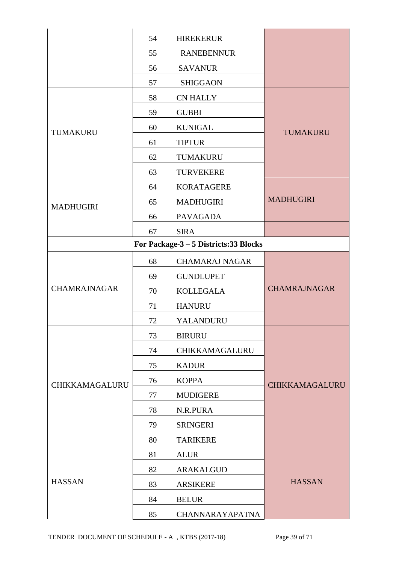|                       | 54 | <b>HIREKERUR</b>                       |                     |  |  |
|-----------------------|----|----------------------------------------|---------------------|--|--|
|                       | 55 | <b>RANEBENNUR</b>                      |                     |  |  |
|                       | 56 | <b>SAVANUR</b>                         |                     |  |  |
|                       | 57 | <b>SHIGGAON</b>                        |                     |  |  |
|                       | 58 | <b>CN HALLY</b>                        |                     |  |  |
|                       | 59 | <b>GUBBI</b>                           |                     |  |  |
| TUMAKURU              | 60 | <b>KUNIGAL</b>                         | TUMAKURU            |  |  |
|                       | 61 | <b>TIPTUR</b>                          |                     |  |  |
|                       | 62 | TUMAKURU                               |                     |  |  |
|                       | 63 | <b>TURVEKERE</b>                       |                     |  |  |
|                       | 64 | <b>KORATAGERE</b>                      |                     |  |  |
| <b>MADHUGIRI</b>      | 65 | <b>MADHUGIRI</b>                       | <b>MADHUGIRI</b>    |  |  |
|                       | 66 | <b>PAVAGADA</b>                        |                     |  |  |
|                       | 67 | <b>SIRA</b>                            |                     |  |  |
|                       |    | For Package-3 - 5 Districts: 33 Blocks |                     |  |  |
|                       | 68 | <b>CHAMARAJ NAGAR</b>                  |                     |  |  |
|                       | 69 | <b>GUNDLUPET</b>                       |                     |  |  |
| <b>CHAMRAJNAGAR</b>   | 70 | <b>KOLLEGALA</b>                       | <b>CHAMRAJNAGAR</b> |  |  |
|                       | 71 | <b>HANURU</b>                          |                     |  |  |
|                       | 72 | YALANDURU                              |                     |  |  |
|                       | 73 | <b>BIRURU</b>                          |                     |  |  |
|                       | 74 | CHIKKAMAGALURU                         |                     |  |  |
|                       | 75 | <b>KADUR</b>                           |                     |  |  |
| <b>CHIKKAMAGALURU</b> | 76 | <b>KOPPA</b>                           | CHIKKAMAGALURU      |  |  |
|                       | 77 | <b>MUDIGERE</b>                        |                     |  |  |
|                       | 78 | N.R.PURA                               |                     |  |  |
|                       | 79 | <b>SRINGERI</b>                        |                     |  |  |
|                       | 80 | <b>TARIKERE</b>                        |                     |  |  |
|                       | 81 | <b>ALUR</b>                            |                     |  |  |
|                       | 82 | ARAKALGUD                              |                     |  |  |
| <b>HASSAN</b>         | 83 | <b>ARSIKERE</b>                        | <b>HASSAN</b>       |  |  |
|                       | 84 | <b>BELUR</b>                           |                     |  |  |
|                       | 85 | <b>CHANNARAYAPATNA</b>                 |                     |  |  |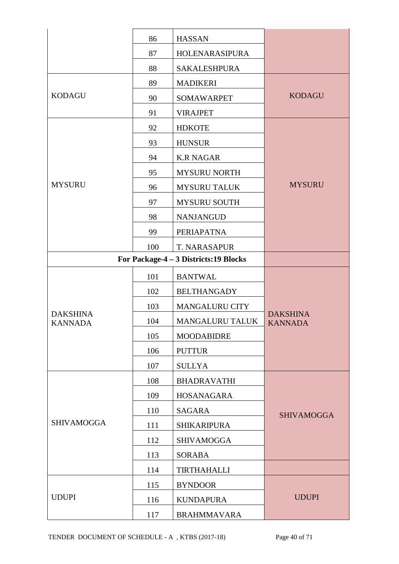|                                   | 86                   | <b>HASSAN</b>                          |                                   |  |  |
|-----------------------------------|----------------------|----------------------------------------|-----------------------------------|--|--|
|                                   | 87                   | HOLENARASIPURA                         |                                   |  |  |
|                                   | 88                   | <b>SAKALESHPURA</b>                    |                                   |  |  |
|                                   | 89                   | <b>MADIKERI</b>                        |                                   |  |  |
| <b>KODAGU</b>                     | 90                   | <b>SOMAWARPET</b>                      | <b>KODAGU</b>                     |  |  |
|                                   | 91                   | <b>VIRAJPET</b>                        |                                   |  |  |
|                                   | 92                   | <b>HDKOTE</b>                          |                                   |  |  |
|                                   | 93                   | <b>HUNSUR</b>                          |                                   |  |  |
|                                   | 94                   | <b>K.R NAGAR</b>                       |                                   |  |  |
|                                   | 95                   | <b>MYSURU NORTH</b>                    |                                   |  |  |
| <b>MYSURU</b>                     | 96                   | <b>MYSURU TALUK</b>                    | <b>MYSURU</b>                     |  |  |
|                                   | 97                   | <b>MYSURU SOUTH</b>                    |                                   |  |  |
|                                   | 98                   | <b>NANJANGUD</b>                       |                                   |  |  |
|                                   | 99                   | PERIAPATNA                             |                                   |  |  |
|                                   | 100                  | T. NARASAPUR                           |                                   |  |  |
|                                   |                      | For Package-4 - 3 Districts: 19 Blocks |                                   |  |  |
|                                   | 101                  | <b>BANTWAL</b>                         |                                   |  |  |
|                                   | 102                  | <b>BELTHANGADY</b>                     |                                   |  |  |
|                                   | 103                  | <b>MANGALURU CITY</b>                  |                                   |  |  |
| <b>DAKSHINA</b><br><b>KANNADA</b> | 104                  | <b>MANGALURU TALUK</b>                 | <b>DAKSHINA</b><br><b>KANNADA</b> |  |  |
|                                   | 105                  | <b>MOODABIDRE</b>                      |                                   |  |  |
|                                   | 106                  | <b>PUTTUR</b>                          |                                   |  |  |
|                                   | 107                  | <b>SULLYA</b>                          |                                   |  |  |
|                                   | 108                  | <b>BHADRAVATHI</b>                     |                                   |  |  |
|                                   | 109                  | HOSANAGARA                             |                                   |  |  |
|                                   | 110                  | <b>SAGARA</b>                          | <b>SHIVAMOGGA</b>                 |  |  |
| <b>SHIVAMOGGA</b>                 | 111                  | <b>SHIKARIPURA</b>                     |                                   |  |  |
|                                   | 112                  | <b>SHIVAMOGGA</b>                      |                                   |  |  |
|                                   | 113<br><b>SORABA</b> |                                        |                                   |  |  |
|                                   | 114                  | <b>TIRTHAHALLI</b>                     |                                   |  |  |
|                                   | 115                  | <b>BYNDOOR</b>                         |                                   |  |  |
| <b>UDUPI</b>                      | 116                  | <b>KUNDAPURA</b>                       | <b>UDUPI</b>                      |  |  |
|                                   | 117                  | <b>BRAHMMAVARA</b>                     |                                   |  |  |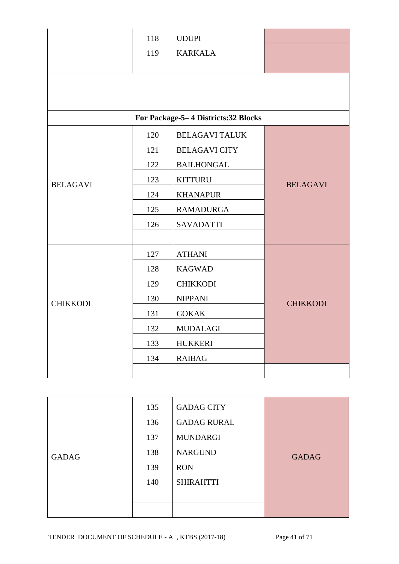|                 | 118                    | <b>UDUPI</b>                        |                 |
|-----------------|------------------------|-------------------------------------|-----------------|
|                 | 119                    | <b>KARKALA</b>                      |                 |
|                 |                        |                                     |                 |
|                 |                        |                                     |                 |
|                 |                        |                                     |                 |
|                 |                        | For Package-5-4 Districts:32 Blocks |                 |
|                 |                        |                                     |                 |
|                 | 120                    | <b>BELAGAVI TALUK</b>               |                 |
|                 | 121                    | <b>BELAGAVI CITY</b>                |                 |
|                 | 122                    | <b>BAILHONGAL</b>                   |                 |
| <b>BELAGAVI</b> | 123                    | <b>KITTURU</b>                      | <b>BELAGAVI</b> |
|                 | 124                    | <b>KHANAPUR</b>                     |                 |
|                 | 125                    | <b>RAMADURGA</b>                    |                 |
|                 | 126                    | <b>SAVADATTI</b>                    |                 |
|                 |                        |                                     |                 |
|                 | 127                    | <b>ATHANI</b>                       |                 |
|                 | 128                    | <b>KAGWAD</b>                       |                 |
|                 | 129                    | <b>CHIKKODI</b>                     |                 |
| <b>CHIKKODI</b> | 130                    | <b>NIPPANI</b>                      | <b>CHIKKODI</b> |
|                 | 131                    | <b>GOKAK</b>                        |                 |
|                 | 132<br><b>MUDALAGI</b> |                                     |                 |
|                 | 133                    | <b>HUKKERI</b>                      |                 |
|                 | 134                    | <b>RAIBAG</b>                       |                 |
|                 |                        |                                     |                 |

|              | 135 | <b>GADAG CITY</b>  |              |
|--------------|-----|--------------------|--------------|
|              | 136 | <b>GADAG RURAL</b> |              |
|              | 137 | <b>MUNDARGI</b>    |              |
| <b>GADAG</b> | 138 | <b>NARGUND</b>     | <b>GADAG</b> |
|              | 139 | <b>RON</b>         |              |
|              | 140 | <b>SHIRAHTTI</b>   |              |
|              |     |                    |              |
|              |     |                    |              |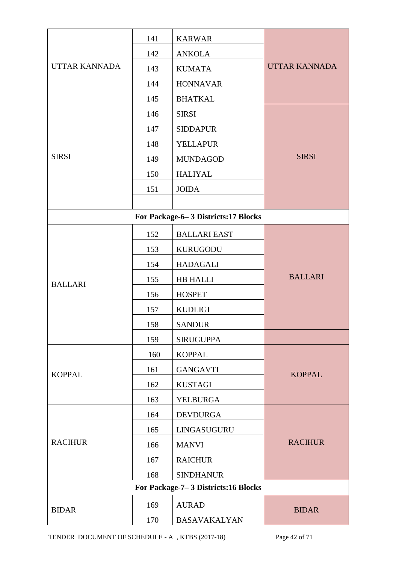|                      | 141 | <b>KARWAR</b>                       |                      |  |
|----------------------|-----|-------------------------------------|----------------------|--|
|                      | 142 | <b>ANKOLA</b>                       |                      |  |
| <b>UTTAR KANNADA</b> | 143 | <b>KUMATA</b>                       | <b>UTTAR KANNADA</b> |  |
|                      | 144 | <b>HONNAVAR</b>                     |                      |  |
|                      | 145 | <b>BHATKAL</b>                      |                      |  |
|                      | 146 | <b>SIRSI</b>                        |                      |  |
|                      | 147 | <b>SIDDAPUR</b>                     |                      |  |
|                      | 148 | <b>YELLAPUR</b>                     |                      |  |
| <b>SIRSI</b>         | 149 | <b>MUNDAGOD</b>                     | <b>SIRSI</b>         |  |
|                      | 150 | <b>HALIYAL</b>                      |                      |  |
|                      | 151 | <b>JOIDA</b>                        |                      |  |
|                      |     |                                     |                      |  |
|                      |     | For Package-6-3 Districts:17 Blocks |                      |  |
|                      | 152 | <b>BALLARI EAST</b>                 |                      |  |
|                      | 153 | <b>KURUGODU</b>                     |                      |  |
|                      | 154 | <b>HADAGALI</b>                     |                      |  |
| <b>BALLARI</b>       | 155 | <b>HB HALLI</b>                     | <b>BALLARI</b>       |  |
|                      | 156 | <b>HOSPET</b>                       |                      |  |
|                      | 157 | <b>KUDLIGI</b>                      |                      |  |
|                      | 158 | <b>SANDUR</b>                       |                      |  |
|                      | 159 | <b>SIRUGUPPA</b>                    |                      |  |
|                      | 160 | <b>KOPPAL</b>                       |                      |  |
| <b>KOPPAL</b>        | 161 | <b>GANGAVTI</b>                     | <b>KOPPAL</b>        |  |
|                      | 162 | <b>KUSTAGI</b>                      |                      |  |
|                      | 163 | YELBURGA                            |                      |  |
|                      | 164 | <b>DEVDURGA</b>                     |                      |  |
|                      | 165 | LINGASUGURU                         |                      |  |
| <b>RACIHUR</b>       | 166 | <b>MANVI</b>                        | <b>RACIHUR</b>       |  |
|                      | 167 | <b>RAICHUR</b>                      |                      |  |
|                      | 168 | <b>SINDHANUR</b>                    |                      |  |
|                      |     | For Package-7-3 Districts:16 Blocks |                      |  |
| <b>BIDAR</b>         | 169 | <b>AURAD</b>                        | <b>BIDAR</b>         |  |
|                      | 170 | <b>BASAVAKALYAN</b>                 |                      |  |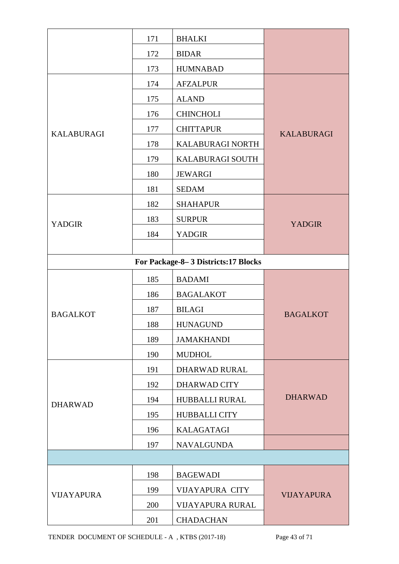|                   | 171 | <b>BHALKI</b>                        |                   |  |  |
|-------------------|-----|--------------------------------------|-------------------|--|--|
|                   | 172 | <b>BIDAR</b>                         |                   |  |  |
|                   | 173 | <b>HUMNABAD</b>                      |                   |  |  |
|                   | 174 | <b>AFZALPUR</b>                      |                   |  |  |
|                   | 175 | <b>ALAND</b>                         |                   |  |  |
|                   | 176 | <b>CHINCHOLI</b>                     |                   |  |  |
| <b>KALABURAGI</b> | 177 | <b>CHITTAPUR</b>                     | <b>KALABURAGI</b> |  |  |
|                   | 178 | KALABURAGI NORTH                     |                   |  |  |
|                   | 179 | <b>KALABURAGI SOUTH</b>              |                   |  |  |
|                   | 180 | <b>JEWARGI</b>                       |                   |  |  |
|                   | 181 | <b>SEDAM</b>                         |                   |  |  |
|                   | 182 | <b>SHAHAPUR</b>                      |                   |  |  |
| <b>YADGIR</b>     | 183 | <b>SURPUR</b>                        | <b>YADGIR</b>     |  |  |
|                   | 184 | <b>YADGIR</b>                        |                   |  |  |
|                   |     |                                      |                   |  |  |
|                   |     | For Package-8-3 Districts: 17 Blocks |                   |  |  |
|                   | 185 | <b>BADAMI</b>                        |                   |  |  |
|                   | 186 | <b>BAGALAKOT</b>                     |                   |  |  |
| <b>BAGALKOT</b>   | 187 | <b>BILAGI</b>                        | <b>BAGALKOT</b>   |  |  |
|                   | 188 | <b>HUNAGUND</b>                      |                   |  |  |
|                   | 189 | <b>JAMAKHANDI</b>                    |                   |  |  |
|                   | 190 | <b>MUDHOL</b>                        |                   |  |  |
|                   | 191 | <b>DHARWAD RURAL</b>                 |                   |  |  |
|                   | 192 | DHARWAD CITY                         |                   |  |  |
| <b>DHARWAD</b>    | 194 | <b>HUBBALLI RURAL</b>                | <b>DHARWAD</b>    |  |  |
|                   | 195 | <b>HUBBALLI CITY</b>                 |                   |  |  |
|                   | 196 | <b>KALAGATAGI</b>                    |                   |  |  |
|                   | 197 | <b>NAVALGUNDA</b>                    |                   |  |  |
|                   |     |                                      |                   |  |  |
|                   | 198 | <b>BAGEWADI</b>                      |                   |  |  |
| <b>VIJAYAPURA</b> | 199 | <b>VIJAYAPURA CITY</b>               | <b>VIJAYAPURA</b> |  |  |
|                   | 200 | <b>VIJAYAPURA RURAL</b>              |                   |  |  |
|                   | 201 | <b>CHADACHAN</b>                     |                   |  |  |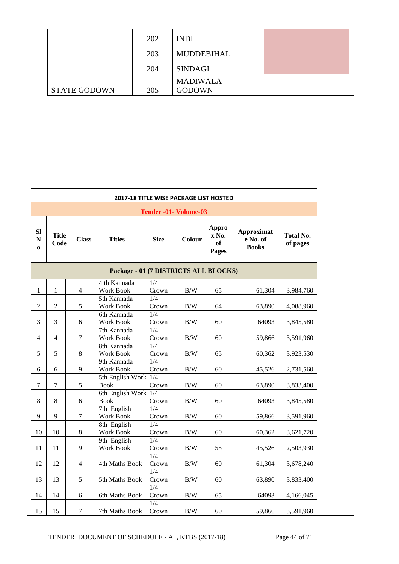|                     | 202 | <b>INDI</b>     |  |
|---------------------|-----|-----------------|--|
|                     | 203 | MUDDEBIHAL      |  |
|                     | 204 | <b>SINDAGI</b>  |  |
|                     |     | <b>MADIWALA</b> |  |
| <b>STATE GODOWN</b> | 205 | <b>GODOWN</b>   |  |

| <b>2017-18 TITLE WISE PACKAGE LIST HOSTED</b> |                       |                             |                                         |                                               |                   |                               |                                               |                              |  |  |  |  |
|-----------------------------------------------|-----------------------|-----------------------------|-----------------------------------------|-----------------------------------------------|-------------------|-------------------------------|-----------------------------------------------|------------------------------|--|--|--|--|
|                                               | Tender -01- Volume-03 |                             |                                         |                                               |                   |                               |                                               |                              |  |  |  |  |
| SI<br>${\bf N}$<br>$\mathbf 0$                | <b>Title</b><br>Code  | <b>Class</b>                | <b>Titles</b>                           | <b>Size</b>                                   | Colour            | Appro<br>x No.<br>of<br>Pages | <b>Approximat</b><br>e No. of<br><b>Books</b> | <b>Total No.</b><br>of pages |  |  |  |  |
| Package - 01 (7 DISTRICTS ALL BLOCKS)         |                       |                             |                                         |                                               |                   |                               |                                               |                              |  |  |  |  |
| $\mathbf{1}$                                  | $\mathbf{1}$          | $\overline{4}$              | 4 th Kannada<br>Work Book               | 1/4<br>Crown                                  | $\rm\,B/W$        | 65                            | 61,304                                        | 3,984,760                    |  |  |  |  |
| $\sqrt{2}$                                    | $\overline{c}$        | $\sqrt{5}$                  | 5th Kannada<br>Work Book                | 1/4<br>Crown                                  | $\rm B/W$         | 64                            | 63,890                                        | 4,088,960                    |  |  |  |  |
| 3                                             | 3                     | 6                           | 6th Kannada<br>Work Book<br>7th Kannada | $\overline{1/4}$<br>Crown<br>$\overline{1/4}$ | $\rm\,B/W$        | 60                            | 64093                                         | 3,845,580                    |  |  |  |  |
| $\overline{4}$                                | $\overline{4}$        | 7                           | Work Book<br>8th Kannada                | Crown<br>1/4                                  | B/W               | 60                            | 59,866                                        | 3,591,960                    |  |  |  |  |
| 5                                             | 5                     | $\,8\,$                     | Work Book<br>9th Kannada                | Crown<br>1/4                                  | $\rm B/W$         | 65                            | 60,362                                        | 3,923,530                    |  |  |  |  |
| 6                                             | 6                     | 9                           | Work Book<br>5th English Work           | Crown<br>1/4                                  | B/W               | 60                            | 45,526                                        | 2,731,560                    |  |  |  |  |
| $\overline{7}$                                | $\tau$                | 5                           | <b>Book</b><br>6th English Work         | Crown<br>1/4                                  | $\rm\,B/W$        | 60                            | 63,890                                        | 3,833,400                    |  |  |  |  |
| $8\,$                                         | $8\,$                 | $\sqrt{6}$                  | <b>Book</b><br>$7th$ English            | Crown<br>$\overline{1/4}$                     | $\rm\,B/W$        | 60                            | 64093                                         | 3,845,580                    |  |  |  |  |
| 9<br>10                                       | 9<br>10               | $\boldsymbol{7}$<br>$\,8\,$ | Work Book<br>8th English<br>Work Book   | Crown<br>1/4<br>Crown                         | B/W<br>$\rm\,B/W$ | 60<br>60                      | 59,866<br>60,362                              | 3,591,960<br>3,621,720       |  |  |  |  |
| 11                                            | 11                    | 9                           | 9th English<br>Work Book                | $\overline{1/4}$<br>Crown                     | B/W               | 55                            | 45,526                                        | 2,503,930                    |  |  |  |  |
| 12                                            | 12                    | $\overline{4}$              | 4th Maths Book                          | 1/4<br>Crown                                  | B/W               | 60                            | 61,304                                        | 3,678,240                    |  |  |  |  |
| 13                                            | 13                    | 5                           | 5th Maths Book                          | 1/4<br>Crown<br>$\overline{1/4}$              | $\rm\,B/W$        | 60                            | 63,890                                        | 3,833,400                    |  |  |  |  |
| 14                                            | 14                    | 6                           | 6th Maths Book                          | Crown<br>1/4                                  | B/W               | 65                            | 64093                                         | 4,166,045                    |  |  |  |  |
| 15                                            | 15                    | $\boldsymbol{7}$            | 7th Maths Book                          | Crown                                         | $\rm\,B/W$        | 60                            | 59,866                                        | 3,591,960                    |  |  |  |  |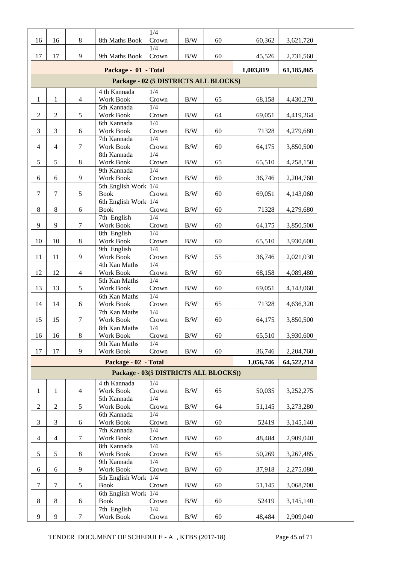| 16                                              | 16               | $\,8\,$          | 8th Maths Book                        | 1/4<br>Crown     | $\rm\,B/W$ | 60 | 60,362    | 3,621,720  |  |  |  |  |
|-------------------------------------------------|------------------|------------------|---------------------------------------|------------------|------------|----|-----------|------------|--|--|--|--|
|                                                 |                  |                  |                                       | 1/4              |            |    |           |            |  |  |  |  |
| 17                                              | 17               | $\overline{9}$   | 9th Maths Book                        | Crown            | B/W        | 60 | 45,526    | 2,731,560  |  |  |  |  |
| Package - 01 - Total<br>1,003,819<br>61,185,865 |                  |                  |                                       |                  |            |    |           |            |  |  |  |  |
| Package - 02 (5 DISTRICTS ALL BLOCKS)           |                  |                  |                                       |                  |            |    |           |            |  |  |  |  |
|                                                 |                  |                  | 4 th Kannada                          | $1/\overline{4}$ |            |    |           |            |  |  |  |  |
| $\mathbf{1}$                                    | $\mathbf{1}$     | $\overline{4}$   | Work Book<br>5th Kannada              | Crown            | $\rm\,B/W$ | 65 | 68,158    | 4,430,270  |  |  |  |  |
| $\overline{2}$                                  | $\boldsymbol{2}$ | 5                | Work Book                             | 1/4<br>Crown     | $\rm\,B/W$ | 64 | 69,051    | 4,419,264  |  |  |  |  |
|                                                 |                  |                  | 6th Kannada                           | 1/4              |            |    |           |            |  |  |  |  |
| 3                                               | $\mathfrak{Z}$   | 6                | Work Book                             | Crown            | $\rm\,B/W$ | 60 | 71328     | 4,279,680  |  |  |  |  |
| $\overline{4}$                                  | $\overline{4}$   | $\tau$           | 7th Kannada<br>Work Book              | 1/4<br>Crown     | B/W        | 60 | 64,175    |            |  |  |  |  |
|                                                 |                  |                  | 8th Kannada                           | 1/4              |            |    |           | 3,850,500  |  |  |  |  |
| 5                                               | 5                | $\,8\,$          | Work Book                             | Crown            | B/W        | 65 | 65,510    | 4,258,150  |  |  |  |  |
|                                                 |                  |                  | 9th Kannada                           | 1/4              |            |    |           |            |  |  |  |  |
| 6                                               | 6                | 9                | Work Book<br>5th English Work         | Crown<br>1/4     | $\rm\,B/W$ | 60 | 36,746    | 2,204,760  |  |  |  |  |
| $\tau$                                          | $\tau$           | $\mathfrak s$    | <b>Book</b>                           | Crown            | $\rm\,B/W$ | 60 | 69,051    | 4,143,060  |  |  |  |  |
|                                                 |                  |                  | 6th English Work                      | 1/4              |            |    |           |            |  |  |  |  |
| $8\phantom{1}$                                  | $8\,$            | 6                | <b>Book</b>                           | Crown            | B/W        | 60 | 71328     | 4,279,680  |  |  |  |  |
| 9                                               | 9                | $\tau$           | 7th English<br>Work Book              | 1/4<br>Crown     | $\rm\,B/W$ | 60 | 64,175    | 3,850,500  |  |  |  |  |
|                                                 |                  |                  | 8th English                           | 1/4              |            |    |           |            |  |  |  |  |
| 10                                              | 10               | $\,8\,$          | Work Book                             | Crown            | B/W        | 60 | 65,510    | 3,930,600  |  |  |  |  |
|                                                 |                  |                  | 9th English                           | 1/4              |            |    |           |            |  |  |  |  |
| 11                                              | 11               | 9                | Work Book<br>4th Kan Maths            | Crown<br>1/4     | B/W        | 55 | 36,746    | 2,021,030  |  |  |  |  |
| 12                                              | 12               | $\overline{4}$   | Work Book                             | Crown            | $\rm\,B/W$ | 60 | 68,158    | 4,089,480  |  |  |  |  |
|                                                 |                  |                  | 5th Kan Maths                         | 1/4              |            |    |           |            |  |  |  |  |
| 13                                              | 13               | $\mathfrak s$    | Work Book                             | Crown            | B/W        | 60 | 69,051    | 4,143,060  |  |  |  |  |
| 14                                              | 14               | 6                | 6th Kan Maths<br>Work Book            | 1/4<br>Crown     | $\rm\,B/W$ | 65 | 71328     | 4,636,320  |  |  |  |  |
|                                                 |                  |                  | 7th Kan Maths                         | 1/4              |            |    |           |            |  |  |  |  |
| 15                                              | 15               | $\tau$           | Work Book                             | Crown            | $\rm\,B/W$ | 60 | 64,175    | 3,850,500  |  |  |  |  |
|                                                 |                  | $\,8\,$          | 8th Kan Maths                         | 1/4              | $\rm\,B/W$ | 60 | 65,510    |            |  |  |  |  |
| 16                                              | 16               |                  | Work Book<br>9th Kan Maths            | Crown<br>1/4     |            |    |           | 3,930,600  |  |  |  |  |
| 17                                              | 17               | 9                | Work Book                             | Crown            | $\rm\,B/W$ | 60 | 36,746    | 2,204,760  |  |  |  |  |
|                                                 |                  |                  | Package - 02 - Total                  |                  |            |    | 1,056,746 | 64,522,214 |  |  |  |  |
|                                                 |                  |                  | Package - 03(5 DISTRICTS ALL BLOCKS)) |                  |            |    |           |            |  |  |  |  |
|                                                 |                  |                  | 4 th Kannada                          | 1/4              |            |    |           |            |  |  |  |  |
| $\mathbf{1}$                                    | 1                | $\overline{4}$   | Work Book                             | Crown            | B/W        | 65 | 50,035    | 3,252,275  |  |  |  |  |
|                                                 |                  |                  | 5th Kannada                           | 1/4              |            |    |           |            |  |  |  |  |
| $\boldsymbol{2}$                                | $\boldsymbol{2}$ | 5                | Work Book<br>6th Kannada              | Crown<br>1/4     | B/W        | 64 | 51,145    | 3,273,280  |  |  |  |  |
| 3                                               | 3                | 6                | Work Book                             | Crown            | B/W        | 60 | 52419     | 3,145,140  |  |  |  |  |
|                                                 |                  |                  | 7th Kannada                           | 1/4              |            |    |           |            |  |  |  |  |
| 4                                               | $\overline{4}$   | $\tau$           | Work Book                             | Crown            | B/W        | 60 | 48,484    | 2,909,040  |  |  |  |  |
| 5                                               | 5                | $\,8\,$          | 8th Kannada<br>Work Book              | 1/4<br>Crown     | B/W        | 65 | 50,269    | 3,267,485  |  |  |  |  |
|                                                 |                  |                  | 9th Kannada                           | 1/4              |            |    |           |            |  |  |  |  |
| 6                                               | $\sqrt{6}$       | 9                | Work Book                             | Crown            | B/W        | 60 | 37,918    | 2,275,080  |  |  |  |  |
| $\boldsymbol{7}$                                | $\boldsymbol{7}$ |                  | 5th English Work                      | 1/4              |            |    |           |            |  |  |  |  |
|                                                 |                  | $\mathfrak{S}$   | <b>Book</b><br>6th English Work 1/4   | Crown            | B/W        | 60 | 51,145    | 3,068,700  |  |  |  |  |
| $\,8\,$                                         | $\,8\,$          | $\sqrt{6}$       | <b>Book</b>                           | Crown            | B/W        | 60 | 52419     | 3,145,140  |  |  |  |  |
|                                                 |                  |                  | 7th English                           | 1/4              |            |    |           |            |  |  |  |  |
| 9                                               | 9                | $\boldsymbol{7}$ | Work Book                             | Crown            | $\rm\,B/W$ | 60 | 48,484    | 2,909,040  |  |  |  |  |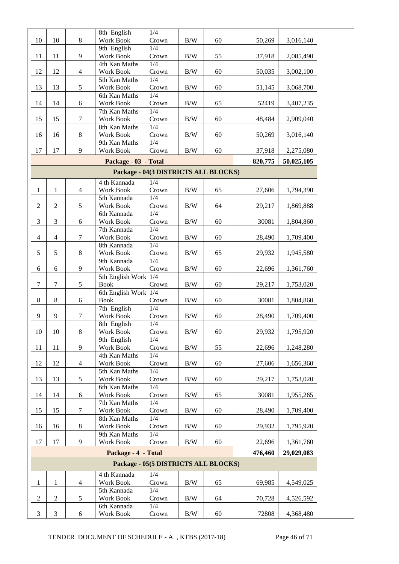|                  |                             |                  | 8th English                          | 1/4          |            |    |         |            |  |
|------------------|-----------------------------|------------------|--------------------------------------|--------------|------------|----|---------|------------|--|
| 10               | 10                          | $\,8\,$          | Work Book                            | Crown        | $\rm\,B/W$ | 60 | 50,269  | 3,016,140  |  |
|                  |                             |                  | 9th English                          | 1/4          |            |    |         |            |  |
| 11               | 11                          | $\boldsymbol{9}$ | Work Book                            | Crown        | B/W        | 55 | 37,918  | 2,085,490  |  |
|                  |                             |                  | 4th Kan Maths                        | 1/4          |            |    |         |            |  |
| 12               | 12                          | $\overline{4}$   | Work Book                            | Crown        | $\rm\,B/W$ | 60 | 50,035  | 3,002,100  |  |
|                  |                             |                  | 5th Kan Maths                        | 1/4          |            |    |         |            |  |
| 13               | 13                          | 5                | Work Book                            | Crown        | $\rm\,B/W$ | 60 | 51,145  | 3,068,700  |  |
|                  |                             |                  | 6th Kan Maths                        | 1/4          |            |    |         |            |  |
| 14               | 14                          | 6                | Work Book                            | Crown        | B/W        | 65 | 52419   | 3,407,235  |  |
|                  |                             |                  | 7th Kan Maths                        | 1/4          |            |    |         |            |  |
| 15               | 15                          | $\tau$           | Work Book                            | Crown        | B/W        | 60 | 48,484  | 2,909,040  |  |
|                  |                             |                  | 8th Kan Maths                        | 1/4          |            |    |         |            |  |
| 16               | 16                          | $\,8\,$          | <b>Work Book</b>                     | Crown        | $\rm\,B/W$ | 60 | 50,269  | 3,016,140  |  |
|                  |                             |                  | 9th Kan Maths                        | 1/4          |            |    |         |            |  |
| 17               | 17                          | 9                | Work Book                            | Crown        | B/W        | 60 | 37,918  | 2,275,080  |  |
|                  |                             |                  | Package - 03 - Total                 |              |            |    | 820,775 | 50,025,105 |  |
|                  |                             |                  | Package - 04(3 DISTRICTS ALL BLOCKS) |              |            |    |         |            |  |
|                  |                             |                  |                                      |              |            |    |         |            |  |
|                  |                             |                  | 4 th Kannada                         | 1/4          |            |    |         |            |  |
| 1                | 1                           | $\overline{4}$   | <b>Work Book</b>                     | Crown        | B/W        | 65 | 27,606  | 1,794,390  |  |
|                  |                             |                  | 5th Kannada                          | 1/4          |            |    |         |            |  |
| $\boldsymbol{2}$ | $\mathfrak{2}$              | 5                | Work Book                            | Crown        | $\rm\,B/W$ | 64 | 29,217  | 1,869,888  |  |
|                  |                             |                  | 6th Kannada                          | 1/4          |            |    |         |            |  |
| 3                | 3                           | $\boldsymbol{6}$ | Work Book                            | Crown        | B/W        | 60 | 30081   | 1,804,860  |  |
| $\overline{4}$   | $\overline{4}$              |                  | 7th Kannada<br>Work Book             | 1/4<br>Crown |            |    |         |            |  |
|                  |                             | $\tau$           |                                      |              | $\rm\,B/W$ | 60 | 28,490  | 1,709,400  |  |
|                  |                             |                  | 8th Kannada                          | 1/4          |            |    |         |            |  |
| 5                | $\sqrt{5}$                  | $\,8\,$          | Work Book<br>9th Kannada             | Crown<br>1/4 | B/W        | 65 | 29,932  | 1,945,580  |  |
|                  |                             |                  |                                      |              |            |    |         |            |  |
| 6                | $\sqrt{6}$                  | 9                | Work Book                            | Crown        | B/W        | 60 | 22,696  | 1,361,760  |  |
| $\boldsymbol{7}$ |                             |                  | 5th English Work 1/4                 |              |            |    |         |            |  |
|                  | 7                           | $\mathfrak s$    | <b>Book</b>                          | Crown        | $\rm\,B/W$ | 60 | 29,217  | 1,753,020  |  |
| $8\,$            |                             |                  | 6th English Work 1/4                 |              |            |    |         |            |  |
|                  | $\,8\,$                     | 6                | <b>Book</b>                          | Crown<br>1/4 | $\rm\,B/W$ | 60 | 30081   | 1,804,860  |  |
| $\mathbf{9}$     | 9                           | $\tau$           | 7th English<br>Work Book             | Crown        | B/W        |    |         | 1,709,400  |  |
|                  |                             |                  |                                      | 1/4          |            | 60 | 28,490  |            |  |
|                  |                             |                  | 8th English                          |              |            |    |         |            |  |
| 10               | 10                          | $\,8\,$          | Work Book<br>9th English             | Crown<br>1/4 | B/W        | 60 | 29,932  | 1,795,920  |  |
| 11               | 11                          | 9                | Work Book                            | Crown        | B/W        | 55 | 22,696  | 1,248,280  |  |
|                  |                             |                  | 4th Kan Maths                        | 1/4          |            |    |         |            |  |
| 12               | 12                          | $\overline{4}$   | Work Book                            | Crown        | B/W        | 60 | 27,606  | 1,656,360  |  |
|                  |                             |                  | 5th Kan Maths                        | 1/4          |            |    |         |            |  |
| 13               | 13                          | 5                | Work Book                            | Crown        | B/W        | 60 | 29,217  | 1,753,020  |  |
|                  |                             |                  | 6th Kan Maths                        | 1/4          |            |    |         |            |  |
| 14               | 14                          |                  | Work Book                            | Crown        | B/W        | 65 | 30081   | 1,955,265  |  |
|                  |                             | 6                | 7th Kan Maths                        | 1/4          |            |    |         |            |  |
| 15               | 15                          | $\tau$           | Work Book                            | Crown        | B/W        | 60 | 28,490  | 1,709,400  |  |
|                  |                             |                  | 8th Kan Maths                        | 1/4          |            |    |         |            |  |
| 16               | 16                          | 8                | Work Book                            | Crown        | B/W        | 60 | 29,932  | 1,795,920  |  |
|                  |                             |                  | 9th Kan Maths                        | 1/4          |            |    |         |            |  |
| 17               | 17                          | 9                | Work Book                            | Crown        | B/W        | 60 | 22,696  | 1,361,760  |  |
|                  |                             |                  |                                      |              |            |    |         |            |  |
|                  |                             |                  | Package - 4 - Total                  |              |            |    | 476,460 | 29,029,083 |  |
|                  |                             |                  | Package - 05(5 DISTRICTS ALL BLOCKS) |              |            |    |         |            |  |
|                  |                             |                  | 4 th Kannada                         | 1/4          |            |    |         |            |  |
| $\mathbf{1}$     | 1                           | 4                | Work Book                            | Crown        | B/W        | 65 | 69,985  | 4,549,025  |  |
|                  |                             |                  | 5th Kannada                          | 1/4          |            |    |         |            |  |
| $\overline{2}$   | $\boldsymbol{2}$            | 5                | Work Book                            | Crown        | B/W        | 64 | 70,728  | 4,526,592  |  |
|                  |                             |                  | 6th Kannada                          | 1/4          |            |    |         |            |  |
| $\mathfrak{Z}$   | $\ensuremath{\mathfrak{Z}}$ | $\sqrt{6}$       | Work Book                            | Crown        | B/W        | 60 | 72808   | 4,368,480  |  |
|                  |                             |                  |                                      |              |            |    |         |            |  |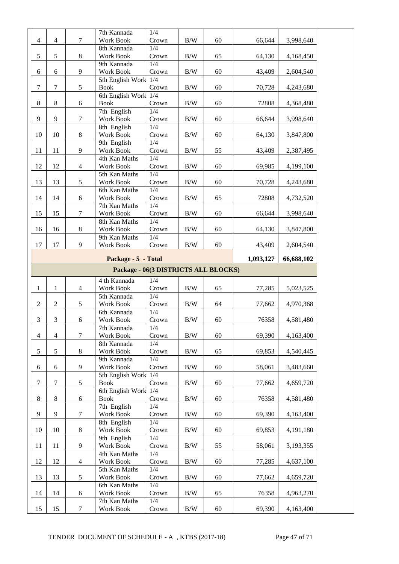|                                      |                |                | 7th Kannada                       | 1/4          |            |    |           |            |  |  |
|--------------------------------------|----------------|----------------|-----------------------------------|--------------|------------|----|-----------|------------|--|--|
| $\overline{4}$                       | $\overline{4}$ | 7              | Work Book                         | Crown        | B/W        | 60 | 66,644    | 3,998,640  |  |  |
|                                      |                |                | 8th Kannada                       | 1/4          |            |    |           |            |  |  |
| $\mathfrak{S}$                       | 5              | $\,8\,$        | Work Book                         | Crown        | B/W        | 65 | 64,130    | 4,168,450  |  |  |
|                                      |                |                | 9th Kannada                       | 1/4          |            |    |           |            |  |  |
| 6                                    | 6              | $\overline{9}$ | Work Book                         | Crown        | $\rm\,B/W$ | 60 | 43,409    | 2,604,540  |  |  |
|                                      |                |                | 5th English Work                  | 1/4          |            |    |           |            |  |  |
| $\tau$                               | $\tau$         | 5              | <b>Book</b>                       | Crown        | $\rm\,B/W$ | 60 | 70,728    | 4,243,680  |  |  |
|                                      |                |                | 6th English Work                  | 1/4          |            |    |           |            |  |  |
| $8\,$                                | 8              | 6              | <b>Book</b>                       | Crown        | $\rm\,B/W$ | 60 | 72808     | 4,368,480  |  |  |
|                                      |                |                | 7th English                       | 1/4          |            |    |           |            |  |  |
| 9                                    | 9              | $\tau$         | Work Book                         | Crown        | $\rm\,B/W$ | 60 | 66,644    | 3,998,640  |  |  |
|                                      |                |                | 8th English                       | 1/4          |            |    |           |            |  |  |
| 10                                   | 10             | $\,8\,$        | Work Book                         | Crown        | B/W        | 60 | 64,130    | 3,847,800  |  |  |
|                                      |                |                | 9th English                       | 1/4          |            |    |           |            |  |  |
| 11                                   | 11             | 9              | Work Book                         | Crown        | B/W        | 55 | 43,409    | 2,387,495  |  |  |
|                                      |                |                | 4th Kan Maths                     | 1/4          |            |    |           |            |  |  |
| 12                                   | 12             | $\overline{4}$ | Work Book                         | Crown        | B/W        | 60 | 69,985    | 4,199,100  |  |  |
|                                      |                |                | 5th Kan Maths                     | 1/4          |            |    |           |            |  |  |
| 13                                   | 13             | 5              | Work Book                         | Crown        | B/W        | 60 | 70,728    | 4,243,680  |  |  |
|                                      |                |                | 6th Kan Maths                     | 1/4          |            |    |           |            |  |  |
| 14                                   | 14             | 6              | Work Book                         | Crown        | B/W        | 65 | 72808     | 4,732,520  |  |  |
|                                      |                |                | 7th Kan Maths<br><b>Work Book</b> | 1/4<br>Crown |            |    |           |            |  |  |
| 15                                   | 15             | 7              | 8th Kan Maths                     | 1/4          | B/W        | 60 | 66,644    | 3,998,640  |  |  |
| 16                                   | 16             | $\,8\,$        | Work Book                         | Crown        | B/W        | 60 | 64,130    | 3,847,800  |  |  |
|                                      |                |                | 9th Kan Maths                     | 1/4          |            |    |           |            |  |  |
| 17                                   | 17             | 9              | Work Book                         | Crown        | B/W        | 60 | 43,409    | 2,604,540  |  |  |
|                                      |                |                |                                   |              |            |    |           |            |  |  |
|                                      |                |                | Package - 5 - Total               |              |            |    | 1,093,127 | 66,688,102 |  |  |
|                                      |                |                |                                   |              |            |    |           |            |  |  |
| Package - 06(3 DISTRICTS ALL BLOCKS) |                |                |                                   |              |            |    |           |            |  |  |
|                                      |                |                |                                   |              |            |    |           |            |  |  |
|                                      |                |                | 4 th Kannada                      | 1/4          |            |    |           |            |  |  |
| $\mathbf{1}$                         | $\mathbf{1}$   | $\overline{4}$ | Work Book                         | Crown        | B/W        | 65 | 77,285    | 5,023,525  |  |  |
|                                      |                |                | 5th Kannada                       | 1/4          |            |    |           |            |  |  |
| $\mathbf{2}$                         | $\overline{2}$ | 5              | Work Book                         | Crown        | B/W        | 64 | 77,662    | 4,970,368  |  |  |
|                                      |                |                | 6th Kannada                       | 1/4          |            |    |           |            |  |  |
| 3                                    | 3              | 6              | Work Book                         | Crown        | $\rm\,B/W$ | 60 | 76358     | 4,581,480  |  |  |
| $\overline{4}$                       | $\overline{4}$ | $\tau$         | 7th Kannada<br>Work Book          | 1/4<br>Crown | $\rm\,B/W$ | 60 | 69,390    | 4,163,400  |  |  |
|                                      |                |                | 8th Kannada                       | 1/4          |            |    |           |            |  |  |
| 5                                    |                |                | Work Book                         | Crown        | $\rm\,B/W$ | 65 |           | 4,540,445  |  |  |
|                                      | $\mathfrak{S}$ | $8\,$          | 9th Kannada                       | 1/4          |            |    | 69,853    |            |  |  |
| 6                                    | 6              | 9              | Work Book                         | Crown        | $\rm\,B/W$ | 60 | 58,061    | 3,483,660  |  |  |
|                                      |                |                | 5th English Work                  | 1/4          |            |    |           |            |  |  |
| $\tau$                               | $\tau$         | 5              | <b>Book</b>                       | Crown        | B/W        | 60 | 77,662    | 4,659,720  |  |  |
|                                      |                |                | 6th English Work                  | 1/4          |            |    |           |            |  |  |
| $8\,$                                | $8\,$          | $\sqrt{6}$     | <b>Book</b>                       | Crown        | B/W        | 60 | 76358     | 4,581,480  |  |  |
|                                      |                |                | 7th English                       | 1/4          |            |    |           |            |  |  |
| 9                                    | 9              | $\tau$         | Work Book                         | Crown        | $\rm\,B/W$ | 60 | 69,390    | 4,163,400  |  |  |
|                                      |                |                | 8th English                       | 1/4          |            |    |           |            |  |  |
| 10                                   | 10             | $\,8\,$        | Work Book                         | Crown        | B/W        | 60 | 69,853    | 4,191,180  |  |  |
|                                      |                |                | 9th English                       | 1/4          |            |    |           |            |  |  |
| 11                                   | 11             | 9              | Work Book                         | Crown        | $\rm\,B/W$ | 55 | 58,061    | 3,193,355  |  |  |
|                                      |                |                | 4th Kan Maths                     | 1/4          |            |    |           |            |  |  |
| 12                                   | 12             | $\overline{4}$ | Work Book                         | Crown        | $\rm\,B/W$ | 60 | 77,285    | 4,637,100  |  |  |
|                                      |                |                | 5th Kan Maths                     | 1/4          |            |    |           |            |  |  |
| 13                                   | 13             | 5              | Work Book                         | Crown        | $\rm\,B/W$ | 60 | 77,662    | 4,659,720  |  |  |
|                                      |                |                | 6th Kan Maths                     | 1/4          |            |    |           |            |  |  |
| 14                                   | 14             | 6              | Work Book                         | Crown        | $\rm\,B/W$ | 65 | 76358     | 4,963,270  |  |  |
| 15                                   | 15             | $\tau$         | 7th Kan Maths<br>Work Book        | 1/4<br>Crown | $\rm\,B/W$ | 60 | 69,390    | 4,163,400  |  |  |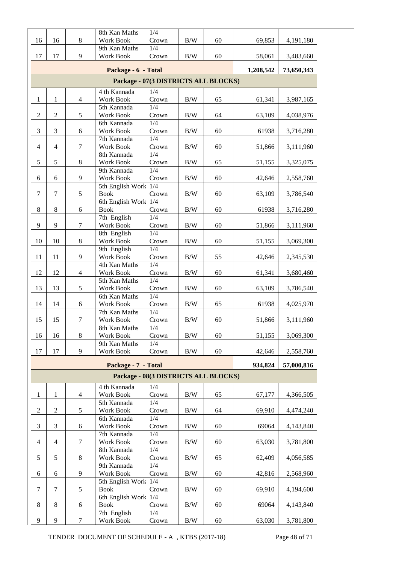|                                      |                  |                  | 8th Kan Maths                        | 1/4          |            |    |           |            |  |  |  |
|--------------------------------------|------------------|------------------|--------------------------------------|--------------|------------|----|-----------|------------|--|--|--|
| 16                                   | 16               | $8\,$            | Work Book                            | Crown        | $\rm B/W$  | 60 | 69,853    | 4,191,180  |  |  |  |
| 17                                   | 17               | 9                | 9th Kan Maths<br>Work Book           | 1/4<br>Crown | B/W        | 60 | 58,061    | 3,483,660  |  |  |  |
|                                      |                  |                  |                                      |              |            |    |           |            |  |  |  |
|                                      |                  |                  | Package - 6 - Total                  |              |            |    | 1,208,542 | 73,650,343 |  |  |  |
| Package - 07(3 DISTRICTS ALL BLOCKS) |                  |                  |                                      |              |            |    |           |            |  |  |  |
|                                      |                  |                  | 4 th Kannada                         | 1/4          |            |    |           |            |  |  |  |
| $\mathbf{1}$                         | $\mathbf{1}$     | $\overline{4}$   | Work Book                            | Crown        | $\rm B/W$  | 65 | 61,341    | 3,987,165  |  |  |  |
|                                      |                  |                  | 5th Kannada                          | 1/4          |            |    |           |            |  |  |  |
| $\overline{2}$                       | $\sqrt{2}$       | 5                | Work Book                            | Crown        | $\rm B/W$  | 64 | 63,109    | 4,038,976  |  |  |  |
| 3                                    | 3                | 6                | 6th Kannada<br>Work Book             | 1/4<br>Crown | B/W        | 60 | 61938     | 3,716,280  |  |  |  |
|                                      |                  |                  | 7th Kannada                          | 1/4          |            |    |           |            |  |  |  |
| $\overline{4}$                       | $\overline{4}$   | 7                | Work Book                            | Crown        | $\rm B/W$  | 60 | 51,866    | 3,111,960  |  |  |  |
|                                      |                  |                  | 8th Kannada                          | 1/4          |            |    |           |            |  |  |  |
| 5                                    | $\mathfrak{S}$   | $\,8\,$          | Work Book                            | Crown        | $\rm B/W$  | 65 | 51,155    | 3,325,075  |  |  |  |
|                                      |                  |                  | 9th Kannada                          | 1/4          |            |    |           |            |  |  |  |
| 6                                    | $\boldsymbol{6}$ | 9                | Work Book                            | Crown        | $\rm B/W$  | 60 | 42,646    | 2,558,760  |  |  |  |
|                                      |                  |                  | 5th English Work                     | 1/4          |            |    |           |            |  |  |  |
| $\tau$                               | $\tau$           | 5                | <b>Book</b><br>6th English Work 1/4  | Crown        | B/W        | 60 | 63,109    | 3,786,540  |  |  |  |
| $\,8\,$                              | $\,8\,$          | 6                | <b>Book</b>                          | Crown        | B/W        | 60 | 61938     | 3,716,280  |  |  |  |
|                                      |                  |                  | 7th English                          | 1/4          |            |    |           |            |  |  |  |
| 9                                    | 9                | $\tau$           | Work Book                            | Crown        | B/W        | 60 | 51,866    | 3,111,960  |  |  |  |
|                                      |                  |                  | 8th English                          | 1/4          |            |    |           |            |  |  |  |
| 10                                   | 10               | $\,8\,$          | Work Book                            | Crown        | B/W        | 60 | 51,155    | 3,069,300  |  |  |  |
|                                      |                  |                  | 9th English                          | 1/4          |            |    |           |            |  |  |  |
| 11                                   | 11               | 9                | Work Book                            | Crown        | B/W        | 55 | 42,646    | 2,345,530  |  |  |  |
| 12                                   | 12               | $\overline{4}$   | 4th Kan Maths<br>Work Book           | 1/4<br>Crown | $\rm B/W$  | 60 | 61,341    | 3,680,460  |  |  |  |
|                                      |                  |                  | 5th Kan Maths                        | 1/4          |            |    |           |            |  |  |  |
| 13                                   | 13               | $\sqrt{5}$       | Work Book                            | Crown        | B/W        | 60 | 63,109    | 3,786,540  |  |  |  |
|                                      |                  |                  | 6th Kan Maths                        | 1/4          |            |    |           |            |  |  |  |
| 14                                   | 14               | $6\,$            | Work Book                            | Crown        | $\rm B/W$  | 65 | 61938     | 4,025,970  |  |  |  |
|                                      |                  |                  | 7th Kan Maths                        | 1/4          |            |    |           |            |  |  |  |
| 15                                   | 15               | $\tau$           | Work Book                            | Crown        | $\rm B/W$  | 60 | 51,866    | 3,111,960  |  |  |  |
| 16                                   | 16               | $8\,$            | 8th Kan Maths                        | 1/4          | $\rm\,B/W$ | 60 | 51,155    | 3,069,300  |  |  |  |
|                                      |                  |                  | Work Book<br>9th Kan Maths           | Crown<br>1/4 |            |    |           |            |  |  |  |
| 17                                   | 17               | 9                | Work Book                            | Crown        | $\rm B/W$  | 60 | 42,646    | 2,558,760  |  |  |  |
|                                      |                  |                  |                                      |              |            |    |           |            |  |  |  |
|                                      |                  |                  | Package - 7 - Total                  |              |            |    | 934,824   | 57,000,816 |  |  |  |
|                                      |                  |                  | Package - 08(3 DISTRICTS ALL BLOCKS) |              |            |    |           |            |  |  |  |
|                                      |                  |                  | 4 th Kannada                         | 1/4          |            |    |           |            |  |  |  |
| $\mathbf{1}$                         | 1                | $\overline{4}$   | Work Book                            | Crown        | $\rm B/W$  | 65 | 67,177    | 4,366,505  |  |  |  |
|                                      |                  |                  | 5th Kannada                          | 1/4<br>Crown |            |    |           |            |  |  |  |
| $\overline{c}$                       | $\sqrt{2}$       | 5                | Work Book<br>6th Kannada             | 1/4          | B/W        | 64 | 69,910    | 4,474,240  |  |  |  |
| 3                                    | 3                | 6                | Work Book                            | Crown        | B/W        | 60 | 69064     | 4,143,840  |  |  |  |
|                                      |                  |                  | 7th Kannada                          | 1/4          |            |    |           |            |  |  |  |
| 4                                    | $\overline{4}$   | 7                | Work Book                            | Crown        | B/W        | 60 | 63,030    | 3,781,800  |  |  |  |
|                                      |                  |                  | 8th Kannada                          | 1/4          |            |    |           |            |  |  |  |
| 5                                    | $\sqrt{5}$       | $\,8\,$          | Work Book                            | Crown        | B/W        | 65 | 62,409    | 4,056,585  |  |  |  |
|                                      |                  |                  | 9th Kannada                          | 1/4          |            |    |           |            |  |  |  |
| 6                                    | 6                | 9                | Work Book                            | Crown        | B/W        | 60 | 42,816    | 2,568,960  |  |  |  |
| $\tau$                               | $\tau$           | $\mathfrak s$    | 5th English Work 1/4<br><b>Book</b>  | Crown        | B/W        | 60 | 69,910    | 4,194,600  |  |  |  |
|                                      |                  |                  | 6th English Work 1/4                 |              |            |    |           |            |  |  |  |
| $8\,$                                | $\,8\,$          | 6                | <b>Book</b>                          | Crown        | B/W        | 60 | 69064     | 4,143,840  |  |  |  |
|                                      |                  |                  | 7th English                          | 1/4          |            |    |           |            |  |  |  |
| 9                                    | 9                | $\boldsymbol{7}$ | Work Book                            | Crown        | $\rm\,B/W$ | 60 | 63,030    | 3,781,800  |  |  |  |

TENDER DOCUMENT OF SCHEDULE - A , KTBS (2017-18) Page 48 of 71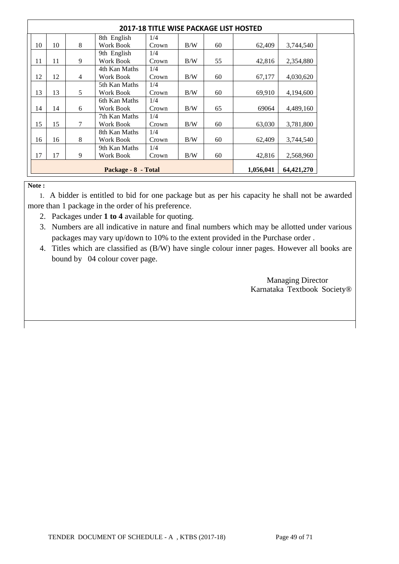| 2017-18 TITLE WISE PACKAGE LIST HOSTED |                     |        |               |       |     |    |           |            |
|----------------------------------------|---------------------|--------|---------------|-------|-----|----|-----------|------------|
|                                        |                     |        | 8th English   | 1/4   |     |    |           |            |
| 10                                     | 10                  | 8      | Work Book     | Crown | B/W | 60 | 62,409    | 3,744,540  |
|                                        |                     |        | 9th English   | 1/4   |     |    |           |            |
| 11                                     | 11                  | 9      | Work Book     | Crown | B/W | 55 | 42,816    | 2,354,880  |
|                                        |                     |        | 4th Kan Maths | 1/4   |     |    |           |            |
| 12                                     | 12                  | 4      | Work Book     | Crown | B/W | 60 | 67,177    | 4,030,620  |
|                                        |                     |        | 5th Kan Maths | 1/4   |     |    |           |            |
| 13                                     | 13                  | 5      | Work Book     | Crown | B/W | 60 | 69,910    | 4,194,600  |
|                                        |                     |        | 6th Kan Maths | 1/4   |     |    |           |            |
| 14                                     | 14                  | 6      | Work Book     | Crown | B/W | 65 | 69064     | 4,489,160  |
|                                        |                     |        | 7th Kan Maths | 1/4   |     |    |           |            |
| 15                                     | 15                  | $\tau$ | Work Book     | Crown | B/W | 60 | 63,030    | 3,781,800  |
|                                        |                     |        | 8th Kan Maths | 1/4   |     |    |           |            |
| 16                                     | 16                  | 8      | Work Book     | Crown | B/W | 60 | 62,409    | 3,744,540  |
|                                        |                     |        | 9th Kan Maths | 1/4   |     |    |           |            |
| 17                                     | 17                  | 9      | Work Book     | Crown | B/W | 60 | 42,816    | 2,568,960  |
|                                        | Package - 8 - Total |        |               |       |     |    | 1,056,041 | 64,421,270 |

#### **Note :**

 1. A bidder is entitled to bid for one package but as per his capacity he shall not be awarded more than 1 package in the order of his preference.

- 2. Packages under **1 to 4** available for quoting.
- 3. Numbers are all indicative in nature and final numbers which may be allotted under various packages may vary up/down to 10% to the extent provided in the Purchase order .
- 4. Titles which are classified as (B/W) have single colour inner pages. However all books are bound by 04 colour cover page.

 Managing Director Karnataka Textbook Society®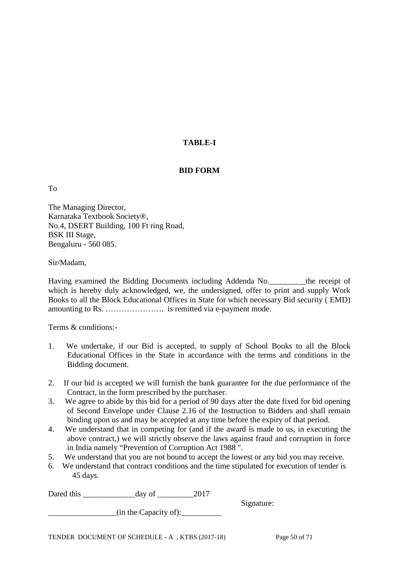# **TABLE-I**

### **BID FORM**

To

The Managing Director, Karnataka Textbook Society®, No.4, DSERT Building, 100 Ft ring Road, BSK III Stage, Bengaluru - 560 085.

Sir/Madam,

Having examined the Bidding Documents including Addenda No.\_\_\_\_\_\_\_\_\_the receipt of which is hereby duly acknowledged, we, the undersigned, offer to print and supply Work Books to all the Block Educational Offices in State for which necessary Bid security ( EMD) amounting to Rs. …………………. is remitted via e-payment mode.

Terms & conditions:-

- 1. We undertake, if our Bid is accepted, to supply of School Books to all the Block Educational Offices in the State in accordance with the terms and conditions in the Bidding document.
- 2. If our bid is accepted we will furnish the bank guarantee for the due performance of the Contract, in the form prescribed by the purchaser.
- 3. We agree to abide by this bid for a period of 90 days after the date fixed for bid opening of Second Envelope under Clause 2.16 of the Instruction to Bidders and shall remain binding upon us and may be accepted at any time before the expiry of that period.
- 4. We understand that in competing for (and if the award is made to us, in executing the above contract,) we will strictly observe the laws against fraud and corruption in force in India namely "Prevention of Corruption Act 1988 ".
- 5. We understand that you are not bound to accept the lowest or any bid you may receive.
- 6. We understand that contract conditions and the time stipulated for execution of tender is 45 days.

| Dated this | day of                | 2017 |            |  |
|------------|-----------------------|------|------------|--|
|            |                       |      | Signature: |  |
|            | (in the Capacity of): |      |            |  |
|            |                       |      |            |  |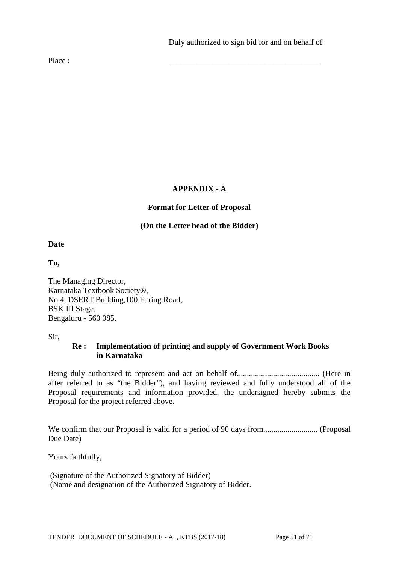Place : \_\_\_\_\_\_\_\_\_\_\_\_\_\_\_\_\_\_\_\_\_\_\_\_\_\_\_\_\_\_\_\_\_\_\_\_\_\_

# **APPENDIX - A**

# **Format for Letter of Proposal**

## **(On the Letter head of the Bidder)**

**Date**

**To,**

The Managing Director, Karnataka Textbook Society®, No.4, DSERT Building,100 Ft ring Road, BSK III Stage, Bengaluru - 560 085.

Sir,

## **Re : Implementation of printing and supply of Government Work Books in Karnataka**

Being duly authorized to represent and act on behalf of......................................... (Here in after referred to as "the Bidder"), and having reviewed and fully understood all of the Proposal requirements and information provided, the undersigned hereby submits the Proposal for the project referred above.

We confirm that our Proposal is valid for a period of 90 days from........................... (Proposal Due Date)

Yours faithfully,

(Signature of the Authorized Signatory of Bidder) (Name and designation of the Authorized Signatory of Bidder.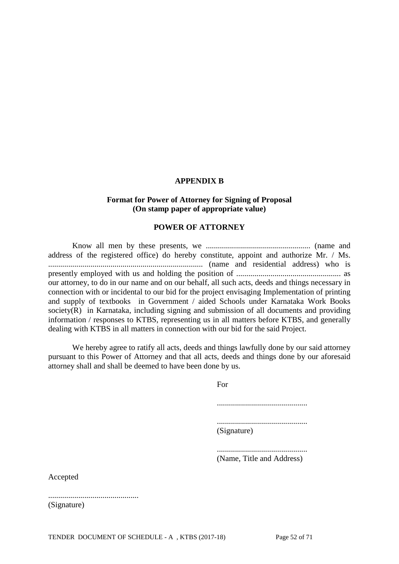#### **APPENDIX B**

#### **Format for Power of Attorney for Signing of Proposal (On stamp paper of appropriate value)**

#### **POWER OF ATTORNEY**

Know all men by these presents, we .................................................... (name and address of the registered office) do hereby constitute, appoint and authorize Mr. / Ms. ............................................................................. (name and residential address) who is presently employed with us and holding the position of .................................................... as our attorney, to do in our name and on our behalf, all such acts, deeds and things necessary in connection with or incidental to our bid for the project envisaging Implementation of printing and supply of textbooks in Government / aided Schools under Karnataka Work Books society(R) in Karnataka, including signing and submission of all documents and providing information / responses to KTBS, representing us in all matters before KTBS, and generally dealing with KTBS in all matters in connection with our bid for the said Project.

We hereby agree to ratify all acts, deeds and things lawfully done by our said attorney pursuant to this Power of Attorney and that all acts, deeds and things done by our aforesaid attorney shall and shall be deemed to have been done by us.

For

.............................................

............................................. (Signature)

............................................. (Name, Title and Address)

Accepted

............................................. (Signature)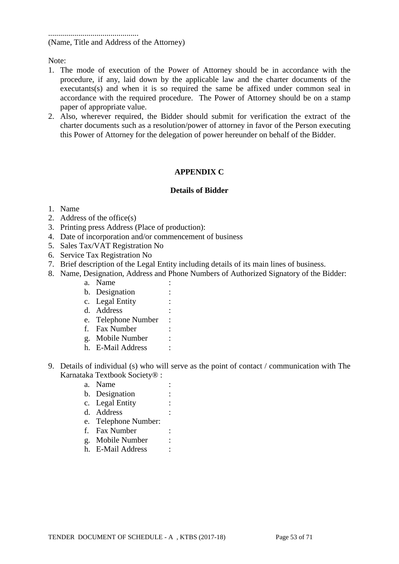............................................. (Name, Title and Address of the Attorney)

Note:

- 1. The mode of execution of the Power of Attorney should be in accordance with the procedure, if any, laid down by the applicable law and the charter documents of the executants(s) and when it is so required the same be affixed under common seal in accordance with the required procedure. The Power of Attorney should be on a stamp paper of appropriate value.
- 2. Also, wherever required, the Bidder should submit for verification the extract of the charter documents such as a resolution/power of attorney in favor of the Person executing this Power of Attorney for the delegation of power hereunder on behalf of the Bidder.

### **APPENDIX C**

#### **Details of Bidder**

#### 1. Name

- 2. Address of the office(s)
- 3. Printing press Address (Place of production):
- 4. Date of incorporation and/or commencement of business
- 5. Sales Tax/VAT Registration No
- 6. Service Tax Registration No
- 7. Brief description of the Legal Entity including details of its main lines of business.
- 8. Name, Designation, Address and Phone Numbers of Authorized Signatory of the Bidder:
	- a. Name :
	- b. Designation :
	- c. Legal Entity :
	- d. Address :
	- e. Telephone Number :
	- f. Fax Number :
	- g. Mobile Number :
	- h. E-Mail Address :
- 9. Details of individual (s) who will serve as the point of contact / communication with The Karnataka Textbook Society® :
	- a. Name :
	- b. Designation :
	- c. Legal Entity :
	- d. Address :
	- e. Telephone Number:
	- f. Fax Number :
	- g. Mobile Number :
	- h. E-Mail Address :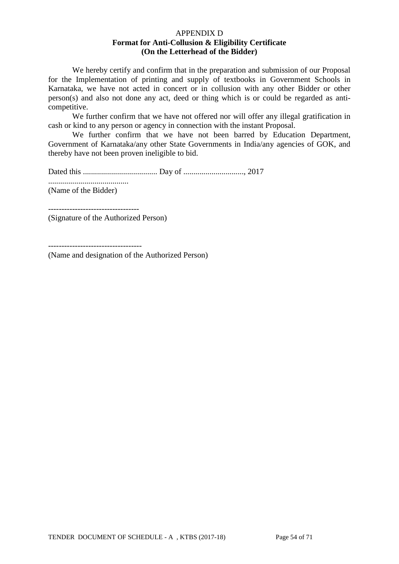#### APPENDIX D **Format for Anti-Collusion & Eligibility Certificate (On the Letterhead of the Bidder)**

We hereby certify and confirm that in the preparation and submission of our Proposal for the Implementation of printing and supply of textbooks in Government Schools in Karnataka, we have not acted in concert or in collusion with any other Bidder or other person(s) and also not done any act, deed or thing which is or could be regarded as anticompetitive.

We further confirm that we have not offered nor will offer any illegal gratification in cash or kind to any person or agency in connection with the instant Proposal.

We further confirm that we have not been barred by Education Department, Government of Karnataka/any other State Governments in India/any agencies of GOK, and thereby have not been proven ineligible to bid.

Dated this ..................................... Day of .............................., 2017

........................................

(Name of the Bidder)

(Signature of the Authorized Person)

----------------------------------

(Name and designation of the Authorized Person)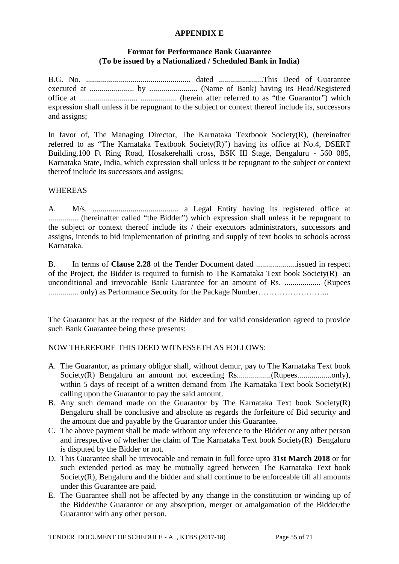#### **APPENDIX E**

### **Format for Performance Bank Guarantee (To be issued by a Nationalized / Scheduled Bank in India)**

B.G. No. .................................................... dated ......................This Deed of Guarantee executed at ...................... by ........................ (Name of Bank) having its Head/Registered office at ............................. .................. (herein after referred to as "the Guarantor") which expression shall unless it be repugnant to the subject or context thereof include its, successors and assigns;

In favor of, The Managing Director, The Karnataka Textbook Society(R), (hereinafter referred to as "The Karnataka Textbook Society(R)") having its office at No.4, DSERT Building,100 Ft Ring Road, Hosakerehalli cross, BSK III Stage, Bengaluru - 560 085, Karnataka State, India, which expression shall unless it be repugnant to the subject or context thereof include its successors and assigns;

### **WHEREAS**

A. M/s. ........................................... a Legal Entity having its registered office at ............... (hereinafter called "the Bidder") which expression shall unless it be repugnant to the subject or context thereof include its / their executors administrators, successors and assigns, intends to bid implementation of printing and supply of text books to schools across Karnataka.

B. In terms of **Clause 2.28** of the Tender Document dated ....................issued in respect of the Project, the Bidder is required to furnish to The Karnataka Text book Society(R) an unconditional and irrevocable Bank Guarantee for an amount of Rs. .................. (Rupees ............... only) as Performance Security for the Package Number……………………...

The Guarantor has at the request of the Bidder and for valid consideration agreed to provide such Bank Guarantee being these presents:

### NOW THEREFORE THIS DEED WITNESSETH AS FOLLOWS:

- A. The Guarantor, as primary obligor shall, without demur, pay to The Karnataka Text book Society(R) Bengaluru an amount not exceeding Rs.................(Rupees.................only), within 5 days of receipt of a written demand from The Karnataka Text book Society(R) calling upon the Guarantor to pay the said amount.
- B. Any such demand made on the Guarantor by The Karnataka Text book Society(R) Bengaluru shall be conclusive and absolute as regards the forfeiture of Bid security and the amount due and payable by the Guarantor under this Guarantee.
- C. The above payment shall be made without any reference to the Bidder or any other person and irrespective of whether the claim of The Karnataka Text book Society(R) Bengaluru is disputed by the Bidder or not.
- D. This Guarantee shall be irrevocable and remain in full force upto **31st March 2018** or for such extended period as may be mutually agreed between The Karnataka Text book Society(R), Bengaluru and the bidder and shall continue to be enforceable till all amounts under this Guarantee are paid.
- E. The Guarantee shall not be affected by any change in the constitution or winding up of the Bidder/the Guarantor or any absorption, merger or amalgamation of the Bidder/the Guarantor with any other person.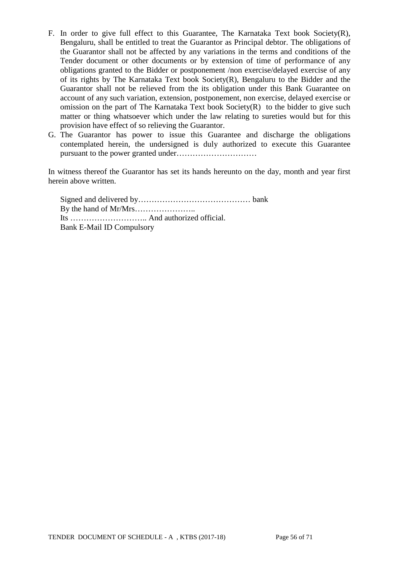- F. In order to give full effect to this Guarantee, The Karnataka Text book Society(R), Bengaluru, shall be entitled to treat the Guarantor as Principal debtor. The obligations of the Guarantor shall not be affected by any variations in the terms and conditions of the Tender document or other documents or by extension of time of performance of any obligations granted to the Bidder or postponement /non exercise/delayed exercise of any of its rights by The Karnataka Text book Society(R), Bengaluru to the Bidder and the Guarantor shall not be relieved from the its obligation under this Bank Guarantee on account of any such variation, extension, postponement, non exercise, delayed exercise or omission on the part of The Karnataka Text book Society(R) to the bidder to give such matter or thing whatsoever which under the law relating to sureties would but for this provision have effect of so relieving the Guarantor.
- G. The Guarantor has power to issue this Guarantee and discharge the obligations contemplated herein, the undersigned is duly authorized to execute this Guarantee pursuant to the power granted under…………………………

In witness thereof the Guarantor has set its hands hereunto on the day, month and year first herein above written.

Signed and delivered by…………………………………… bank By the hand of Mr/Mrs………………….. Its ……………………….. And authorized official. Bank E-Mail ID Compulsory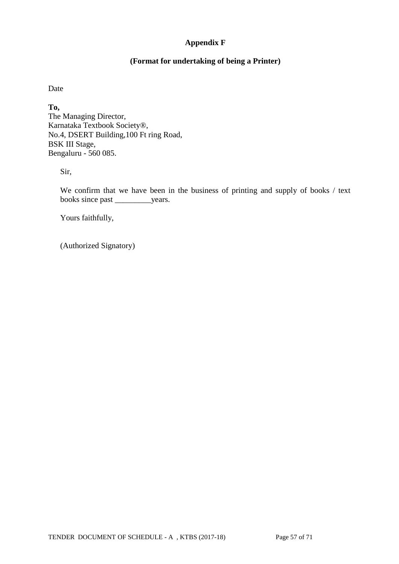# **Appendix F**

### **(Format for undertaking of being a Printer)**

Date

**To,** The Managing Director, Karnataka Textbook Society®, No.4, DSERT Building,100 Ft ring Road, BSK III Stage, Bengaluru - 560 085.

Sir,

We confirm that we have been in the business of printing and supply of books / text books since past \_\_\_\_\_\_\_\_\_years.

Yours faithfully,

(Authorized Signatory)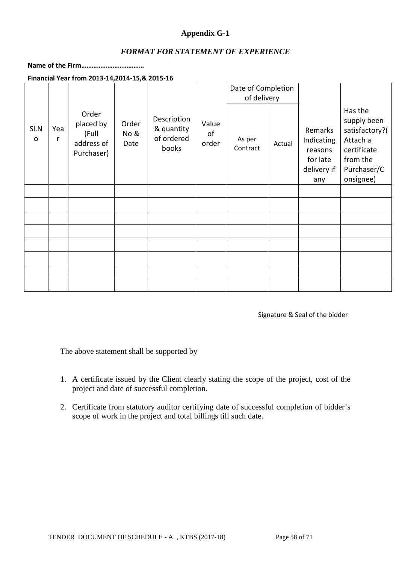### **Appendix G-1**

### *FORMAT FOR STATEMENT OF EXPERIENCE*

### **Name of the Firm………………………………**

**Financial Year from 2013-14,2014-15,& 2015-16**

|                      |          |                                                         |                       |                                                  |                      | Date of Completion |        |                                                                    |                                                                                                             |
|----------------------|----------|---------------------------------------------------------|-----------------------|--------------------------------------------------|----------------------|--------------------|--------|--------------------------------------------------------------------|-------------------------------------------------------------------------------------------------------------|
|                      |          |                                                         |                       |                                                  |                      | of delivery        |        |                                                                    |                                                                                                             |
| SI.N<br>$\mathsf{o}$ | Yea<br>r | Order<br>placed by<br>(Full<br>address of<br>Purchaser) | Order<br>No &<br>Date | Description<br>& quantity<br>of ordered<br>books | Value<br>of<br>order | As per<br>Contract | Actual | Remarks<br>Indicating<br>reasons<br>for late<br>delivery if<br>any | Has the<br>supply been<br>satisfactory?(<br>Attach a<br>certificate<br>from the<br>Purchaser/C<br>onsignee) |
|                      |          |                                                         |                       |                                                  |                      |                    |        |                                                                    |                                                                                                             |
|                      |          |                                                         |                       |                                                  |                      |                    |        |                                                                    |                                                                                                             |
|                      |          |                                                         |                       |                                                  |                      |                    |        |                                                                    |                                                                                                             |
|                      |          |                                                         |                       |                                                  |                      |                    |        |                                                                    |                                                                                                             |
|                      |          |                                                         |                       |                                                  |                      |                    |        |                                                                    |                                                                                                             |
|                      |          |                                                         |                       |                                                  |                      |                    |        |                                                                    |                                                                                                             |
|                      |          |                                                         |                       |                                                  |                      |                    |        |                                                                    |                                                                                                             |
|                      |          |                                                         |                       |                                                  |                      |                    |        |                                                                    |                                                                                                             |

Signature & Seal of the bidder

The above statement shall be supported by

- 1. A certificate issued by the Client clearly stating the scope of the project, cost of the project and date of successful completion.
- 2. Certificate from statutory auditor certifying date of successful completion of bidder's scope of work in the project and total billings till such date.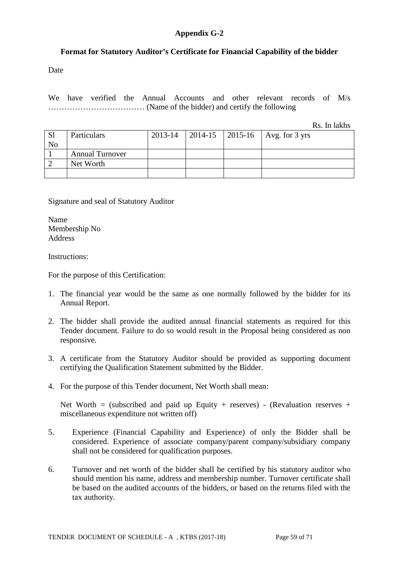### **Appendix G-2**

### **Format for Statutory Auditor's Certificate for Financial Capability of the bidder**

Date

We have verified the Annual Accounts and other relevant records of M/s ……………………………… (Name of the bidder) and certify the following

Rs. In lakhs

| <sub>S1</sub><br>No | Particulars            | 2013-14 |  | 2014-15   2015-16   Avg. for 3 yrs |
|---------------------|------------------------|---------|--|------------------------------------|
|                     | <b>Annual Turnover</b> |         |  |                                    |
|                     | Net Worth              |         |  |                                    |
|                     |                        |         |  |                                    |

Signature and seal of Statutory Auditor

Name Membership No Address

Instructions:

For the purpose of this Certification:

- 1. The financial year would be the same as one normally followed by the bidder for its Annual Report.
- 2. The bidder shall provide the audited annual financial statements as required for this Tender document. Failure to do so would result in the Proposal being considered as non responsive.
- 3. A certificate from the Statutory Auditor should be provided as supporting document certifying the Qualification Statement submitted by the Bidder.
- 4. For the purpose of this Tender document, Net Worth shall mean:

Net Worth = (subscribed and paid up Equity + reserves) - (Revaluation reserves + miscellaneous expenditure not written off)

- 5. Experience (Financial Capability and Experience) of only the Bidder shall be considered. Experience of associate company/parent company/subsidiary company shall not be considered for qualification purposes.
- 6. Turnover and net worth of the bidder shall be certified by his statutory auditor who should mention his name, address and membership number. Turnover certificate shall be based on the audited accounts of the bidders, or based on the returns filed with the tax authority.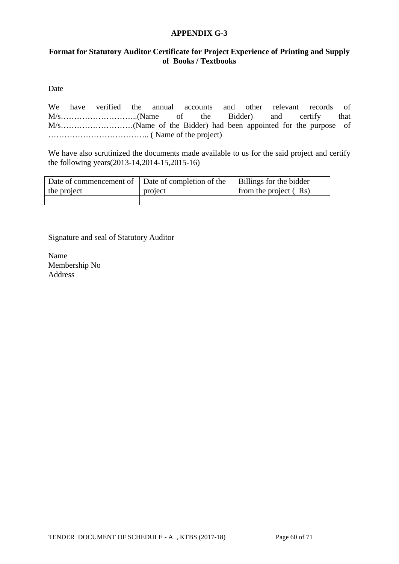#### **APPENDIX G-3**

### **Format for Statutory Auditor Certificate for Project Experience of Printing and Supply of Books / Textbooks**

Date

We have verified the annual accounts and other relevant records of M/s………………………..(Name of the Bidder) and certify that M/s………………………(Name of the Bidder) had been appointed for the purpose of ……………………………….. ( Name of the project)

We have also scrutinized the documents made available to us for the said project and certify the following years(2013-14,2014-15,2015-16)

| Date of commencement of Date of completion of the |         | Billings for the bidder |
|---------------------------------------------------|---------|-------------------------|
| the project                                       | project | from the project $(Rs)$ |
|                                                   |         |                         |

Signature and seal of Statutory Auditor

Name Membership No Address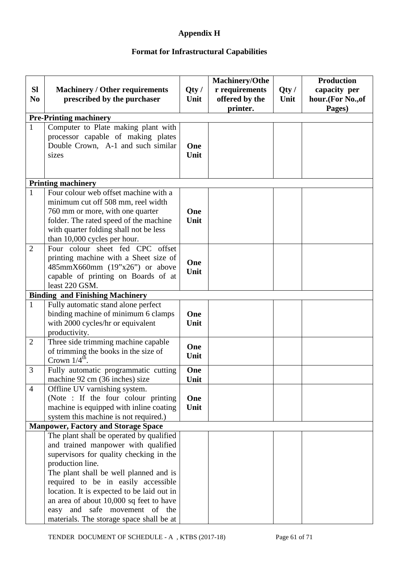# **Appendix H**

# **Format for Infrastructural Capabilities**

| <b>SI</b>      | <b>Machinery / Other requirements</b>                                          | Qty/ | Machinery/Othe<br>r requirements | Qty/ | <b>Production</b><br>capacity per |
|----------------|--------------------------------------------------------------------------------|------|----------------------------------|------|-----------------------------------|
| N <sub>0</sub> | prescribed by the purchaser                                                    | Unit | offered by the<br>printer.       | Unit | hour.(For No., of<br>Pages)       |
|                | <b>Pre-Printing machinery</b>                                                  |      |                                  |      |                                   |
| $\mathbf{1}$   | Computer to Plate making plant with                                            |      |                                  |      |                                   |
|                | processor capable of making plates                                             |      |                                  |      |                                   |
|                | Double Crown, A-1 and such similar                                             | One  |                                  |      |                                   |
|                | sizes                                                                          | Unit |                                  |      |                                   |
|                |                                                                                |      |                                  |      |                                   |
|                |                                                                                |      |                                  |      |                                   |
|                | <b>Printing machinery</b>                                                      |      |                                  |      |                                   |
| $\mathbf{1}$   | Four colour web offset machine with a                                          |      |                                  |      |                                   |
|                | minimum cut off 508 mm, reel width                                             |      |                                  |      |                                   |
|                | 760 mm or more, with one quarter                                               | One  |                                  |      |                                   |
|                | folder. The rated speed of the machine                                         | Unit |                                  |      |                                   |
|                | with quarter folding shall not be less                                         |      |                                  |      |                                   |
|                | than 10,000 cycles per hour.                                                   |      |                                  |      |                                   |
| $\overline{2}$ | Four colour sheet fed CPC offset                                               |      |                                  |      |                                   |
|                | printing machine with a Sheet size of<br>485mmX660mm (19"x26") or above        | One  |                                  |      |                                   |
|                | capable of printing on Boards of at                                            | Unit |                                  |      |                                   |
|                | least 220 GSM.                                                                 |      |                                  |      |                                   |
|                | <b>Binding and Finishing Machinery</b>                                         |      |                                  |      |                                   |
| $\mathbf{1}$   | Fully automatic stand alone perfect                                            |      |                                  |      |                                   |
|                | binding machine of minimum 6 clamps                                            | One  |                                  |      |                                   |
|                | with 2000 cycles/hr or equivalent                                              | Unit |                                  |      |                                   |
|                | productivity.                                                                  |      |                                  |      |                                   |
| $\overline{2}$ | Three side trimming machine capable                                            |      |                                  |      |                                   |
|                | of trimming the books in the size of                                           | One  |                                  |      |                                   |
|                | Crown $1/4$ <sup>th</sup> .                                                    | Unit |                                  |      |                                   |
| 3              | Fully automatic programmatic cutting                                           | One  |                                  |      |                                   |
|                | machine 92 cm (36 inches) size                                                 | Unit |                                  |      |                                   |
| $\overline{4}$ | Offline UV varnishing system.                                                  |      |                                  |      |                                   |
|                | (Note : If the four colour printing                                            | One  |                                  |      |                                   |
|                | machine is equipped with inline coating                                        | Unit |                                  |      |                                   |
|                | system this machine is not required.)                                          |      |                                  |      |                                   |
|                | <b>Manpower, Factory and Storage Space</b>                                     |      |                                  |      |                                   |
|                | The plant shall be operated by qualified                                       |      |                                  |      |                                   |
|                | and trained manpower with qualified<br>supervisors for quality checking in the |      |                                  |      |                                   |
|                | production line.                                                               |      |                                  |      |                                   |
|                | The plant shall be well planned and is                                         |      |                                  |      |                                   |
|                | required to be in easily accessible                                            |      |                                  |      |                                   |
|                | location. It is expected to be laid out in                                     |      |                                  |      |                                   |
|                | an area of about 10,000 sq feet to have                                        |      |                                  |      |                                   |
|                | easy and safe movement of the                                                  |      |                                  |      |                                   |
|                | materials. The storage space shall be at                                       |      |                                  |      |                                   |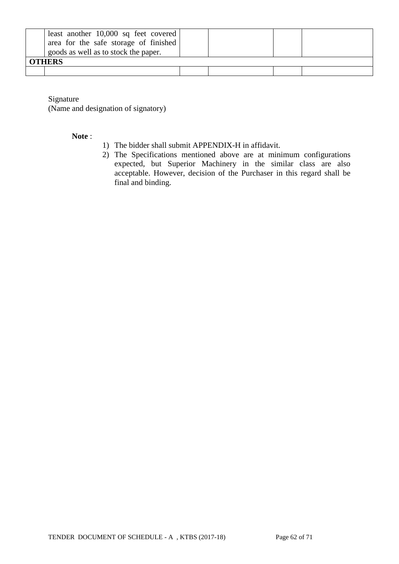| least another $10,000$ sq feet covered<br>area for the safe storage of finished<br>goods as well as to stock the paper.<br><b>OTHERS</b> |  |  |
|------------------------------------------------------------------------------------------------------------------------------------------|--|--|
|                                                                                                                                          |  |  |

Signature

(Name and designation of signatory)

#### **Note** :

- 1) The bidder shall submit APPENDIX-H in affidavit.
- 2) The Specifications mentioned above are at minimum configurations expected, but Superior Machinery in the similar class are also acceptable. However, decision of the Purchaser in this regard shall be final and binding.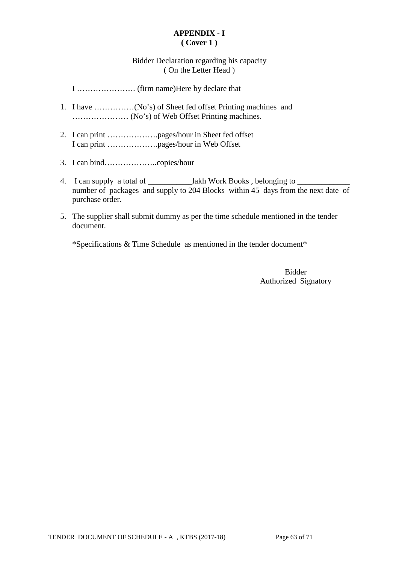### **APPENDIX - I ( Cover 1 )**

### Bidder Declaration regarding his capacity ( On the Letter Head )

I …………………. (firm name)Here by declare that

- 1. I have ……………(No's) of Sheet fed offset Printing machines and ………………… (No's) of Web Offset Printing machines.
- 2. I can print ……………….pages/hour in Sheet fed offset I can print ……………….pages/hour in Web Offset
- 3. I can bind………………..copies/hour
- 4. I can supply a total of \_\_\_\_\_\_\_\_\_\_\_\_lakh Work Books, belonging to \_ number of packages and supply to 204 Blocks within 45 days from the next date of purchase order.
- 5. The supplier shall submit dummy as per the time schedule mentioned in the tender document.

\*Specifications & Time Schedule as mentioned in the tender document\*

Bidder Authorized Signatory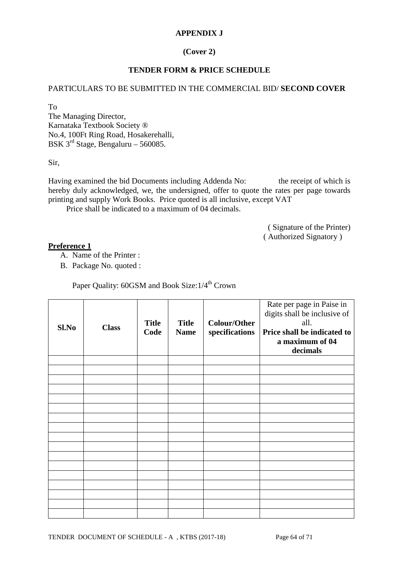### **APPENDIX J**

### **(Cover 2)**

### **TENDER FORM & PRICE SCHEDULE**

### PARTICULARS TO BE SUBMITTED IN THE COMMERCIAL BID/ **SECOND COVER**

To

The Managing Director, Karnataka Textbook Society ® No.4, 100Ft Ring Road, Hosakerehalli, BSK  $3^{rd}$  Stage, Bengaluru – 560085.

Sir,

Having examined the bid Documents including Addenda No: the receipt of which is hereby duly acknowledged, we, the undersigned, offer to quote the rates per page towards printing and supply Work Books. Price quoted is all inclusive, except VAT

Price shall be indicated to a maximum of 04 decimals.

( Signature of the Printer) ( Authorized Signatory )

#### **Preference 1**

- A. Name of the Printer :
- B. Package No. quoted :

Paper Quality: 60GSM and Book Size:  $1/4^{\text{th}}$  Crown

| Sl.No | <b>Class</b> | <b>Title</b><br>Code | <b>Title</b><br><b>Name</b> | <b>Colour/Other</b><br>specifications | Rate per page in Paise in<br>digits shall be inclusive of<br>all.<br>Price shall be indicated to<br>a maximum of 04<br>decimals |
|-------|--------------|----------------------|-----------------------------|---------------------------------------|---------------------------------------------------------------------------------------------------------------------------------|
|       |              |                      |                             |                                       |                                                                                                                                 |
|       |              |                      |                             |                                       |                                                                                                                                 |
|       |              |                      |                             |                                       |                                                                                                                                 |
|       |              |                      |                             |                                       |                                                                                                                                 |
|       |              |                      |                             |                                       |                                                                                                                                 |
|       |              |                      |                             |                                       |                                                                                                                                 |
|       |              |                      |                             |                                       |                                                                                                                                 |
|       |              |                      |                             |                                       |                                                                                                                                 |
|       |              |                      |                             |                                       |                                                                                                                                 |
|       |              |                      |                             |                                       |                                                                                                                                 |
|       |              |                      |                             |                                       |                                                                                                                                 |
|       |              |                      |                             |                                       |                                                                                                                                 |
|       |              |                      |                             |                                       |                                                                                                                                 |
|       |              |                      |                             |                                       |                                                                                                                                 |
|       |              |                      |                             |                                       |                                                                                                                                 |
|       |              |                      |                             |                                       |                                                                                                                                 |
|       |              |                      |                             |                                       |                                                                                                                                 |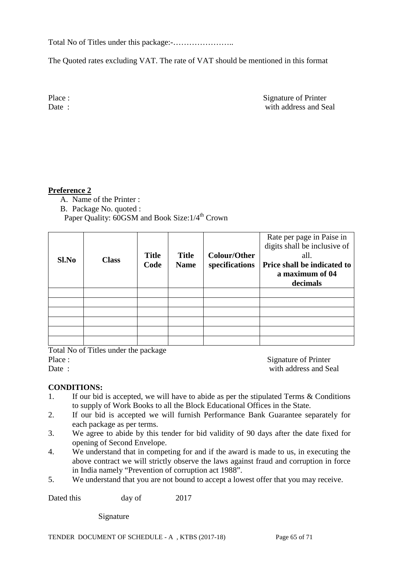Total No of Titles under this package:-…………………..

The Quoted rates excluding VAT. The rate of VAT should be mentioned in this format

Place : Signature of Printer Date : with address and Seal

## **Preference 2**

- A. Name of the Printer :
- B. Package No. quoted :

Paper Quality: 60GSM and Book Size: 1/4<sup>th</sup> Crown

| Sl.No | <b>Class</b> | <b>Title</b><br>Code | <b>Title</b><br><b>Name</b> | <b>Colour/Other</b><br>specifications | Rate per page in Paise in<br>digits shall be inclusive of<br>all.<br>Price shall be indicated to<br>a maximum of 04<br>decimals |
|-------|--------------|----------------------|-----------------------------|---------------------------------------|---------------------------------------------------------------------------------------------------------------------------------|
|       |              |                      |                             |                                       |                                                                                                                                 |
|       |              |                      |                             |                                       |                                                                                                                                 |
|       |              |                      |                             |                                       |                                                                                                                                 |
|       |              |                      |                             |                                       |                                                                                                                                 |
|       |              |                      |                             |                                       |                                                                                                                                 |
|       |              |                      |                             |                                       |                                                                                                                                 |

Total No of Titles under the package Place : Signature of Printer

Date : with address and Seal

### **CONDITIONS:**

- 1. If our bid is accepted, we will have to abide as per the stipulated Terms & Conditions to supply of Work Books to all the Block Educational Offices in the State.
- 2. If our bid is accepted we will furnish Performance Bank Guarantee separately for each package as per terms.
- 3. We agree to abide by this tender for bid validity of 90 days after the date fixed for opening of Second Envelope.
- 4. We understand that in competing for and if the award is made to us, in executing the above contract we will strictly observe the laws against fraud and corruption in force in India namely "Prevention of corruption act 1988".
- 5. We understand that you are not bound to accept a lowest offer that you may receive.

Dated this day of 2017

Signature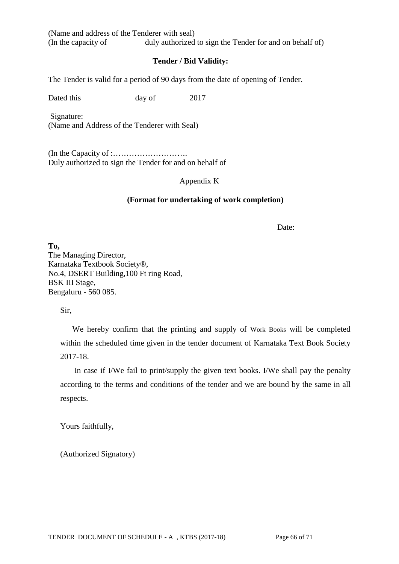(Name and address of the Tenderer with seal) (In the capacity of duly authorized to sign the Tender for and on behalf of)

### **Tender / Bid Validity:**

The Tender is valid for a period of 90 days from the date of opening of Tender.

Dated this day of 2017

Signature: (Name and Address of the Tenderer with Seal)

(In the Capacity of :………………………. Duly authorized to sign the Tender for and on behalf of

Appendix K

#### **(Format for undertaking of work completion)**

Date:

**To,** The Managing Director, Karnataka Textbook Society®, No.4, DSERT Building,100 Ft ring Road, BSK III Stage, Bengaluru - 560 085.

Sir,

 We hereby confirm that the printing and supply of Work Books will be completed within the scheduled time given in the tender document of Karnataka Text Book Society 2017-18.

 In case if I/We fail to print/supply the given text books. I/We shall pay the penalty according to the terms and conditions of the tender and we are bound by the same in all respects.

Yours faithfully,

(Authorized Signatory)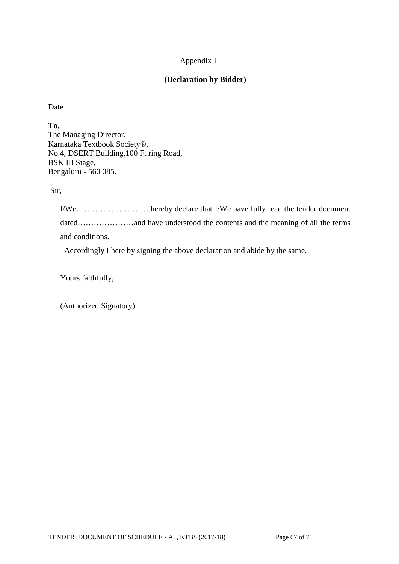# Appendix L

### **(Declaration by Bidder)**

Date

**To,**

The Managing Director, Karnataka Textbook Society®, No.4, DSERT Building,100 Ft ring Road, BSK III Stage, Bengaluru - 560 085.

Sir,

I/We……………………….hereby declare that I/We have fully read the tender document dated…………………and have understood the contents and the meaning of all the terms and conditions.

Accordingly I here by signing the above declaration and abide by the same.

Yours faithfully,

(Authorized Signatory)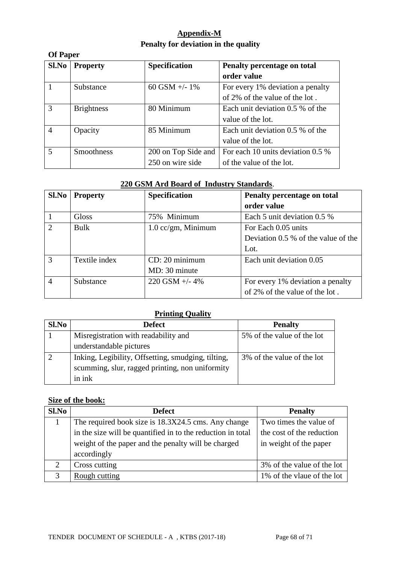# **Appendix-M Penalty for deviation in the quality**

| <b>Of Paper</b> |                   |                      |                                   |  |  |  |  |
|-----------------|-------------------|----------------------|-----------------------------------|--|--|--|--|
| Sl.No           | <b>Property</b>   | <b>Specification</b> | Penalty percentage on total       |  |  |  |  |
|                 |                   |                      | order value                       |  |  |  |  |
|                 | Substance         | 60 GSM $+/- 1\%$     | For every 1% deviation a penalty  |  |  |  |  |
|                 |                   |                      | of 2% of the value of the lot.    |  |  |  |  |
| 3               | <b>Brightness</b> | 80 Minimum           | Each unit deviation 0.5 % of the  |  |  |  |  |
|                 |                   |                      | value of the lot.                 |  |  |  |  |
| $\overline{4}$  | Opacity           | 85 Minimum           | Each unit deviation 0.5 % of the  |  |  |  |  |
|                 |                   |                      | value of the lot.                 |  |  |  |  |
| 5               | <b>Smoothness</b> | 200 on Top Side and  | For each 10 units deviation 0.5 % |  |  |  |  |
|                 |                   | 250 on wire side     | of the value of the lot.          |  |  |  |  |

# **220 GSM Ard Board of Industry Standards**.

| Sl.No         | <b>Property</b> | <b>Specification</b> | Penalty percentage on total           |
|---------------|-----------------|----------------------|---------------------------------------|
|               |                 |                      | order value                           |
|               | <b>Gloss</b>    | 75% Minimum          | Each 5 unit deviation 0.5 %           |
| $\mathcal{D}$ | <b>Bulk</b>     | $1.0$ cc/gm, Minimum | For Each 0.05 units                   |
|               |                 |                      | Deviation $0.5\%$ of the value of the |
|               |                 |                      | Lot.                                  |
| $\mathcal{R}$ | Textile index   | CD: 20 minimum       | Each unit deviation 0.05              |
|               |                 | MD: 30 minute        |                                       |
| 4             | Substance       | $220$ GSM $+/- 4\%$  | For every 1% deviation a penalty      |
|               |                 |                      | of 2% of the value of the lot.        |

# **Printing Quality**

| Sl.No | <b>Defect</b>                                      | <b>Penalty</b>             |
|-------|----------------------------------------------------|----------------------------|
|       | Misregistration with readability and               | 5% of the value of the lot |
|       | understandable pictures                            |                            |
|       | Inking, Legibility, Offsetting, smudging, tilting, | 3% of the value of the lot |
|       | scumming, slur, ragged printing, non uniformity    |                            |
|       | in ink                                             |                            |

### **Size of the book:**

| S1.No        | <b>Defect</b>                                               | <b>Penalty</b>             |
|--------------|-------------------------------------------------------------|----------------------------|
|              | The required book size is 18.3X24.5 cms. Any change         | Two times the value of     |
|              | in the size will be quantified in to the reduction in total | the cost of the reduction  |
|              | weight of the paper and the penalty will be charged         | in weight of the paper     |
|              | accordingly                                                 |                            |
| ◠            | Cross cutting                                               | 3% of the value of the lot |
| $\mathbf{c}$ | Rough cutting                                               | 1% of the vlaue of the lot |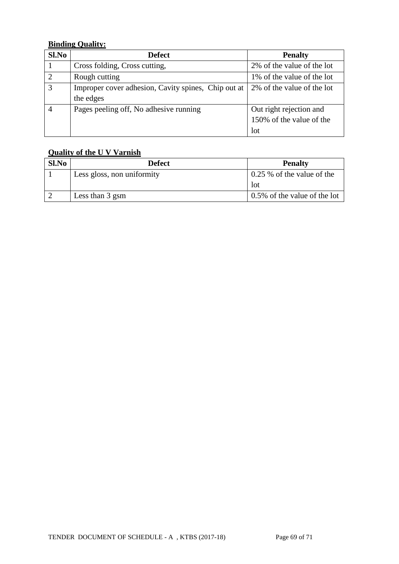# **Binding Quality:**

| S1.No          | <b>Defect</b>                                       | <b>Penalty</b>             |
|----------------|-----------------------------------------------------|----------------------------|
|                | Cross folding, Cross cutting,                       | 2% of the value of the lot |
| $\mathcal{D}$  | Rough cutting                                       | 1% of the value of the lot |
| $\overline{3}$ | Improper cover adhesion, Cavity spines, Chip out at | 2% of the value of the lot |
|                | the edges                                           |                            |
| $\overline{A}$ | Pages peeling off, No adhesive running              | Out right rejection and    |
|                |                                                     | 150% of the value of the   |
|                |                                                     | lot                        |

# **Quality of the U V Varnish**

| Sl.No | <b>Defect</b>              | <b>Penalty</b>               |
|-------|----------------------------|------------------------------|
|       | Less gloss, non uniformity | $0.25\%$ of the value of the |
|       |                            | <b>l</b> ot                  |
|       | Less than 3 gsm            | 0.5% of the value of the lot |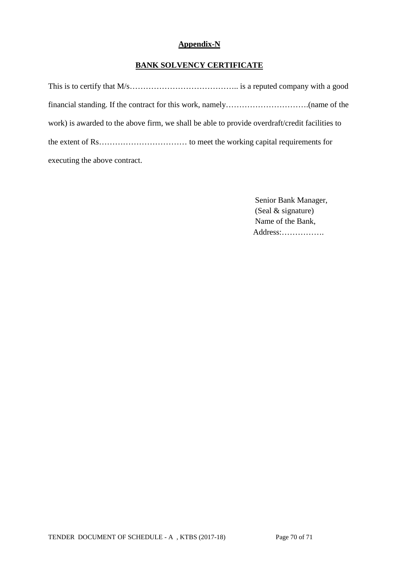# **Appendix-N**

# **BANK SOLVENCY CERTIFICATE**

| work) is awarded to the above firm, we shall be able to provide overdraft/credit facilities to |  |
|------------------------------------------------------------------------------------------------|--|
|                                                                                                |  |
| executing the above contract.                                                                  |  |

 Senior Bank Manager, (Seal & signature) Name of the Bank, Address:…………….